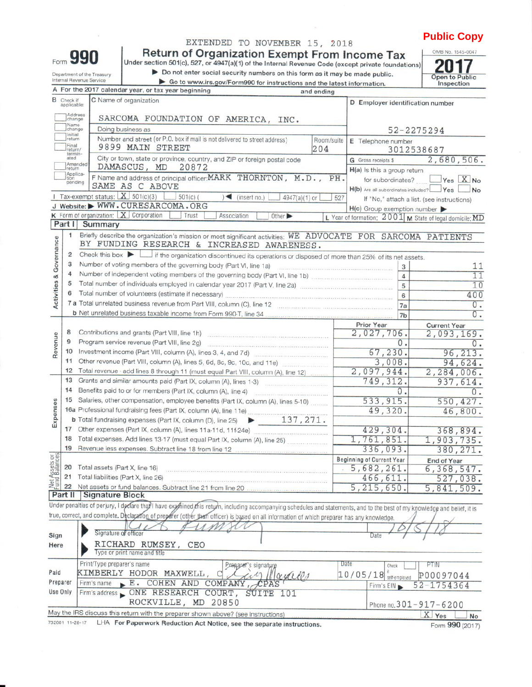## **Public Copy** OMB No. 1545-0047

|  | EXTENDED TO NOVEMBER 15, 2018 |  |
|--|-------------------------------|--|

Return of Organization Exempt From Income Tax<br>Under section 501(c), 527, or 4947(a)(1) of the Internal Revenue Code (except private foundations)

Form 990

Department of the Treasury<br>Internal Revenue Service

Do not enter social security numbers on this form as it may be made public.

Go to www.irs.gov/Form990 for instructions and the latest information.

20 Open to Public<br>Inspection

|                         |                                                                                                                                                                                                                                                                                                                                                                                                                                                                                                                                                                                   | A For the 2017 calendar year, or tax year beginning<br>and ending                                                                                                          |                                                           |                                            |
|-------------------------|-----------------------------------------------------------------------------------------------------------------------------------------------------------------------------------------------------------------------------------------------------------------------------------------------------------------------------------------------------------------------------------------------------------------------------------------------------------------------------------------------------------------------------------------------------------------------------------|----------------------------------------------------------------------------------------------------------------------------------------------------------------------------|-----------------------------------------------------------|--------------------------------------------|
| в                       | Check if<br>applicable:                                                                                                                                                                                                                                                                                                                                                                                                                                                                                                                                                           | C Name of organization                                                                                                                                                     | D Employer identification number                          |                                            |
|                         | Address<br>change                                                                                                                                                                                                                                                                                                                                                                                                                                                                                                                                                                 | SARCOMA FOUNDATION OF AMERICA, INC.                                                                                                                                        |                                                           |                                            |
|                         | Name<br>change                                                                                                                                                                                                                                                                                                                                                                                                                                                                                                                                                                    | Doing business as                                                                                                                                                          |                                                           | 52-2275294                                 |
|                         | Initial<br>return                                                                                                                                                                                                                                                                                                                                                                                                                                                                                                                                                                 | Number and street (or P.O. box if mail is not delivered to street address)<br>Room/suite                                                                                   | E Telephone number                                        |                                            |
|                         | Final<br>return/<br>termin-                                                                                                                                                                                                                                                                                                                                                                                                                                                                                                                                                       | 9899 MAIN STREET<br>204                                                                                                                                                    |                                                           | 3012538687                                 |
|                         | ated<br>Amended                                                                                                                                                                                                                                                                                                                                                                                                                                                                                                                                                                   | City or town, state or province, country, and ZIP or foreign postal code                                                                                                   | G Gross receipts \$                                       | 2,680,506.                                 |
|                         | <b>return</b><br>Applica-                                                                                                                                                                                                                                                                                                                                                                                                                                                                                                                                                         | DAMASCUS, MD<br>20872<br>F Name and address of principal officer: MARK THORNTON, M.D., PH.                                                                                 | H(a) Is this a group return                               |                                            |
|                         | tion<br>pending                                                                                                                                                                                                                                                                                                                                                                                                                                                                                                                                                                   | SAME AS C ABOVE                                                                                                                                                            | for subordinates?                                         | Yes X No                                   |
|                         |                                                                                                                                                                                                                                                                                                                                                                                                                                                                                                                                                                                   | 1 Tax-exempt status: $X$ 501(c)(3)<br>$-$ 501(c)(<br>$(\text{insert no.})$<br>4947(a)(1) or                                                                                | H(b) Are all subordinates included?<br>527                | <b>Yes</b><br>No                           |
|                         |                                                                                                                                                                                                                                                                                                                                                                                                                                                                                                                                                                                   | J Website: WWW.CURESARCOMA.ORG                                                                                                                                             | $H(c)$ Group exemption number                             | If "No," attach a list. (see instructions) |
|                         |                                                                                                                                                                                                                                                                                                                                                                                                                                                                                                                                                                                   | K Form of organization: $X$ Corporation<br>Trust<br>Association<br>Other                                                                                                   | L Year of formation: 2001   M State of legal domicile: MD |                                            |
|                         | Part I                                                                                                                                                                                                                                                                                                                                                                                                                                                                                                                                                                            | Summary                                                                                                                                                                    |                                                           |                                            |
| Activities & Governance | 1                                                                                                                                                                                                                                                                                                                                                                                                                                                                                                                                                                                 | Briefly describe the organization's mission or most significant activities: WE ADVOCATE FOR SARCOMA PATIENTS<br>BY FUNDING RESEARCH & INCREASED AWARENESS.                 |                                                           |                                            |
|                         | 2                                                                                                                                                                                                                                                                                                                                                                                                                                                                                                                                                                                 | Check this box $\blacktriangleright$ $\Box$ if the organization discontinued its operations or disposed of more than 25% of its net assets.                                |                                                           |                                            |
|                         | 3                                                                                                                                                                                                                                                                                                                                                                                                                                                                                                                                                                                 | Number of voting members of the governing body (Part VI, line 1a)                                                                                                          | 3                                                         | 11                                         |
|                         | 4                                                                                                                                                                                                                                                                                                                                                                                                                                                                                                                                                                                 |                                                                                                                                                                            | $\overline{4}$                                            | 11                                         |
|                         | 5                                                                                                                                                                                                                                                                                                                                                                                                                                                                                                                                                                                 | Total number of individuals employed in calendar year 2017 (Part V, line 2a)                                                                                               | 5                                                         | 10                                         |
|                         | 6                                                                                                                                                                                                                                                                                                                                                                                                                                                                                                                                                                                 | Total number of volunteers (estimate if necessary)                                                                                                                         | 6                                                         | 400                                        |
|                         |                                                                                                                                                                                                                                                                                                                                                                                                                                                                                                                                                                                   | 7 a Total unrelated business revenue from Part VIII, column (C), line 12                                                                                                   | 7a                                                        | 0.                                         |
|                         |                                                                                                                                                                                                                                                                                                                                                                                                                                                                                                                                                                                   | b Net unrelated business taxable income from Form 990 T, line 34                                                                                                           | 7 <sub>b</sub>                                            | $\overline{0}$ .                           |
|                         |                                                                                                                                                                                                                                                                                                                                                                                                                                                                                                                                                                                   |                                                                                                                                                                            | Prior Year                                                | <b>Current Year</b>                        |
|                         | 8                                                                                                                                                                                                                                                                                                                                                                                                                                                                                                                                                                                 |                                                                                                                                                                            | 2,027,706.                                                | 2,093,169.                                 |
| Revenue                 | 9                                                                                                                                                                                                                                                                                                                                                                                                                                                                                                                                                                                 | Program service revenue (Part VIII, line 2g)                                                                                                                               | 0.                                                        | $\overline{0}$ .                           |
|                         | 10                                                                                                                                                                                                                                                                                                                                                                                                                                                                                                                                                                                | Investment income (Part VIII, column (A), lines 3, 4, and 7d)                                                                                                              | 67, 230.                                                  | 96, 213.                                   |
|                         | 11<br>12                                                                                                                                                                                                                                                                                                                                                                                                                                                                                                                                                                          | Other revenue (Part VIII, column (A), lines 5, 6d, 8c, 9c, 10c, and 11e)                                                                                                   | 3,008.                                                    | 94,624.                                    |
|                         | 13                                                                                                                                                                                                                                                                                                                                                                                                                                                                                                                                                                                | Total revenue - add lines 8 through 11 (must equal Part VIII, column (A), line 12)                                                                                         | 2,097,944.<br>749, 312.                                   | 2, 284, 006.                               |
|                         | 14                                                                                                                                                                                                                                                                                                                                                                                                                                                                                                                                                                                | Grants and similar amounts paid (Part IX, column (A), lines 1-3)<br>Benefits paid to or for members (Part IX, column (A), line 4)                                          | 937,614.                                                  |                                            |
|                         | 15                                                                                                                                                                                                                                                                                                                                                                                                                                                                                                                                                                                | Salaries, other compensation, employee benefits (Part IX, column (A), lines 5-10)                                                                                          | $\overline{0}$ .<br>550, 427.                             |                                            |
|                         |                                                                                                                                                                                                                                                                                                                                                                                                                                                                                                                                                                                   |                                                                                                                                                                            | 533, 915.<br>49,320.                                      | 46,800.                                    |
| Expenses                |                                                                                                                                                                                                                                                                                                                                                                                                                                                                                                                                                                                   |                                                                                                                                                                            |                                                           |                                            |
|                         | 17                                                                                                                                                                                                                                                                                                                                                                                                                                                                                                                                                                                | Other expenses (Part IX, column (A), lines 11a-11d, 11f-24e)                                                                                                               | 429,304.                                                  | 368,894.                                   |
|                         | 18                                                                                                                                                                                                                                                                                                                                                                                                                                                                                                                                                                                | Total expenses. Add lines 13-17 (must equal Part IX, column (A), line 25)                                                                                                  | 1,761,851.                                                | 1,903,735.                                 |
|                         | 19                                                                                                                                                                                                                                                                                                                                                                                                                                                                                                                                                                                | Revenue less expenses. Subtract line 18 from line 12                                                                                                                       | 336,093.                                                  | 380, 271.                                  |
| Assets or<br>Balances   |                                                                                                                                                                                                                                                                                                                                                                                                                                                                                                                                                                                   |                                                                                                                                                                            | <b>Beginning of Current Year</b>                          | <b>End of Year</b>                         |
|                         |                                                                                                                                                                                                                                                                                                                                                                                                                                                                                                                                                                                   | 20 Total assets (Part X, line 16)                                                                                                                                          | 5,682,261.                                                | 6, 368, 547.                               |
|                         | $\begin{array}{c}\n\stackrel{\text{def}}{=} \\ \stackrel{\text{def}}{=} \\ \stackrel{\text{def}}{=} \\ \stackrel{\text{def}}{=} \\ \stackrel{\text{def}}{=} \\ \stackrel{\text{def}}{=} \\ \stackrel{\text{def}}{=} \\ \stackrel{\text{def}}{=} \\ \stackrel{\text{def}}{=} \\ \stackrel{\text{def}}{=} \\ \stackrel{\text{def}}{=} \\ \stackrel{\text{def}}{=} \\ \stackrel{\text{def}}{=} \\ \stackrel{\text{def}}{=} \\ \stackrel{\text{def}}{=} \\ \stackrel{\text{def}}{=} \\ \stackrel{\text{def}}{=} \\ \stackrel{\text{def}}{=} \\ \stackrel{\text{def}}{=} \\ \stackrel$ | Total liabilities (Part X, line 26)                                                                                                                                        | 466, 611.                                                 | 527,038.                                   |
|                         | 22                                                                                                                                                                                                                                                                                                                                                                                                                                                                                                                                                                                | Net assets or fund balances. Subtract line 21 from line 20                                                                                                                 | 5, 215, 650.                                              | 5,841,509.                                 |
|                         | Part II                                                                                                                                                                                                                                                                                                                                                                                                                                                                                                                                                                           | <b>Signature Block</b>                                                                                                                                                     |                                                           |                                            |
|                         |                                                                                                                                                                                                                                                                                                                                                                                                                                                                                                                                                                                   | Under penalties of perjury, I declare that I have exagined this return, including accompanying schedules and statements, and to the best of my knowledge and belief, it is |                                                           |                                            |
|                         |                                                                                                                                                                                                                                                                                                                                                                                                                                                                                                                                                                                   | true, correct, and complete. Declaratio <u>n of prepar</u> er (other than officer) is based on all information of which preparer has any knowledge.                        |                                                           |                                            |
|                         |                                                                                                                                                                                                                                                                                                                                                                                                                                                                                                                                                                                   | Signature of officer                                                                                                                                                       | Date                                                      |                                            |
| Sign<br>Here            |                                                                                                                                                                                                                                                                                                                                                                                                                                                                                                                                                                                   | RICHARD RUMSEY, CEO                                                                                                                                                        |                                                           |                                            |
|                         |                                                                                                                                                                                                                                                                                                                                                                                                                                                                                                                                                                                   | Type or print name and title                                                                                                                                               |                                                           |                                            |
|                         |                                                                                                                                                                                                                                                                                                                                                                                                                                                                                                                                                                                   | Print/Type preparer's name                                                                                                                                                 | Date<br>Check                                             | PTIN                                       |
| Paid                    |                                                                                                                                                                                                                                                                                                                                                                                                                                                                                                                                                                                   | Prenarer's signature<br>KIMBERLY HODOR MAXWELL, C<br>$\sim$                                                                                                                | $10/05/18$ self-employed                                  | P00097044                                  |
|                         | Preparer                                                                                                                                                                                                                                                                                                                                                                                                                                                                                                                                                                          | Firm's name E. COHEN AND COMPANY, CPAS                                                                                                                                     | Firm's EIN                                                | $52 - 1754364$                             |
|                         | Jse Only                                                                                                                                                                                                                                                                                                                                                                                                                                                                                                                                                                          | Firm's address CNE RESEARCH COURT, SÚITE 101                                                                                                                               |                                                           |                                            |
|                         |                                                                                                                                                                                                                                                                                                                                                                                                                                                                                                                                                                                   | ROCKVILLE, MD 20850                                                                                                                                                        |                                                           | Phone no. 301-917-6200                     |
|                         |                                                                                                                                                                                                                                                                                                                                                                                                                                                                                                                                                                                   | May the IRS discuss this return with the preparer shown above? (see instructions)                                                                                          |                                                           | X Yes<br>No                                |
|                         |                                                                                                                                                                                                                                                                                                                                                                                                                                                                                                                                                                                   |                                                                                                                                                                            |                                                           |                                            |

732001 11-28-17 LHA For Paperwork Reduction Act Notice, see the separate instructions.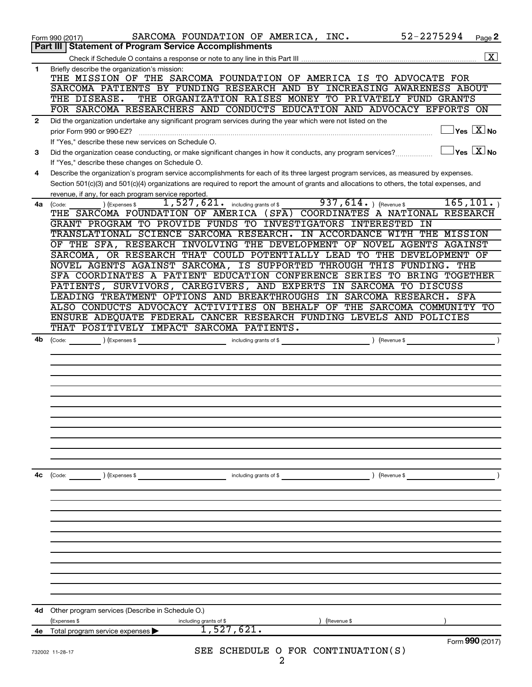|              | SARCOMA FOUNDATION OF AMERICA, INC.<br>Form 990 (2017)                                                                                                                                  | 52-2275294<br>Page 2                                   |
|--------------|-----------------------------------------------------------------------------------------------------------------------------------------------------------------------------------------|--------------------------------------------------------|
|              | Part III   Statement of Program Service Accomplishments                                                                                                                                 |                                                        |
|              |                                                                                                                                                                                         | $\overline{\mathbf{X}}$                                |
| $\mathbf{1}$ | Briefly describe the organization's mission:<br>THE MISSION OF THE SARCOMA FOUNDATION OF AMERICA IS TO ADVOCATE FOR                                                                     |                                                        |
|              | SARCOMA PATIENTS BY FUNDING RESEARCH AND BY INCREASING AWARENESS ABOUT                                                                                                                  |                                                        |
|              | THE DISEASE.<br>THE ORGANIZATION RAISES MONEY TO PRIVATELY FUND GRANTS                                                                                                                  |                                                        |
|              | FOR SARCOMA RESEARCHERS AND CONDUCTS EDUCATION AND ADVOCACY EFFORTS ON                                                                                                                  |                                                        |
| $\mathbf{2}$ | Did the organization undertake any significant program services during the year which were not listed on the                                                                            |                                                        |
|              | prior Form 990 or 990-EZ?                                                                                                                                                               | $\mathsf{Yes} \mathrel{\overline{X}} \mathsf{No}$      |
|              | If "Yes," describe these new services on Schedule O.                                                                                                                                    |                                                        |
| 3            | Did the organization cease conducting, or make significant changes in how it conducts, any program services?                                                                            | $\vert$ Yes $\vert$ $\overline{\mathrm{X}}$ $\vert$ No |
| 4            | If "Yes," describe these changes on Schedule O.<br>Describe the organization's program service accomplishments for each of its three largest program services, as measured by expenses. |                                                        |
|              | Section 501(c)(3) and 501(c)(4) organizations are required to report the amount of grants and allocations to others, the total expenses, and                                            |                                                        |
|              | revenue, if any, for each program service reported.                                                                                                                                     |                                                        |
| 4a           | 937,614.<br>$\overline{1,527,621}$ including grants of \$<br>(Code:<br>(Expenses \$                                                                                                     | 165, 101.<br>(Revenue \$                               |
|              | THE SARCOMA FOUNDATION OF AMERICA (SFA) COORDINATES A NATIONAL RESEARCH                                                                                                                 |                                                        |
|              | GRANT PROGRAM TO PROVIDE FUNDS TO INVESTIGATORS INTERESTED IN                                                                                                                           |                                                        |
|              | TRANSLATIONAL SCIENCE SARCOMA RESEARCH. IN ACCORDANCE WITH THE MISSION                                                                                                                  |                                                        |
|              | OF THE SFA, RESEARCH INVOLVING THE DEVELOPMENT OF NOVEL AGENTS AGAINST                                                                                                                  |                                                        |
|              | SARCOMA, OR RESEARCH THAT COULD POTENTIALLY LEAD TO THE DEVELOPMENT OF                                                                                                                  |                                                        |
|              | NOVEL AGENTS AGAINST SARCOMA, IS SUPPORTED THROUGH THIS FUNDING. THE                                                                                                                    |                                                        |
|              | SFA COORDINATES A PATIENT EDUCATION CONFERENCE SERIES TO BRING TOGETHER                                                                                                                 |                                                        |
|              | PATIENTS, SURVIVORS, CAREGIVERS, AND EXPERTS IN SARCOMA TO DISCUSS                                                                                                                      |                                                        |
|              | LEADING TREATMENT OPTIONS AND BREAKTHROUGHS IN SARCOMA RESEARCH. SFA                                                                                                                    |                                                        |
|              | ALSO CONDUCTS ADVOCACY ACTIVITIES ON BEHALF OF THE SARCOMA COMMUNITY TO                                                                                                                 |                                                        |
|              | ENSURE ADEQUATE FEDERAL CANCER RESEARCH FUNDING LEVELS AND POLICIES                                                                                                                     |                                                        |
|              | THAT POSITIVELY IMPACT SARCOMA PATIENTS.                                                                                                                                                |                                                        |
| 4b           | (Code:<br>(Expenses \$                                                                                                                                                                  | ) (Revenue \$                                          |
|              | including grants of \$                                                                                                                                                                  |                                                        |
|              |                                                                                                                                                                                         |                                                        |
|              |                                                                                                                                                                                         |                                                        |
|              |                                                                                                                                                                                         |                                                        |
|              |                                                                                                                                                                                         |                                                        |
|              |                                                                                                                                                                                         |                                                        |
|              |                                                                                                                                                                                         |                                                        |
|              |                                                                                                                                                                                         |                                                        |
|              |                                                                                                                                                                                         |                                                        |
|              |                                                                                                                                                                                         |                                                        |
|              |                                                                                                                                                                                         |                                                        |
|              |                                                                                                                                                                                         |                                                        |
| 4c           | ) (Expenses \$<br>including grants of \$<br>(Code:                                                                                                                                      | ) (Revenue \$                                          |
|              |                                                                                                                                                                                         |                                                        |
|              |                                                                                                                                                                                         |                                                        |
|              |                                                                                                                                                                                         |                                                        |
|              |                                                                                                                                                                                         |                                                        |
|              |                                                                                                                                                                                         |                                                        |
|              |                                                                                                                                                                                         |                                                        |
|              |                                                                                                                                                                                         |                                                        |
|              |                                                                                                                                                                                         |                                                        |
|              |                                                                                                                                                                                         |                                                        |
|              |                                                                                                                                                                                         |                                                        |
|              |                                                                                                                                                                                         |                                                        |
|              |                                                                                                                                                                                         |                                                        |
| 4d           | Other program services (Describe in Schedule O.)                                                                                                                                        |                                                        |
|              | (Expenses \$<br>including grants of \$<br>(Revenue \$                                                                                                                                   |                                                        |
| 4е           | 1,527,621.<br>Total program service expenses                                                                                                                                            |                                                        |
|              |                                                                                                                                                                                         | Form 990 (2017)                                        |
|              | SEE SCHEDULE O FOR CONTINUATION(S)<br>732002 11-28-17                                                                                                                                   |                                                        |
|              | 2                                                                                                                                                                                       |                                                        |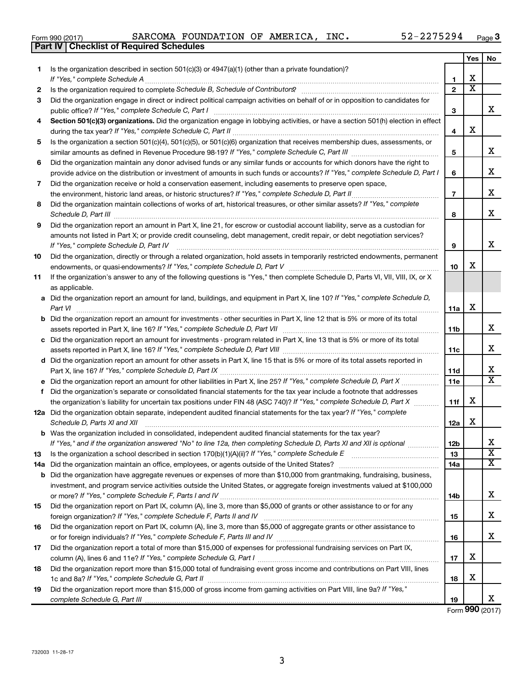| Form 990 (2017) |  |  | SARCOMA FOUNDATION OF AMERICA, INC. |  |  |  | 52-2275294 | Page |  |
|-----------------|--|--|-------------------------------------|--|--|--|------------|------|--|
|-----------------|--|--|-------------------------------------|--|--|--|------------|------|--|

|    | Part IV   Checklist of Required Schedules                                                                                            |                |                       |                              |
|----|--------------------------------------------------------------------------------------------------------------------------------------|----------------|-----------------------|------------------------------|
|    |                                                                                                                                      |                | Yes                   | No.                          |
| 1. | Is the organization described in section $501(c)(3)$ or $4947(a)(1)$ (other than a private foundation)?                              |                |                       |                              |
|    |                                                                                                                                      | 1              | X                     |                              |
| 2  |                                                                                                                                      | $\overline{2}$ | $\overline{\text{x}}$ |                              |
| 3  | Did the organization engage in direct or indirect political campaign activities on behalf of or in opposition to candidates for      |                |                       |                              |
|    |                                                                                                                                      | З              |                       | x                            |
| 4  | Section 501(c)(3) organizations. Did the organization engage in lobbying activities, or have a section 501(h) election in effect     |                |                       |                              |
|    |                                                                                                                                      | 4              | X                     |                              |
| 5  | Is the organization a section 501(c)(4), 501(c)(5), or 501(c)(6) organization that receives membership dues, assessments, or         |                |                       |                              |
|    |                                                                                                                                      | 5              |                       | x                            |
| 6  | Did the organization maintain any donor advised funds or any similar funds or accounts for which donors have the right to            |                |                       |                              |
|    | provide advice on the distribution or investment of amounts in such funds or accounts? If "Yes," complete Schedule D, Part I         | 6              |                       | x                            |
| 7  | Did the organization receive or hold a conservation easement, including easements to preserve open space,                            |                |                       |                              |
|    | the environment, historic land areas, or historic structures? If "Yes," complete Schedule D, Part II                                 | $\overline{ }$ |                       | x                            |
| 8  | Did the organization maintain collections of works of art, historical treasures, or other similar assets? If "Yes," complete         |                |                       |                              |
|    |                                                                                                                                      | 8              |                       | x                            |
|    | Did the organization report an amount in Part X, line 21, for escrow or custodial account liability, serve as a custodian for        |                |                       |                              |
| 9  | amounts not listed in Part X; or provide credit counseling, debt management, credit repair, or debt negotiation services?            |                |                       |                              |
|    |                                                                                                                                      |                |                       | х                            |
|    | If "Yes." complete Schedule D. Part IV                                                                                               | 9              |                       |                              |
| 10 | Did the organization, directly or through a related organization, hold assets in temporarily restricted endowments, permanent        |                | x                     |                              |
|    |                                                                                                                                      | 10             |                       |                              |
| 11 | If the organization's answer to any of the following questions is "Yes," then complete Schedule D, Parts VI, VII, VIII, IX, or X     |                |                       |                              |
|    | as applicable.                                                                                                                       |                |                       |                              |
| a  | Did the organization report an amount for land, buildings, and equipment in Part X, line 10? If "Yes," complete Schedule D,          |                | X                     |                              |
|    | Part VI                                                                                                                              | 11a            |                       |                              |
|    | <b>b</b> Did the organization report an amount for investments - other securities in Part X, line 12 that is 5% or more of its total |                |                       |                              |
|    |                                                                                                                                      | 11b            |                       | X                            |
| c  | Did the organization report an amount for investments - program related in Part X, line 13 that is 5% or more of its total           |                |                       |                              |
|    |                                                                                                                                      | 11c            |                       | X                            |
|    | d Did the organization report an amount for other assets in Part X, line 15 that is 5% or more of its total assets reported in       |                |                       |                              |
|    |                                                                                                                                      | 11d            |                       | x<br>$\overline{\mathtt{x}}$ |
|    | Did the organization report an amount for other liabilities in Part X, line 25? If "Yes," complete Schedule D, Part X                | 11e            |                       |                              |
| f  | Did the organization's separate or consolidated financial statements for the tax year include a footnote that addresses              |                |                       |                              |
|    | the organization's liability for uncertain tax positions under FIN 48 (ASC 740)? If "Yes," complete Schedule D, Part X               | 11f            | X                     |                              |
|    | 12a Did the organization obtain separate, independent audited financial statements for the tax year? If "Yes," complete              |                |                       |                              |
|    | Schedule D, Parts XI and XII                                                                                                         | 12a            | X                     |                              |
|    | <b>b</b> Was the organization included in consolidated, independent audited financial statements for the tax year?                   |                |                       |                              |
|    | If "Yes," and if the organization answered "No" to line 12a, then completing Schedule D, Parts XI and XII is optional                | 12b            |                       | х                            |
| 13 |                                                                                                                                      | 13             |                       | $\overline{\textbf{x}}$      |
|    | 14a Did the organization maintain an office, employees, or agents outside of the United States?                                      | 14a            |                       | $\overline{\mathbf{X}}$      |
|    | <b>b</b> Did the organization have aggregate revenues or expenses of more than \$10,000 from grantmaking, fundraising, business,     |                |                       |                              |
|    | investment, and program service activities outside the United States, or aggregate foreign investments valued at \$100,000           |                |                       |                              |
|    |                                                                                                                                      | 14b            |                       | X                            |
| 15 | Did the organization report on Part IX, column (A), line 3, more than \$5,000 of grants or other assistance to or for any            |                |                       |                              |
|    |                                                                                                                                      | 15             |                       | X                            |
| 16 | Did the organization report on Part IX, column (A), line 3, more than \$5,000 of aggregate grants or other assistance to             |                |                       |                              |
|    |                                                                                                                                      | 16             |                       | X                            |
| 17 | Did the organization report a total of more than \$15,000 of expenses for professional fundraising services on Part IX,              |                |                       |                              |
|    |                                                                                                                                      | 17             | X                     |                              |
| 18 | Did the organization report more than \$15,000 total of fundraising event gross income and contributions on Part VIII, lines         |                |                       |                              |
|    |                                                                                                                                      | 18             | X                     |                              |
| 19 | Did the organization report more than \$15,000 of gross income from gaming activities on Part VIII, line 9a? If "Yes,"               |                |                       |                              |
|    |                                                                                                                                      | 19             |                       | x                            |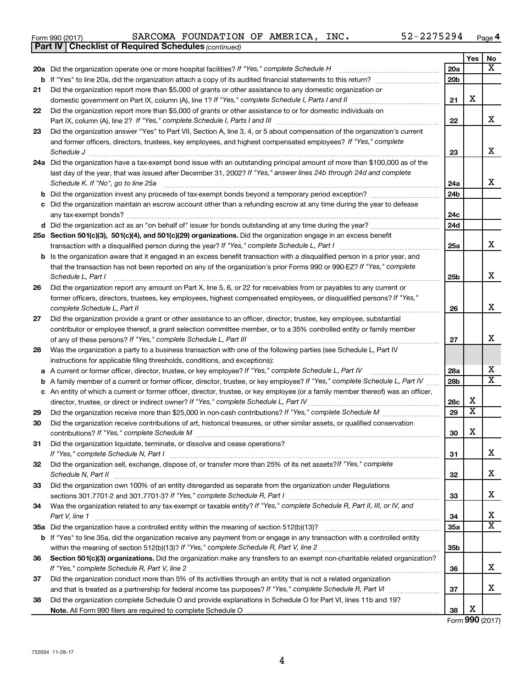| Form 990 (2017) |  |  | SARCOMA FOUNDATION OF AMERICA, |  |  | INC. | 52-2275294 | Page |  |
|-----------------|--|--|--------------------------------|--|--|------|------------|------|--|
|-----------------|--|--|--------------------------------|--|--|------|------------|------|--|

|    | <b>Part IV   Checklist of Required Schedules (continued)</b>                                                                      |     |     |                         |
|----|-----------------------------------------------------------------------------------------------------------------------------------|-----|-----|-------------------------|
|    |                                                                                                                                   |     | Yes | No                      |
|    | 20a Did the organization operate one or more hospital facilities? If "Yes," complete Schedule H                                   | 20a |     | X                       |
|    |                                                                                                                                   | 20b |     |                         |
| 21 | Did the organization report more than \$5,000 of grants or other assistance to any domestic organization or                       |     |     |                         |
|    |                                                                                                                                   | 21  | X   |                         |
| 22 | Did the organization report more than \$5,000 of grants or other assistance to or for domestic individuals on                     |     |     |                         |
|    |                                                                                                                                   | 22  |     | x                       |
| 23 | Did the organization answer "Yes" to Part VII, Section A, line 3, 4, or 5 about compensation of the organization's current        |     |     |                         |
|    | and former officers, directors, trustees, key employees, and highest compensated employees? If "Yes," complete                    |     |     |                         |
|    |                                                                                                                                   | 23  |     | х                       |
|    | 24a Did the organization have a tax-exempt bond issue with an outstanding principal amount of more than \$100,000 as of the       |     |     |                         |
|    | last day of the year, that was issued after December 31, 2002? If "Yes," answer lines 24b through 24d and complete                |     |     |                         |
|    | Schedule K. If "No", go to line 25a                                                                                               | 24a |     | х                       |
| b  |                                                                                                                                   | 24b |     |                         |
|    | Did the organization maintain an escrow account other than a refunding escrow at any time during the year to defease              |     |     |                         |
|    |                                                                                                                                   | 24с |     |                         |
|    |                                                                                                                                   | 24d |     |                         |
|    | 25a Section 501(c)(3), 501(c)(4), and 501(c)(29) organizations. Did the organization engage in an excess benefit                  |     |     |                         |
|    |                                                                                                                                   | 25a |     | x                       |
| b  | Is the organization aware that it engaged in an excess benefit transaction with a disqualified person in a prior year, and        |     |     |                         |
|    | that the transaction has not been reported on any of the organization's prior Forms 990 or 990-EZ? If "Yes," complete             |     |     |                         |
|    | Schedule L, Part I                                                                                                                | 25b |     | X                       |
| 26 | Did the organization report any amount on Part X, line 5, 6, or 22 for receivables from or payables to any current or             |     |     |                         |
|    | former officers, directors, trustees, key employees, highest compensated employees, or disqualified persons? If "Yes,"            |     |     |                         |
|    | complete Schedule L, Part II                                                                                                      | 26  |     | х                       |
| 27 | Did the organization provide a grant or other assistance to an officer, director, trustee, key employee, substantial              |     |     |                         |
|    | contributor or employee thereof, a grant selection committee member, or to a 35% controlled entity or family member               |     |     |                         |
|    |                                                                                                                                   | 27  |     | x                       |
| 28 | Was the organization a party to a business transaction with one of the following parties (see Schedule L, Part IV                 |     |     |                         |
|    | instructions for applicable filing thresholds, conditions, and exceptions):                                                       |     |     |                         |
| а  | A current or former officer, director, trustee, or key employee? If "Yes," complete Schedule L, Part IV                           | 28a |     | x                       |
| b  | A family member of a current or former officer, director, trustee, or key employee? If "Yes," complete Schedule L, Part IV        | 28b |     | $\overline{\mathbf{X}}$ |
|    | c An entity of which a current or former officer, director, trustee, or key employee (or a family member thereof) was an officer, |     |     |                         |
|    | director, trustee, or direct or indirect owner? If "Yes," complete Schedule L, Part IV                                            | 28c | х   |                         |
| 29 |                                                                                                                                   | 29  | X   |                         |
| 30 | Did the organization receive contributions of art, historical treasures, or other similar assets, or qualified conservation       |     |     |                         |
|    |                                                                                                                                   | 30  | X   |                         |
| 31 | Did the organization liquidate, terminate, or dissolve and cease operations?                                                      |     |     |                         |
|    |                                                                                                                                   | 31  |     | х                       |
| 32 | Did the organization sell, exchange, dispose of, or transfer more than 25% of its net assets? If "Yes," complete                  |     |     | х                       |
|    |                                                                                                                                   | 32  |     |                         |
| 33 | Did the organization own 100% of an entity disregarded as separate from the organization under Regulations                        | 33  |     | х                       |
| 34 | Was the organization related to any tax-exempt or taxable entity? If "Yes," complete Schedule R, Part II, III, or IV, and         |     |     |                         |
|    | Part V, line 1                                                                                                                    | 34  |     | x                       |
|    |                                                                                                                                   | 35а |     | $\overline{\mathbf{X}}$ |
|    | b If "Yes" to line 35a, did the organization receive any payment from or engage in any transaction with a controlled entity       |     |     |                         |
|    |                                                                                                                                   | 35b |     |                         |
| 36 | Section 501(c)(3) organizations. Did the organization make any transfers to an exempt non-charitable related organization?        |     |     |                         |
|    |                                                                                                                                   | 36  |     | х                       |
| 37 | Did the organization conduct more than 5% of its activities through an entity that is not a related organization                  |     |     |                         |
|    |                                                                                                                                   | 37  |     | х                       |
| 38 | Did the organization complete Schedule O and provide explanations in Schedule O for Part VI, lines 11b and 19?                    |     |     |                         |
|    |                                                                                                                                   | 38  | х   |                         |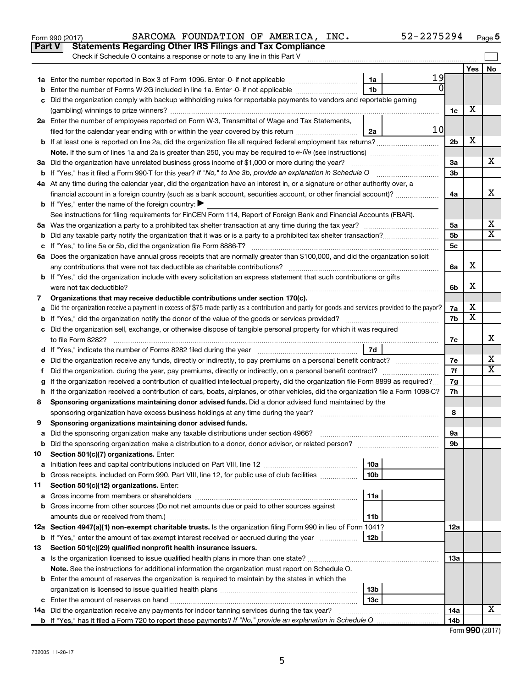|    | Part V<br>Statements Regarding Other IRS Filings and Tax Compliance                                                                                                                                                                              |                 |    |                 |                              |                         |  |
|----|--------------------------------------------------------------------------------------------------------------------------------------------------------------------------------------------------------------------------------------------------|-----------------|----|-----------------|------------------------------|-------------------------|--|
|    | Check if Schedule O contains a response or note to any line in this Part V                                                                                                                                                                       |                 |    |                 |                              |                         |  |
|    |                                                                                                                                                                                                                                                  |                 |    |                 | Yes                          | <b>No</b>               |  |
|    |                                                                                                                                                                                                                                                  | 1a              | 19 |                 |                              |                         |  |
|    | Enter the number of Forms W-2G included in line 1a. Enter -0- if not applicable                                                                                                                                                                  | 1 <sub>b</sub>  |    |                 |                              |                         |  |
|    | Did the organization comply with backup withholding rules for reportable payments to vendors and reportable gaming                                                                                                                               |                 |    |                 | х                            |                         |  |
|    |                                                                                                                                                                                                                                                  |                 |    | 1c              |                              |                         |  |
|    | 2a Enter the number of employees reported on Form W-3, Transmittal of Wage and Tax Statements,                                                                                                                                                   |                 | 10 |                 |                              |                         |  |
|    | filed for the calendar year ending with or within the year covered by this return                                                                                                                                                                | 2a              |    | 2b              | X                            |                         |  |
| b  | If at least one is reported on line 2a, did the organization file all required federal employment tax returns?                                                                                                                                   |                 |    |                 |                              |                         |  |
|    | 3a Did the organization have unrelated business gross income of \$1,000 or more during the year?                                                                                                                                                 |                 |    | За              |                              | x                       |  |
|    |                                                                                                                                                                                                                                                  |                 |    | 3b              |                              |                         |  |
|    | 4a At any time during the calendar year, did the organization have an interest in, or a signature or other authority over, a                                                                                                                     |                 |    |                 |                              |                         |  |
|    | financial account in a foreign country (such as a bank account, securities account, or other financial account)?                                                                                                                                 |                 |    | 4a              |                              | x                       |  |
|    | <b>b</b> If "Yes," enter the name of the foreign country: $\blacktriangleright$                                                                                                                                                                  |                 |    |                 |                              |                         |  |
|    | See instructions for filing requirements for FinCEN Form 114, Report of Foreign Bank and Financial Accounts (FBAR).                                                                                                                              |                 |    |                 |                              |                         |  |
|    |                                                                                                                                                                                                                                                  |                 |    | 5a              |                              | х                       |  |
|    |                                                                                                                                                                                                                                                  |                 |    | 5b              |                              | $\overline{\mathtt{x}}$ |  |
|    |                                                                                                                                                                                                                                                  |                 |    | 5c              |                              |                         |  |
|    | 6a Does the organization have annual gross receipts that are normally greater than \$100,000, and did the organization solicit                                                                                                                   |                 |    |                 |                              |                         |  |
|    |                                                                                                                                                                                                                                                  |                 |    | 6a              | X                            |                         |  |
|    | <b>b</b> If "Yes," did the organization include with every solicitation an express statement that such contributions or gifts                                                                                                                    |                 |    |                 |                              |                         |  |
|    | were not tax deductible?                                                                                                                                                                                                                         |                 |    | 6b              | X                            |                         |  |
| 7  | Organizations that may receive deductible contributions under section 170(c).                                                                                                                                                                    |                 |    |                 |                              |                         |  |
|    | Did the organization receive a payment in excess of \$75 made partly as a contribution and partly for goods and services provided to the payor?                                                                                                  |                 |    | 7a              | х<br>$\overline{\textbf{x}}$ |                         |  |
|    | 7b                                                                                                                                                                                                                                               |                 |    |                 |                              |                         |  |
|    | c Did the organization sell, exchange, or otherwise dispose of tangible personal property for which it was required                                                                                                                              |                 |    |                 |                              |                         |  |
|    |                                                                                                                                                                                                                                                  |                 |    | 7c              |                              | x                       |  |
|    |                                                                                                                                                                                                                                                  | 7d              |    |                 |                              | х                       |  |
|    | Did the organization receive any funds, directly or indirectly, to pay premiums on a personal benefit contract?                                                                                                                                  |                 |    | 7е<br>7f        |                              | $\overline{\mathbf{x}}$ |  |
| Ť. | Did the organization, during the year, pay premiums, directly or indirectly, on a personal benefit contract?<br>If the organization received a contribution of qualified intellectual property, did the organization file Form 8899 as required? |                 |    | 7g              |                              |                         |  |
| h  | If the organization received a contribution of cars, boats, airplanes, or other vehicles, did the organization file a Form 1098-C?                                                                                                               |                 |    | 7h              |                              |                         |  |
| 8  | Sponsoring organizations maintaining donor advised funds. Did a donor advised fund maintained by the                                                                                                                                             |                 |    |                 |                              |                         |  |
|    |                                                                                                                                                                                                                                                  |                 |    | 8               |                              |                         |  |
| 9  | Sponsoring organizations maintaining donor advised funds.                                                                                                                                                                                        |                 |    |                 |                              |                         |  |
|    |                                                                                                                                                                                                                                                  |                 |    | υа              |                              |                         |  |
| b  | Did the sponsoring organization make a distribution to a donor, donor advisor, or related person?                                                                                                                                                |                 |    | 9b              |                              |                         |  |
| 10 | Section 501(c)(7) organizations. Enter:                                                                                                                                                                                                          |                 |    |                 |                              |                         |  |
| а  |                                                                                                                                                                                                                                                  | 10a             |    |                 |                              |                         |  |
| b  | Gross receipts, included on Form 990, Part VIII, line 12, for public use of club facilities                                                                                                                                                      | 10 <sub>b</sub> |    |                 |                              |                         |  |
| 11 | Section 501(c)(12) organizations. Enter:                                                                                                                                                                                                         |                 |    |                 |                              |                         |  |
| а  |                                                                                                                                                                                                                                                  | 11a             |    |                 |                              |                         |  |
| b  | Gross income from other sources (Do not net amounts due or paid to other sources against                                                                                                                                                         |                 |    |                 |                              |                         |  |
|    | amounts due or received from them.)                                                                                                                                                                                                              | 11b             |    |                 |                              |                         |  |
|    | 12a Section 4947(a)(1) non-exempt charitable trusts. Is the organization filing Form 990 in lieu of Form 1041?                                                                                                                                   |                 |    | 12a             |                              |                         |  |
|    | <b>b</b> If "Yes," enter the amount of tax-exempt interest received or accrued during the year                                                                                                                                                   | 12 <sub>b</sub> |    |                 |                              |                         |  |
| 13 | Section 501(c)(29) qualified nonprofit health insurance issuers.                                                                                                                                                                                 |                 |    |                 |                              |                         |  |
| а  | Is the organization licensed to issue qualified health plans in more than one state?<br>Note. See the instructions for additional information the organization must report on Schedule O.                                                        |                 |    | 1За             |                              |                         |  |
|    | <b>b</b> Enter the amount of reserves the organization is required to maintain by the states in which the                                                                                                                                        |                 |    |                 |                              |                         |  |
|    |                                                                                                                                                                                                                                                  | 13b             |    |                 |                              |                         |  |
| c  |                                                                                                                                                                                                                                                  | 13c             |    |                 |                              |                         |  |
|    | 14a Did the organization receive any payments for indoor tanning services during the tax year?                                                                                                                                                   |                 |    | 14a             |                              | X                       |  |
|    |                                                                                                                                                                                                                                                  |                 |    | 14 <sub>b</sub> |                              |                         |  |

Form 990 (2017) Page **5** SARCOMA FOUNDATION OF AMERICA, INC. 52-2275294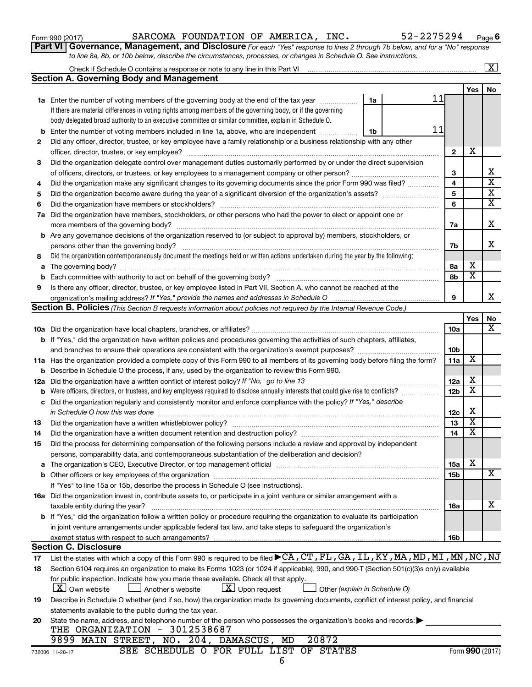| Form 990 (2017) |  |
|-----------------|--|
|-----------------|--|

#### Form 990 (2017) Page SARCOMA FOUNDATION OF AMERICA, INC. 52-2275294

**Part VI** Governance, Management, and Disclosure For each "Yes" response to lines 2 through 7b below, and for a "No" response *to line 8a, 8b, or 10b below, describe the circumstances, processes, or changes in Schedule O. See instructions.*

|     |                                                                                                                                                                                                                                |    |    |                 |                         | $\overline{\mathbf{X}}$ |  |  |
|-----|--------------------------------------------------------------------------------------------------------------------------------------------------------------------------------------------------------------------------------|----|----|-----------------|-------------------------|-------------------------|--|--|
|     | <b>Section A. Governing Body and Management</b>                                                                                                                                                                                |    |    |                 |                         |                         |  |  |
|     |                                                                                                                                                                                                                                |    |    |                 | Yes                     | No                      |  |  |
|     | <b>1a</b> Enter the number of voting members of the governing body at the end of the tax year                                                                                                                                  | 1a | 11 |                 |                         |                         |  |  |
|     | If there are material differences in voting rights among members of the governing body, or if the governing                                                                                                                    |    |    |                 |                         |                         |  |  |
|     | body delegated broad authority to an executive committee or similar committee, explain in Schedule O.                                                                                                                          |    |    |                 |                         |                         |  |  |
| b   | Enter the number of voting members included in line 1a, above, who are independent <i>manumum</i>                                                                                                                              | 1b | 11 |                 |                         |                         |  |  |
| 2   | Did any officer, director, trustee, or key employee have a family relationship or a business relationship with any other                                                                                                       |    |    |                 |                         |                         |  |  |
|     | officer, director, trustee, or key employee?                                                                                                                                                                                   |    |    | $\mathbf{2}$    | х                       |                         |  |  |
| 3   | Did the organization delegate control over management duties customarily performed by or under the direct supervision                                                                                                          |    |    |                 |                         |                         |  |  |
|     |                                                                                                                                                                                                                                |    |    | 3               |                         | х                       |  |  |
| 4   | Did the organization make any significant changes to its governing documents since the prior Form 990 was filed?                                                                                                               |    |    | 4               |                         | $\overline{\textbf{x}}$ |  |  |
| 5   |                                                                                                                                                                                                                                |    |    | 5               |                         | $\overline{\mathbf{x}}$ |  |  |
| 6   |                                                                                                                                                                                                                                |    |    | 6               |                         | $\overline{\mathbf{x}}$ |  |  |
|     | 7a Did the organization have members, stockholders, or other persons who had the power to elect or appoint one or                                                                                                              |    |    |                 |                         |                         |  |  |
|     |                                                                                                                                                                                                                                |    |    | 7a              |                         | x                       |  |  |
|     | <b>b</b> Are any governance decisions of the organization reserved to (or subject to approval by) members, stockholders, or                                                                                                    |    |    |                 |                         |                         |  |  |
|     |                                                                                                                                                                                                                                |    |    | 7b              |                         | x                       |  |  |
| 8   | Did the organization contemporaneously document the meetings held or written actions undertaken during the year by the following:                                                                                              |    |    |                 |                         |                         |  |  |
| a   | The governing body? [[11] notice is a construction of the construction of the construction of the construction of the construction of the construction of the construction of the construction of the construction of the cons |    |    | 8а              | х                       |                         |  |  |
| b   |                                                                                                                                                                                                                                |    |    | 8b              | $\overline{\mathbf{x}}$ |                         |  |  |
| 9   | Is there any officer, director, trustee, or key employee listed in Part VII, Section A, who cannot be reached at the                                                                                                           |    |    |                 |                         |                         |  |  |
|     |                                                                                                                                                                                                                                |    |    | 9               |                         | x                       |  |  |
|     | <b>Section B. Policies</b> (This Section B requests information about policies not required by the Internal Revenue Code.)                                                                                                     |    |    |                 |                         |                         |  |  |
|     |                                                                                                                                                                                                                                |    |    |                 | Yes                     | No                      |  |  |
|     |                                                                                                                                                                                                                                |    |    | 10a             |                         | x                       |  |  |
|     | b If "Yes," did the organization have written policies and procedures governing the activities of such chapters, affiliates,                                                                                                   |    |    |                 |                         |                         |  |  |
|     |                                                                                                                                                                                                                                |    |    | 10 <sub>b</sub> |                         |                         |  |  |
|     | 11a Has the organization provided a complete copy of this Form 990 to all members of its governing body before filing the form?                                                                                                |    |    | 11a             | $\overline{\textbf{x}}$ |                         |  |  |
| b   | Describe in Schedule O the process, if any, used by the organization to review this Form 990.                                                                                                                                  |    |    |                 |                         |                         |  |  |
| 12a | Did the organization have a written conflict of interest policy? If "No," go to line 13                                                                                                                                        |    |    |                 |                         |                         |  |  |
| b   | Were officers, directors, or trustees, and key employees required to disclose annually interests that could give rise to conflicts?                                                                                            |    |    | 12 <sub>b</sub> | $\overline{\textbf{x}}$ |                         |  |  |
| с   | Did the organization regularly and consistently monitor and enforce compliance with the policy? If "Yes," describe                                                                                                             |    |    |                 |                         |                         |  |  |
|     | in Schedule O how this was done                                                                                                                                                                                                |    |    | 12c             | X                       |                         |  |  |
| 13  |                                                                                                                                                                                                                                |    |    | 13              | $\overline{\textbf{x}}$ |                         |  |  |
| 14  |                                                                                                                                                                                                                                |    |    | 14              | $\overline{\textbf{x}}$ |                         |  |  |
| 15  | Did the process for determining compensation of the following persons include a review and approval by independent                                                                                                             |    |    |                 |                         |                         |  |  |
|     | persons, comparability data, and contemporaneous substantiation of the deliberation and decision?                                                                                                                              |    |    |                 |                         |                         |  |  |
| а   | The organization's CEO, Executive Director, or top management official manufactured content of the organization's CEO, Executive Director, or top management official manufactured content of the state of the state of the st |    |    | <b>15a</b>      | х                       |                         |  |  |
| b   |                                                                                                                                                                                                                                |    |    | <b>15b</b>      |                         | х                       |  |  |
|     | If "Yes" to line 15a or 15b, describe the process in Schedule O (see instructions).                                                                                                                                            |    |    |                 |                         |                         |  |  |
|     | 16a Did the organization invest in, contribute assets to, or participate in a joint venture or similar arrangement with a                                                                                                      |    |    |                 |                         |                         |  |  |
|     | taxable entity during the year?                                                                                                                                                                                                |    |    | <b>16a</b>      |                         | х                       |  |  |
|     | b If "Yes," did the organization follow a written policy or procedure requiring the organization to evaluate its participation                                                                                                 |    |    |                 |                         |                         |  |  |
|     | in joint venture arrangements under applicable federal tax law, and take steps to safeguard the organization's                                                                                                                 |    |    |                 |                         |                         |  |  |
|     | exempt status with respect to such arrangements?                                                                                                                                                                               |    |    | 16b             |                         |                         |  |  |
|     | <b>Section C. Disclosure</b>                                                                                                                                                                                                   |    |    |                 |                         |                         |  |  |
| 17  | List the states with which a copy of this Form 990 is required to be filed CA, CT, FL, GA, IL, KY, MA, MD, MI, MT, MN, NC, NJ                                                                                                  |    |    |                 |                         |                         |  |  |
| 18  | Section 6104 requires an organization to make its Forms 1023 (or 1024 if applicable), 990, and 990-T (Section 501(c)(3)s only) available                                                                                       |    |    |                 |                         |                         |  |  |
|     | for public inspection. Indicate how you made these available. Check all that apply.                                                                                                                                            |    |    |                 |                         |                         |  |  |
|     | <b>X</b> Own website<br>$\lfloor \underline{X} \rfloor$ Upon request<br>Another's website<br>Other (explain in Schedule O)                                                                                                     |    |    |                 |                         |                         |  |  |
| 19  | Describe in Schedule O whether (and if so, how) the organization made its governing documents, conflict of interest policy, and financial                                                                                      |    |    |                 |                         |                         |  |  |
|     | statements available to the public during the tax year.                                                                                                                                                                        |    |    |                 |                         |                         |  |  |
| 20  | State the name, address, and telephone number of the person who possesses the organization's books and records:                                                                                                                |    |    |                 |                         |                         |  |  |
|     | THE ORGANIZATION - 3012538687                                                                                                                                                                                                  |    |    |                 |                         |                         |  |  |
|     | 9899 MAIN STREET, NO. 204, DAMASCUS,<br>20872<br>MD                                                                                                                                                                            |    |    |                 |                         |                         |  |  |
|     | SEE SCHEDULE O FOR FULL LIST OF STATES<br>732006 11-28-17                                                                                                                                                                      |    |    |                 |                         | Form 990 (2017)         |  |  |
|     | 6                                                                                                                                                                                                                              |    |    |                 |                         |                         |  |  |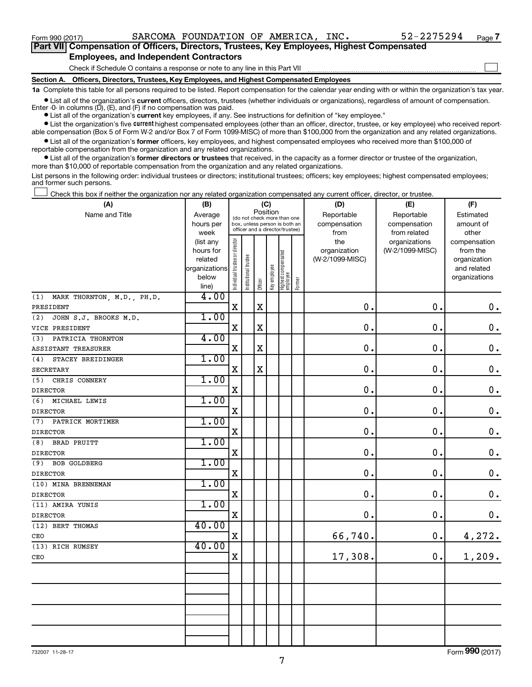$\Box$ 

| Part VII Compensation of Officers, Directors, Trustees, Key Employees, Highest Compensated |  |
|--------------------------------------------------------------------------------------------|--|
| <b>Employees, and Independent Contractors</b>                                              |  |

Check if Schedule O contains a response or note to any line in this Part VII

**Section A. Officers, Directors, Trustees, Key Employees, and Highest Compensated Employees**

**1a**  Complete this table for all persons required to be listed. Report compensation for the calendar year ending with or within the organization's tax year.

**•** List all of the organization's current officers, directors, trustees (whether individuals or organizations), regardless of amount of compensation. Enter -0- in columns  $(D)$ ,  $(E)$ , and  $(F)$  if no compensation was paid.

**•** List all of the organization's **current** key employees, if any. See instructions for definition of "key employee."

**•** List the organization's five current highest compensated employees (other than an officer, director, trustee, or key employee) who received reportable compensation (Box 5 of Form W-2 and/or Box 7 of Form 1099-MISC) of more than \$100,000 from the organization and any related organizations.

**•** List all of the organization's former officers, key employees, and highest compensated employees who received more than \$100,000 of reportable compensation from the organization and any related organizations.

**•** List all of the organization's former directors or trustees that received, in the capacity as a former director or trustee of the organization, more than \$10,000 of reportable compensation from the organization and any related organizations.

List persons in the following order: individual trustees or directors; institutional trustees; officers; key employees; highest compensated employees; and former such persons.

Check this box if neither the organization nor any related organization compensated any current officer, director, or trustee.  $\Box$ 

| (A)                               | (B)                  | (C)                            |                                         |                                                                  |              |                                   |        | (D)                             | (E)             | (F)                      |  |  |
|-----------------------------------|----------------------|--------------------------------|-----------------------------------------|------------------------------------------------------------------|--------------|-----------------------------------|--------|---------------------------------|-----------------|--------------------------|--|--|
| Name and Title                    | Average              |                                | Position<br>(do not check more than one |                                                                  |              |                                   |        | Reportable                      | Reportable      | Estimated                |  |  |
|                                   | hours per            |                                |                                         | box, unless person is both an<br>officer and a director/trustee) |              |                                   |        | compensation                    | compensation    | amount of                |  |  |
|                                   | week                 |                                |                                         |                                                                  |              |                                   |        | from                            | from related    | other                    |  |  |
|                                   | (list any            |                                |                                         |                                                                  |              |                                   |        | the                             | organizations   | compensation             |  |  |
|                                   | hours for<br>related |                                |                                         |                                                                  |              |                                   |        | organization<br>(W-2/1099-MISC) | (W-2/1099-MISC) | from the<br>organization |  |  |
|                                   | organizations        |                                |                                         |                                                                  |              |                                   |        |                                 |                 | and related              |  |  |
|                                   | below                |                                |                                         |                                                                  |              |                                   |        |                                 |                 | organizations            |  |  |
|                                   | line)                | Individual trustee or director | Institutional trustee                   | Officer                                                          | Key employee | Highest compensated<br>  employee | Former |                                 |                 |                          |  |  |
| MARK THORNTON, M.D., PH.D.<br>(1) | 4.00                 |                                |                                         |                                                                  |              |                                   |        |                                 |                 |                          |  |  |
| PRESIDENT                         |                      | $\mathbf x$                    |                                         | $\mathbf X$                                                      |              |                                   |        | $\mathbf 0$ .                   | 0.              | $\mathbf 0$ .            |  |  |
| JOHN S.J. BROOKS M.D.<br>(2)      | 1.00                 |                                |                                         |                                                                  |              |                                   |        |                                 |                 |                          |  |  |
| VICE PRESIDENT                    |                      | $\mathbf X$                    |                                         | $\mathbf X$                                                      |              |                                   |        | $\mathbf 0$ .                   | 0.              | $\mathbf 0$ .            |  |  |
| PATRICIA THORNTON<br>(3)          | 4.00                 |                                |                                         |                                                                  |              |                                   |        |                                 |                 |                          |  |  |
| <b>ASSISTANT TREASURER</b>        |                      | X                              |                                         | $\mathbf X$                                                      |              |                                   |        | $\mathbf 0$ .                   | 0.              | $\boldsymbol{0}$ .       |  |  |
| STACEY BREIDINGER<br>(4)          | 1.00                 |                                |                                         |                                                                  |              |                                   |        |                                 |                 |                          |  |  |
| <b>SECRETARY</b>                  |                      | X                              |                                         | $\mathbf X$                                                      |              |                                   |        | $\mathbf 0$ .                   | $\mathbf 0$ .   | $\mathbf 0$ .            |  |  |
| CHRIS CONNERY<br>(5)              | 1.00                 |                                |                                         |                                                                  |              |                                   |        |                                 |                 |                          |  |  |
| <b>DIRECTOR</b>                   |                      | X                              |                                         |                                                                  |              |                                   |        | 0.                              | $\mathbf 0$ .   | $\mathbf 0$ .            |  |  |
| (6)<br>MICHAEL LEWIS              | 1.00                 |                                |                                         |                                                                  |              |                                   |        |                                 |                 |                          |  |  |
| <b>DIRECTOR</b>                   |                      | $\mathbf X$                    |                                         |                                                                  |              |                                   |        | $\mathbf 0$ .                   | $\mathbf 0$ .   | $\mathbf 0$ .            |  |  |
| PATRICK MORTIMER<br>(7)           | 1.00                 |                                |                                         |                                                                  |              |                                   |        |                                 |                 |                          |  |  |
| <b>DIRECTOR</b>                   |                      | $\mathbf X$                    |                                         |                                                                  |              |                                   |        | 0.                              | $\mathbf 0$ .   | $\mathbf 0$ .            |  |  |
| BRAD PRUITT<br>(8)                | 1.00                 |                                |                                         |                                                                  |              |                                   |        |                                 |                 |                          |  |  |
| <b>DIRECTOR</b>                   |                      | $\mathbf X$                    |                                         |                                                                  |              |                                   |        | $\mathbf 0$ .                   | 0.              | $\mathbf 0$ .            |  |  |
| <b>BOB GOLDBERG</b><br>(9)        | 1.00                 |                                |                                         |                                                                  |              |                                   |        |                                 |                 |                          |  |  |
| <b>DIRECTOR</b>                   |                      | $\mathbf X$                    |                                         |                                                                  |              |                                   |        | 0.                              | 0.              | $\boldsymbol{0}$ .       |  |  |
| (10) MINA BRENNEMAN               | 1.00                 |                                |                                         |                                                                  |              |                                   |        |                                 |                 |                          |  |  |
| <b>DIRECTOR</b>                   |                      | $\mathbf X$                    |                                         |                                                                  |              |                                   |        | $\mathbf 0$ .                   | 0.              | $\mathbf 0$ .            |  |  |
| (11) AMIRA YUNIS                  | 1.00                 |                                |                                         |                                                                  |              |                                   |        |                                 |                 |                          |  |  |
| <b>DIRECTOR</b>                   |                      | $\mathbf X$                    |                                         |                                                                  |              |                                   |        | 0.                              | 0.              | $\mathbf 0$ .            |  |  |
| (12) BERT THOMAS                  | 40.00                |                                |                                         |                                                                  |              |                                   |        |                                 |                 |                          |  |  |
| CEO                               |                      | $\mathbf X$                    |                                         |                                                                  |              |                                   |        | 66,740.                         | 0.              | 4,272.                   |  |  |
| (13) RICH RUMSEY                  | 40.00                |                                |                                         |                                                                  |              |                                   |        |                                 |                 |                          |  |  |
| CEO                               |                      | $\mathbf X$                    |                                         |                                                                  |              |                                   |        | 17,308.                         | 0.              | 1,209.                   |  |  |
|                                   |                      |                                |                                         |                                                                  |              |                                   |        |                                 |                 |                          |  |  |
|                                   |                      |                                |                                         |                                                                  |              |                                   |        |                                 |                 |                          |  |  |
|                                   |                      |                                |                                         |                                                                  |              |                                   |        |                                 |                 |                          |  |  |
|                                   |                      |                                |                                         |                                                                  |              |                                   |        |                                 |                 |                          |  |  |
|                                   |                      |                                |                                         |                                                                  |              |                                   |        |                                 |                 |                          |  |  |
|                                   |                      |                                |                                         |                                                                  |              |                                   |        |                                 |                 |                          |  |  |
|                                   |                      |                                |                                         |                                                                  |              |                                   |        |                                 |                 |                          |  |  |
|                                   |                      |                                |                                         |                                                                  |              |                                   |        |                                 |                 |                          |  |  |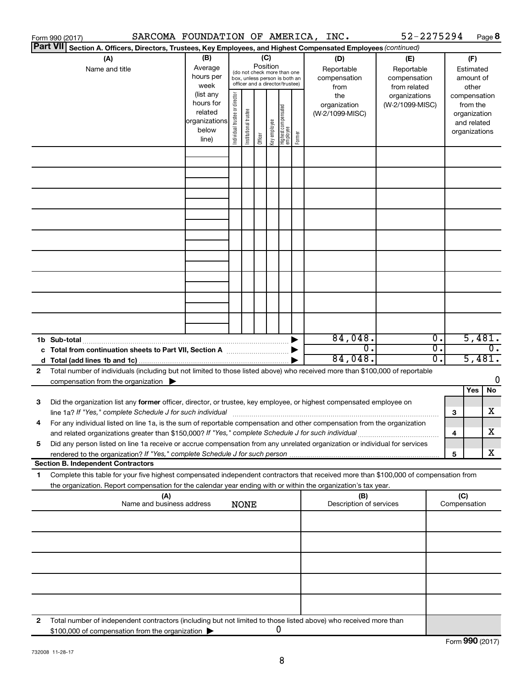|    | SARCOMA FOUNDATION OF AMERICA, INC.<br>Form 990 (2017)                                                                               |                                                    |                                |                       |         |                                                   |        |                                | 52-2275294      |                  |                     | Page 8           |
|----|--------------------------------------------------------------------------------------------------------------------------------------|----------------------------------------------------|--------------------------------|-----------------------|---------|---------------------------------------------------|--------|--------------------------------|-----------------|------------------|---------------------|------------------|
|    | <b>Part VII</b><br>Section A. Officers, Directors, Trustees, Key Employees, and Highest Compensated Employees (continued)            |                                                    |                                |                       |         |                                                   |        |                                |                 |                  |                     |                  |
|    | (A)                                                                                                                                  | (B)                                                |                                |                       | (C)     |                                                   |        | (D)                            | (E)             |                  |                     | (F)              |
|    | Name and title                                                                                                                       | Position<br>Average<br>(do not check more than one |                                |                       |         |                                                   |        | Reportable                     | Reportable      |                  |                     | Estimated        |
|    |                                                                                                                                      | hours per                                          |                                |                       |         | box, unless person is both an                     |        | compensation                   | compensation    |                  |                     | amount of        |
|    |                                                                                                                                      | week                                               |                                |                       |         | officer and a director/trustee)                   |        | from                           | from related    |                  |                     | other            |
|    |                                                                                                                                      | (list any                                          |                                |                       |         |                                                   |        | the                            | organizations   |                  |                     | compensation     |
|    |                                                                                                                                      | hours for                                          |                                |                       |         |                                                   |        | organization                   | (W-2/1099-MISC) |                  |                     | from the         |
|    |                                                                                                                                      | related<br>organizations                           |                                |                       |         |                                                   |        | (W-2/1099-MISC)                |                 |                  |                     | organization     |
|    |                                                                                                                                      | below                                              |                                |                       |         |                                                   |        |                                |                 |                  |                     | and related      |
|    |                                                                                                                                      | line)                                              | Individual trustee or director | Institutional trustee | Officer | Highest compensated<br>  employee<br>Key employee | Former |                                |                 |                  |                     | organizations    |
|    |                                                                                                                                      |                                                    |                                |                       |         |                                                   |        |                                |                 |                  |                     |                  |
|    |                                                                                                                                      |                                                    |                                |                       |         |                                                   |        |                                |                 |                  |                     |                  |
|    |                                                                                                                                      |                                                    |                                |                       |         |                                                   |        |                                |                 |                  |                     |                  |
|    |                                                                                                                                      |                                                    |                                |                       |         |                                                   |        |                                |                 |                  |                     |                  |
|    |                                                                                                                                      |                                                    |                                |                       |         |                                                   |        |                                |                 |                  |                     |                  |
|    |                                                                                                                                      |                                                    |                                |                       |         |                                                   |        |                                |                 |                  |                     |                  |
|    |                                                                                                                                      |                                                    |                                |                       |         |                                                   |        |                                |                 |                  |                     |                  |
|    |                                                                                                                                      |                                                    |                                |                       |         |                                                   |        |                                |                 |                  |                     |                  |
|    |                                                                                                                                      |                                                    |                                |                       |         |                                                   |        |                                |                 |                  |                     |                  |
|    |                                                                                                                                      |                                                    |                                |                       |         |                                                   |        |                                |                 |                  |                     |                  |
|    |                                                                                                                                      |                                                    |                                |                       |         |                                                   |        |                                |                 |                  |                     |                  |
|    |                                                                                                                                      |                                                    |                                |                       |         |                                                   |        |                                |                 |                  |                     |                  |
|    |                                                                                                                                      |                                                    |                                |                       |         |                                                   |        |                                |                 |                  |                     |                  |
|    |                                                                                                                                      |                                                    |                                |                       |         |                                                   |        |                                |                 |                  |                     |                  |
|    |                                                                                                                                      |                                                    |                                |                       |         |                                                   |        |                                |                 |                  |                     |                  |
|    |                                                                                                                                      |                                                    |                                |                       |         |                                                   |        |                                |                 |                  |                     |                  |
|    | 1b Sub-total                                                                                                                         |                                                    |                                |                       |         |                                                   |        | 84,048.                        |                 | $\overline{0}$ . |                     | 5,481.           |
|    | c Total from continuation sheets to Part VII, Section A manufactured by                                                              |                                                    |                                |                       |         |                                                   |        | $\overline{0}$ .               |                 | $\overline{0}$ . |                     | $\overline{0}$ . |
|    |                                                                                                                                      |                                                    |                                |                       |         |                                                   |        | 84,048.                        |                 | 0.               |                     | 5,481.           |
| 2  | Total number of individuals (including but not limited to those listed above) who received more than \$100,000 of reportable         |                                                    |                                |                       |         |                                                   |        |                                |                 |                  |                     |                  |
|    | compensation from the organization $\blacktriangleright$                                                                             |                                                    |                                |                       |         |                                                   |        |                                |                 |                  |                     | 0                |
|    |                                                                                                                                      |                                                    |                                |                       |         |                                                   |        |                                |                 |                  |                     | Yes<br>No        |
| 3  | Did the organization list any former officer, director, or trustee, key employee, or highest compensated employee on                 |                                                    |                                |                       |         |                                                   |        |                                |                 |                  |                     |                  |
|    |                                                                                                                                      |                                                    |                                |                       |         |                                                   |        |                                |                 |                  | 3                   | х                |
|    | For any individual listed on line 1a, is the sum of reportable compensation and other compensation from the organization             |                                                    |                                |                       |         |                                                   |        |                                |                 |                  |                     |                  |
|    | and related organizations greater than \$150,000? If "Yes," complete Schedule J for such individual                                  |                                                    |                                |                       |         |                                                   |        |                                |                 |                  | 4                   | х                |
| 5  | Did any person listed on line 1a receive or accrue compensation from any unrelated organization or individual for services           |                                                    |                                |                       |         |                                                   |        |                                |                 |                  |                     |                  |
|    |                                                                                                                                      |                                                    |                                |                       |         |                                                   |        |                                |                 |                  | 5                   | х                |
|    | <b>Section B. Independent Contractors</b>                                                                                            |                                                    |                                |                       |         |                                                   |        |                                |                 |                  |                     |                  |
| 1. | Complete this table for your five highest compensated independent contractors that received more than \$100,000 of compensation from |                                                    |                                |                       |         |                                                   |        |                                |                 |                  |                     |                  |
|    | the organization. Report compensation for the calendar year ending with or within the organization's tax year.                       |                                                    |                                |                       |         |                                                   |        |                                |                 |                  |                     |                  |
|    | (A)<br>Name and business address                                                                                                     |                                                    |                                | <b>NONE</b>           |         |                                                   |        | (B)<br>Description of services |                 |                  | (C)<br>Compensation |                  |
|    |                                                                                                                                      |                                                    |                                |                       |         |                                                   |        |                                |                 |                  |                     |                  |
|    |                                                                                                                                      |                                                    |                                |                       |         |                                                   |        |                                |                 |                  |                     |                  |
|    |                                                                                                                                      |                                                    |                                |                       |         |                                                   |        |                                |                 |                  |                     |                  |
|    |                                                                                                                                      |                                                    |                                |                       |         |                                                   |        |                                |                 |                  |                     |                  |
|    |                                                                                                                                      |                                                    |                                |                       |         |                                                   |        |                                |                 |                  |                     |                  |
|    |                                                                                                                                      |                                                    |                                |                       |         |                                                   |        |                                |                 |                  |                     |                  |
|    |                                                                                                                                      |                                                    |                                |                       |         |                                                   |        |                                |                 |                  |                     |                  |
|    |                                                                                                                                      |                                                    |                                |                       |         |                                                   |        |                                |                 |                  |                     |                  |
|    |                                                                                                                                      |                                                    |                                |                       |         |                                                   |        |                                |                 |                  |                     |                  |
| 2  | Total number of independent contractors (including but not limited to those listed above) who received more than                     |                                                    |                                |                       |         |                                                   |        |                                |                 |                  |                     |                  |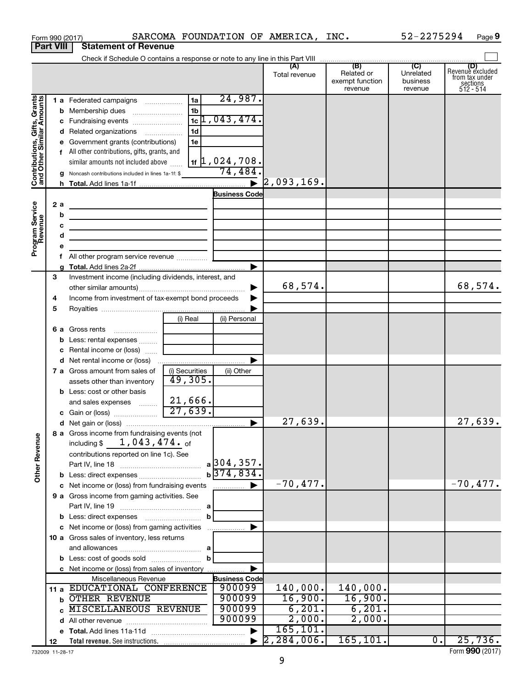|                                                           | Form 990 (2017)  |                                                                                              |                           |                             | SARCOMA FOUNDATION OF AMERICA, INC. |                                                 | 52-2275294                                         | Page 9                                                      |
|-----------------------------------------------------------|------------------|----------------------------------------------------------------------------------------------|---------------------------|-----------------------------|-------------------------------------|-------------------------------------------------|----------------------------------------------------|-------------------------------------------------------------|
|                                                           | <b>Part VIII</b> | <b>Statement of Revenue</b>                                                                  |                           |                             |                                     |                                                 |                                                    |                                                             |
|                                                           |                  |                                                                                              |                           |                             |                                     |                                                 |                                                    |                                                             |
|                                                           |                  |                                                                                              |                           |                             | (A)<br>Total revenue                | (B)<br>Related or<br>exempt function<br>revenue | $\overline{C}$<br>Unrelated<br>business<br>revenue | Revenue excluded<br>trom tax under<br>sections<br>512 - 514 |
|                                                           |                  | 1 a Federated campaigns                                                                      | 1a                        | 24,987.                     |                                     |                                                 |                                                    |                                                             |
|                                                           |                  | <b>b</b> Membership dues                                                                     | 1 <sub>b</sub>            |                             |                                     |                                                 |                                                    |                                                             |
| Contributions, Gifts, Grants<br>and Other Similar Amounts |                  |                                                                                              |                           | $1c$ , 043, 474.            |                                     |                                                 |                                                    |                                                             |
|                                                           |                  | d Related organizations                                                                      | 1 <sub>d</sub>            |                             |                                     |                                                 |                                                    |                                                             |
|                                                           |                  | e Government grants (contributions)                                                          | 1e                        |                             |                                     |                                                 |                                                    |                                                             |
|                                                           |                  | f All other contributions, gifts, grants, and                                                |                           |                             |                                     |                                                 |                                                    |                                                             |
|                                                           |                  | similar amounts not included above                                                           |                           | $1$ if $\vert$ 1, 024, 708. |                                     |                                                 |                                                    |                                                             |
|                                                           |                  | <b>g</b> Noncash contributions included in lines 1a-1f: $\frac{1}{2}$ <b>74, 484.</b>        |                           |                             |                                     |                                                 |                                                    |                                                             |
|                                                           |                  |                                                                                              |                           | $\blacktriangleright$       | 2,093,169.                          |                                                 |                                                    |                                                             |
|                                                           |                  |                                                                                              |                           | <b>Business Code</b>        |                                     |                                                 |                                                    |                                                             |
|                                                           | 2 a              | the control of the control of the control of the control of the control of                   |                           |                             |                                     |                                                 |                                                    |                                                             |
|                                                           | b                | <u> 1989 - Johann Barbara, martxa alemaniar a</u>                                            |                           |                             |                                     |                                                 |                                                    |                                                             |
|                                                           | с<br>d           | <u> 1989 - Johann Barn, amerikansk politiker (</u>                                           |                           |                             |                                     |                                                 |                                                    |                                                             |
| Program Service<br>Revenue                                | е                | the contract of the contract of the contract of the contract of the contract of              |                           |                             |                                     |                                                 |                                                    |                                                             |
|                                                           | f.               | All other program service revenue                                                            |                           |                             |                                     |                                                 |                                                    |                                                             |
|                                                           |                  |                                                                                              |                           | ▶                           |                                     |                                                 |                                                    |                                                             |
|                                                           | З                | Investment income (including dividends, interest, and                                        |                           |                             |                                     |                                                 |                                                    |                                                             |
|                                                           |                  |                                                                                              |                           |                             | 68,574.                             |                                                 |                                                    | 68,574.                                                     |
|                                                           | 4                | Income from investment of tax-exempt bond proceeds                                           |                           |                             |                                     |                                                 |                                                    |                                                             |
|                                                           | 5                |                                                                                              |                           |                             |                                     |                                                 |                                                    |                                                             |
|                                                           |                  |                                                                                              | (i) Real                  | (ii) Personal               |                                     |                                                 |                                                    |                                                             |
|                                                           |                  |                                                                                              |                           |                             |                                     |                                                 |                                                    |                                                             |
|                                                           |                  | <b>b</b> Less: rental expenses  [                                                            |                           |                             |                                     |                                                 |                                                    |                                                             |
|                                                           |                  | c Rental income or (loss)                                                                    |                           |                             |                                     |                                                 |                                                    |                                                             |
|                                                           |                  |                                                                                              |                           | ▶                           |                                     |                                                 |                                                    |                                                             |
|                                                           |                  | 7 a Gross amount from sales of                                                               | (i) Securities<br>49,305. | (ii) Other                  |                                     |                                                 |                                                    |                                                             |
|                                                           |                  | assets other than inventory<br><b>b</b> Less: cost or other basis                            |                           |                             |                                     |                                                 |                                                    |                                                             |
|                                                           |                  | and sales expenses                                                                           | 21,666.                   |                             |                                     |                                                 |                                                    |                                                             |
|                                                           |                  | c Gain or (loss)                                                                             | 27,639.                   |                             |                                     |                                                 |                                                    |                                                             |
|                                                           |                  |                                                                                              |                           |                             | 27,639.                             |                                                 |                                                    | 27,639.                                                     |
|                                                           |                  | 8 a Gross income from fundraising events (not                                                |                           |                             |                                     |                                                 |                                                    |                                                             |
|                                                           |                  | including $$ 1,043,474.$ of                                                                  |                           |                             |                                     |                                                 |                                                    |                                                             |
|                                                           |                  | contributions reported on line 1c). See                                                      |                           |                             |                                     |                                                 |                                                    |                                                             |
|                                                           |                  |                                                                                              |                           | $a$ 304, 357.               |                                     |                                                 |                                                    |                                                             |
| <b>Other Revenue</b>                                      |                  |                                                                                              |                           | $b\overline{374,834}$       |                                     |                                                 |                                                    |                                                             |
|                                                           |                  |                                                                                              |                           |                             | $-70,477.$                          |                                                 |                                                    | $-70,477.$                                                  |
|                                                           |                  | 9 a Gross income from gaming activities. See                                                 |                           |                             |                                     |                                                 |                                                    |                                                             |
|                                                           |                  |                                                                                              |                           |                             |                                     |                                                 |                                                    |                                                             |
|                                                           |                  |                                                                                              | b                         |                             |                                     |                                                 |                                                    |                                                             |
|                                                           |                  | c Net income or (loss) from gaming activities<br>10 a Gross sales of inventory, less returns |                           |                             |                                     |                                                 |                                                    |                                                             |
|                                                           |                  |                                                                                              |                           |                             |                                     |                                                 |                                                    |                                                             |
|                                                           |                  |                                                                                              | b                         |                             |                                     |                                                 |                                                    |                                                             |
|                                                           |                  | c Net income or (loss) from sales of inventory                                               |                           |                             |                                     |                                                 |                                                    |                                                             |
|                                                           |                  | Miscellaneous Revenue                                                                        |                           | <b>Business Code</b>        |                                     |                                                 |                                                    |                                                             |
|                                                           |                  | 11 a EDUCATIONAL CONFERENCE                                                                  |                           | 900099                      | 140,000.                            | 140,000.                                        |                                                    |                                                             |
|                                                           |                  | <b>b OTHER REVENUE</b>                                                                       |                           | 900099                      | 16,900.                             | 16,900.                                         |                                                    |                                                             |
|                                                           |                  | <b>MISCELLANEOUS REVENUE</b>                                                                 |                           | 900099                      | 6, 201.                             | 6, 201.                                         |                                                    |                                                             |
|                                                           |                  |                                                                                              |                           | 900099                      | 2,000.                              | 2,000.                                          |                                                    |                                                             |
|                                                           |                  |                                                                                              |                           |                             | 165, 101.                           |                                                 |                                                    |                                                             |
|                                                           | 12               |                                                                                              |                           |                             |                                     | 165, 101.                                       | $0$ .                                              | 25,736.                                                     |

732009 11-28-17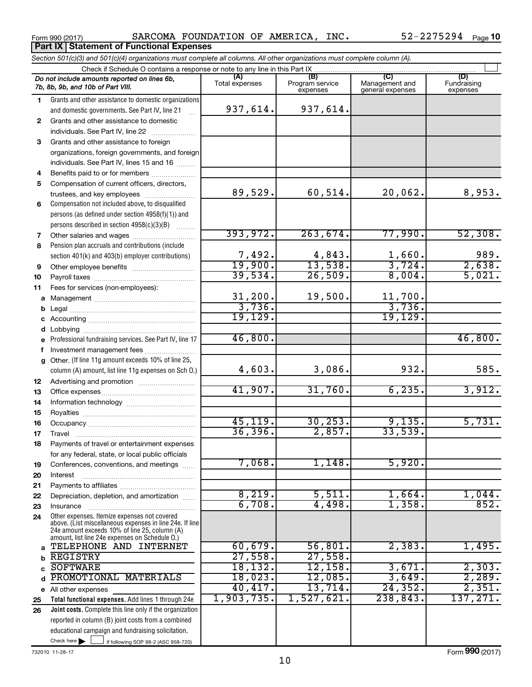**Part IX Statement of Functional Expenses** 

Form 990 (2017) SARCOMA FOUNDATION OF AMERICA, INC.  $52-2275294$  Page

|              | Section 501(c)(3) and 501(c)(4) organizations must complete all columns. All other organizations must complete column (A).                                  |                       |                                    |                                           |                                |  |  |  |  |  |  |  |
|--------------|-------------------------------------------------------------------------------------------------------------------------------------------------------------|-----------------------|------------------------------------|-------------------------------------------|--------------------------------|--|--|--|--|--|--|--|
|              | Check if Schedule O contains a response or note to any line in this Part IX                                                                                 |                       |                                    |                                           |                                |  |  |  |  |  |  |  |
|              | Do not include amounts reported on lines 6b,<br>7b, 8b, 9b, and 10b of Part VIII.                                                                           | (A)<br>Total expenses | (B)<br>Program service<br>expenses | (C)<br>Management and<br>general expenses | (D)<br>Fundraising<br>expenses |  |  |  |  |  |  |  |
| 1.           | Grants and other assistance to domestic organizations                                                                                                       |                       |                                    |                                           |                                |  |  |  |  |  |  |  |
|              | and domestic governments. See Part IV, line 21                                                                                                              | 937,614.              | 937,614.                           |                                           |                                |  |  |  |  |  |  |  |
| $\mathbf{2}$ | Grants and other assistance to domestic                                                                                                                     |                       |                                    |                                           |                                |  |  |  |  |  |  |  |
|              | individuals. See Part IV, line 22                                                                                                                           |                       |                                    |                                           |                                |  |  |  |  |  |  |  |
| 3            | Grants and other assistance to foreign                                                                                                                      |                       |                                    |                                           |                                |  |  |  |  |  |  |  |
|              | organizations, foreign governments, and foreign                                                                                                             |                       |                                    |                                           |                                |  |  |  |  |  |  |  |
|              | individuals. See Part IV, lines 15 and 16                                                                                                                   |                       |                                    |                                           |                                |  |  |  |  |  |  |  |
| 4            | Benefits paid to or for members                                                                                                                             |                       |                                    |                                           |                                |  |  |  |  |  |  |  |
| 5            | Compensation of current officers, directors,                                                                                                                |                       |                                    |                                           |                                |  |  |  |  |  |  |  |
|              | trustees, and key employees                                                                                                                                 | 89,529.               | 60,514.                            | 20,062.                                   | 8,953.                         |  |  |  |  |  |  |  |
| 6            | Compensation not included above, to disqualified                                                                                                            |                       |                                    |                                           |                                |  |  |  |  |  |  |  |
|              | persons (as defined under section 4958(f)(1)) and                                                                                                           |                       |                                    |                                           |                                |  |  |  |  |  |  |  |
|              | persons described in section 4958(c)(3)(B)                                                                                                                  |                       |                                    |                                           |                                |  |  |  |  |  |  |  |
| 7            |                                                                                                                                                             | 393,972.              | 263,674.                           | 77,990.                                   | 52,308.                        |  |  |  |  |  |  |  |
| 8            | Pension plan accruals and contributions (include                                                                                                            |                       |                                    |                                           |                                |  |  |  |  |  |  |  |
|              | section 401(k) and 403(b) employer contributions)                                                                                                           | 7,492.<br>19,900.     | $\frac{4,843}{13,538}$             | 1,660.                                    | 989.                           |  |  |  |  |  |  |  |
| 9            |                                                                                                                                                             |                       |                                    | 3,724.                                    | 2,638.                         |  |  |  |  |  |  |  |
| 10           |                                                                                                                                                             | 39,534.               | 26,509.                            | 8,004.                                    | 5,021.                         |  |  |  |  |  |  |  |
| 11           | Fees for services (non-employees):                                                                                                                          |                       |                                    |                                           |                                |  |  |  |  |  |  |  |
| a            |                                                                                                                                                             | 31,200.<br>3,736.     | 19,500.                            | 11,700.<br>3,736.                         |                                |  |  |  |  |  |  |  |
| b            |                                                                                                                                                             | 19, 129.              |                                    | 19, 129.                                  |                                |  |  |  |  |  |  |  |
| с            |                                                                                                                                                             |                       |                                    |                                           |                                |  |  |  |  |  |  |  |
| d            |                                                                                                                                                             | 46,800.               |                                    |                                           | 46,800.                        |  |  |  |  |  |  |  |
| e            | Professional fundraising services. See Part IV, line 17                                                                                                     |                       |                                    |                                           |                                |  |  |  |  |  |  |  |
| f            | Investment management fees                                                                                                                                  |                       |                                    |                                           |                                |  |  |  |  |  |  |  |
| g            | Other. (If line 11g amount exceeds 10% of line 25,<br>column (A) amount, list line 11g expenses on Sch O.)                                                  | 4,603.                | 3,086.                             | 932.                                      | 585.                           |  |  |  |  |  |  |  |
| 12           |                                                                                                                                                             |                       |                                    |                                           |                                |  |  |  |  |  |  |  |
| 13           |                                                                                                                                                             | 41,907.               | 31,760.                            | 6, 235.                                   | 3,912.                         |  |  |  |  |  |  |  |
| 14           |                                                                                                                                                             |                       |                                    |                                           |                                |  |  |  |  |  |  |  |
| 15           |                                                                                                                                                             |                       |                                    |                                           |                                |  |  |  |  |  |  |  |
| 16           |                                                                                                                                                             | 45, 119.              | 30, 253.                           | 9,135.                                    | 5,731.                         |  |  |  |  |  |  |  |
| 17           |                                                                                                                                                             | 36, 396.              | 2,857.                             | 33,539.                                   |                                |  |  |  |  |  |  |  |
| 18           | Payments of travel or entertainment expenses                                                                                                                |                       |                                    |                                           |                                |  |  |  |  |  |  |  |
|              | for any federal, state, or local public officials                                                                                                           | 7,068.                | 1,148.                             | 5,920.                                    |                                |  |  |  |  |  |  |  |
| 19           | Conferences, conventions, and meetings                                                                                                                      |                       |                                    |                                           |                                |  |  |  |  |  |  |  |
| 20           | Interest                                                                                                                                                    |                       |                                    |                                           |                                |  |  |  |  |  |  |  |
| 21           |                                                                                                                                                             | 8,219.                | 5,511.                             | 1,664.                                    | 1,044.                         |  |  |  |  |  |  |  |
| 22           | Depreciation, depletion, and amortization                                                                                                                   | 6,708.                | 4,498.                             | 1,358                                     | 852.                           |  |  |  |  |  |  |  |
| 23<br>24     | Insurance<br>Other expenses. Itemize expenses not covered                                                                                                   |                       |                                    |                                           |                                |  |  |  |  |  |  |  |
|              | above. (List miscellaneous expenses in line 24e. If line<br>24e amount exceeds 10% of line 25, column (A)<br>amount, list line 24e expenses on Schedule O.) |                       |                                    |                                           |                                |  |  |  |  |  |  |  |
| a            | TELEPHONE AND INTERNET                                                                                                                                      | 60,679.               | 56,801.                            | 2,383.                                    | 1,495.                         |  |  |  |  |  |  |  |
| b            | <b>REGISTRY</b>                                                                                                                                             | 27,558.               | 27,558.                            |                                           |                                |  |  |  |  |  |  |  |
| C            | <b>SOFTWARE</b>                                                                                                                                             | 18, 132.              | $12,158$ .                         | 3,671.                                    | 2,303.                         |  |  |  |  |  |  |  |
| d            | PROMOTIONAL MATERIALS                                                                                                                                       | 18,023.               | 12,085.                            | 3,649.                                    | 2,289.                         |  |  |  |  |  |  |  |
|              | e All other expenses                                                                                                                                        | 40,417.               | 13,714.                            | 24, 352.                                  | 2,351.                         |  |  |  |  |  |  |  |
| 25           | Total functional expenses. Add lines 1 through 24e                                                                                                          | 1,903,735.            | 1,527,621.                         | 238,843.                                  | 137, 271.                      |  |  |  |  |  |  |  |
| 26           | Joint costs. Complete this line only if the organization                                                                                                    |                       |                                    |                                           |                                |  |  |  |  |  |  |  |
|              | reported in column (B) joint costs from a combined                                                                                                          |                       |                                    |                                           |                                |  |  |  |  |  |  |  |
|              | educational campaign and fundraising solicitation.                                                                                                          |                       |                                    |                                           |                                |  |  |  |  |  |  |  |
|              | Check here $\blacktriangleright$<br>if following SOP 98-2 (ASC 958-720)                                                                                     |                       |                                    |                                           |                                |  |  |  |  |  |  |  |

732010 11-28-17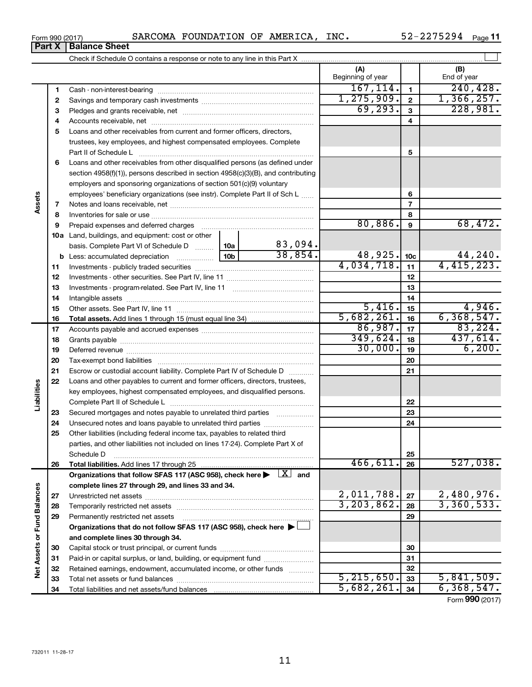|  | Form 990 (2017) | <b>SARCOMA</b> | FOUNDATION | OF | AMERICA | INC. | 75294<br><u>חהרה</u><br>– 2 ب<br>44 I | Page |  |
|--|-----------------|----------------|------------|----|---------|------|---------------------------------------|------|--|
|--|-----------------|----------------|------------|----|---------|------|---------------------------------------|------|--|

| (A)<br>(B)<br>Beginning of year<br>End of year<br>167, 114.<br>240, 428.<br>$\mathbf{1}$<br>1<br>1, 275, 909.<br>1,366,257.<br>$\mathbf{2}$<br>2<br>69, 293.<br>3<br>3<br>4<br>4<br>5<br>Loans and other receivables from current and former officers, directors,<br>trustees, key employees, and highest compensated employees. Complete<br>5<br>Part II of Schedule Latin and Communication of Schedule Latin and Communication of Schedule Latin and Schedule<br>Loans and other receivables from other disqualified persons (as defined under<br>6<br>section 4958(f)(1)), persons described in section 4958(c)(3)(B), and contributing<br>employers and sponsoring organizations of section 501(c)(9) voluntary<br>employees' beneficiary organizations (see instr). Complete Part II of Sch L<br>6<br>Assets<br>$\overline{7}$<br>7<br>8<br>8<br>80,886.<br>68,472.<br>9<br>9<br>10a Land, buildings, and equipment: cost or other<br>83,094.<br>10a<br>basis. Complete Part VI of Schedule D<br>38,854.<br>$48,925.$ 10c<br>44,240.<br>10 <sub>b</sub><br><b>b</b> Less: accumulated depreciation <i></i><br>4,415,223.<br>4,034,718.<br>11<br>11<br>12<br>12<br>13<br>13<br>14<br>14<br>5,416.<br>4,946.<br>15<br>15<br>5,682,261.<br>6, 368, 547.<br>16<br>16<br>86,987.<br>83, 224.<br>17<br>17<br>349,624.<br>437,614.<br>18<br>18<br>30,000.<br>6, 200.<br>19<br>19<br>20<br>20<br>21<br>21<br>Escrow or custodial account liability. Complete Part IV of Schedule D<br>22<br>Loans and other payables to current and former officers, directors, trustees,<br>Liabilities<br>key employees, highest compensated employees, and disqualified persons.<br>22<br>23<br>Secured mortgages and notes payable to unrelated third parties<br>23<br>Unsecured notes and loans payable to unrelated third parties<br>24<br>24<br>Other liabilities (including federal income tax, payables to related third<br>25<br>parties, and other liabilities not included on lines 17-24). Complete Part X of<br>25<br>Schedule D<br>466,611<br>527,038.<br>26<br>26<br>Organizations that follow SFAS 117 (ASC 958), check here $\blacktriangleright \begin{array}{c} \perp X \end{array}$ and<br>complete lines 27 through 29, and lines 33 and 34.<br>Net Assets or Fund Balances<br>2,011,788.<br>2,480,976.<br>27<br>27<br>3, 203, 862.<br>3,360,533.<br>28<br>28<br>29<br>Permanently restricted net assets<br>29<br>Organizations that do not follow SFAS 117 (ASC 958), check here $\blacktriangleright$<br>and complete lines 30 through 34.<br>30<br>30<br>Paid-in or capital surplus, or land, building, or equipment fund<br>31<br>31<br>Retained earnings, endowment, accumulated income, or other funds<br>32<br>32<br>5, 215, 650.<br>33<br>33 |  |    |            |    |              |
|----------------------------------------------------------------------------------------------------------------------------------------------------------------------------------------------------------------------------------------------------------------------------------------------------------------------------------------------------------------------------------------------------------------------------------------------------------------------------------------------------------------------------------------------------------------------------------------------------------------------------------------------------------------------------------------------------------------------------------------------------------------------------------------------------------------------------------------------------------------------------------------------------------------------------------------------------------------------------------------------------------------------------------------------------------------------------------------------------------------------------------------------------------------------------------------------------------------------------------------------------------------------------------------------------------------------------------------------------------------------------------------------------------------------------------------------------------------------------------------------------------------------------------------------------------------------------------------------------------------------------------------------------------------------------------------------------------------------------------------------------------------------------------------------------------------------------------------------------------------------------------------------------------------------------------------------------------------------------------------------------------------------------------------------------------------------------------------------------------------------------------------------------------------------------------------------------------------------------------------------------------------------------------------------------------------------------------------------------------------------------------------------------------------------------------------------------------------------------------------------------------------------------------------------------------------------------------------------------------------------------------------------------------------------------------------------------------------------------------------------------------|--|----|------------|----|--------------|
|                                                                                                                                                                                                                                                                                                                                                                                                                                                                                                                                                                                                                                                                                                                                                                                                                                                                                                                                                                                                                                                                                                                                                                                                                                                                                                                                                                                                                                                                                                                                                                                                                                                                                                                                                                                                                                                                                                                                                                                                                                                                                                                                                                                                                                                                                                                                                                                                                                                                                                                                                                                                                                                                                                                                                          |  |    |            |    |              |
| 228,981.                                                                                                                                                                                                                                                                                                                                                                                                                                                                                                                                                                                                                                                                                                                                                                                                                                                                                                                                                                                                                                                                                                                                                                                                                                                                                                                                                                                                                                                                                                                                                                                                                                                                                                                                                                                                                                                                                                                                                                                                                                                                                                                                                                                                                                                                                                                                                                                                                                                                                                                                                                                                                                                                                                                                                 |  |    |            |    |              |
|                                                                                                                                                                                                                                                                                                                                                                                                                                                                                                                                                                                                                                                                                                                                                                                                                                                                                                                                                                                                                                                                                                                                                                                                                                                                                                                                                                                                                                                                                                                                                                                                                                                                                                                                                                                                                                                                                                                                                                                                                                                                                                                                                                                                                                                                                                                                                                                                                                                                                                                                                                                                                                                                                                                                                          |  |    |            |    |              |
|                                                                                                                                                                                                                                                                                                                                                                                                                                                                                                                                                                                                                                                                                                                                                                                                                                                                                                                                                                                                                                                                                                                                                                                                                                                                                                                                                                                                                                                                                                                                                                                                                                                                                                                                                                                                                                                                                                                                                                                                                                                                                                                                                                                                                                                                                                                                                                                                                                                                                                                                                                                                                                                                                                                                                          |  |    |            |    |              |
|                                                                                                                                                                                                                                                                                                                                                                                                                                                                                                                                                                                                                                                                                                                                                                                                                                                                                                                                                                                                                                                                                                                                                                                                                                                                                                                                                                                                                                                                                                                                                                                                                                                                                                                                                                                                                                                                                                                                                                                                                                                                                                                                                                                                                                                                                                                                                                                                                                                                                                                                                                                                                                                                                                                                                          |  |    |            |    |              |
|                                                                                                                                                                                                                                                                                                                                                                                                                                                                                                                                                                                                                                                                                                                                                                                                                                                                                                                                                                                                                                                                                                                                                                                                                                                                                                                                                                                                                                                                                                                                                                                                                                                                                                                                                                                                                                                                                                                                                                                                                                                                                                                                                                                                                                                                                                                                                                                                                                                                                                                                                                                                                                                                                                                                                          |  |    |            |    |              |
|                                                                                                                                                                                                                                                                                                                                                                                                                                                                                                                                                                                                                                                                                                                                                                                                                                                                                                                                                                                                                                                                                                                                                                                                                                                                                                                                                                                                                                                                                                                                                                                                                                                                                                                                                                                                                                                                                                                                                                                                                                                                                                                                                                                                                                                                                                                                                                                                                                                                                                                                                                                                                                                                                                                                                          |  |    |            |    |              |
|                                                                                                                                                                                                                                                                                                                                                                                                                                                                                                                                                                                                                                                                                                                                                                                                                                                                                                                                                                                                                                                                                                                                                                                                                                                                                                                                                                                                                                                                                                                                                                                                                                                                                                                                                                                                                                                                                                                                                                                                                                                                                                                                                                                                                                                                                                                                                                                                                                                                                                                                                                                                                                                                                                                                                          |  |    |            |    |              |
|                                                                                                                                                                                                                                                                                                                                                                                                                                                                                                                                                                                                                                                                                                                                                                                                                                                                                                                                                                                                                                                                                                                                                                                                                                                                                                                                                                                                                                                                                                                                                                                                                                                                                                                                                                                                                                                                                                                                                                                                                                                                                                                                                                                                                                                                                                                                                                                                                                                                                                                                                                                                                                                                                                                                                          |  |    |            |    |              |
|                                                                                                                                                                                                                                                                                                                                                                                                                                                                                                                                                                                                                                                                                                                                                                                                                                                                                                                                                                                                                                                                                                                                                                                                                                                                                                                                                                                                                                                                                                                                                                                                                                                                                                                                                                                                                                                                                                                                                                                                                                                                                                                                                                                                                                                                                                                                                                                                                                                                                                                                                                                                                                                                                                                                                          |  |    |            |    |              |
|                                                                                                                                                                                                                                                                                                                                                                                                                                                                                                                                                                                                                                                                                                                                                                                                                                                                                                                                                                                                                                                                                                                                                                                                                                                                                                                                                                                                                                                                                                                                                                                                                                                                                                                                                                                                                                                                                                                                                                                                                                                                                                                                                                                                                                                                                                                                                                                                                                                                                                                                                                                                                                                                                                                                                          |  |    |            |    |              |
|                                                                                                                                                                                                                                                                                                                                                                                                                                                                                                                                                                                                                                                                                                                                                                                                                                                                                                                                                                                                                                                                                                                                                                                                                                                                                                                                                                                                                                                                                                                                                                                                                                                                                                                                                                                                                                                                                                                                                                                                                                                                                                                                                                                                                                                                                                                                                                                                                                                                                                                                                                                                                                                                                                                                                          |  |    |            |    |              |
|                                                                                                                                                                                                                                                                                                                                                                                                                                                                                                                                                                                                                                                                                                                                                                                                                                                                                                                                                                                                                                                                                                                                                                                                                                                                                                                                                                                                                                                                                                                                                                                                                                                                                                                                                                                                                                                                                                                                                                                                                                                                                                                                                                                                                                                                                                                                                                                                                                                                                                                                                                                                                                                                                                                                                          |  |    |            |    |              |
|                                                                                                                                                                                                                                                                                                                                                                                                                                                                                                                                                                                                                                                                                                                                                                                                                                                                                                                                                                                                                                                                                                                                                                                                                                                                                                                                                                                                                                                                                                                                                                                                                                                                                                                                                                                                                                                                                                                                                                                                                                                                                                                                                                                                                                                                                                                                                                                                                                                                                                                                                                                                                                                                                                                                                          |  |    |            |    |              |
|                                                                                                                                                                                                                                                                                                                                                                                                                                                                                                                                                                                                                                                                                                                                                                                                                                                                                                                                                                                                                                                                                                                                                                                                                                                                                                                                                                                                                                                                                                                                                                                                                                                                                                                                                                                                                                                                                                                                                                                                                                                                                                                                                                                                                                                                                                                                                                                                                                                                                                                                                                                                                                                                                                                                                          |  |    |            |    |              |
|                                                                                                                                                                                                                                                                                                                                                                                                                                                                                                                                                                                                                                                                                                                                                                                                                                                                                                                                                                                                                                                                                                                                                                                                                                                                                                                                                                                                                                                                                                                                                                                                                                                                                                                                                                                                                                                                                                                                                                                                                                                                                                                                                                                                                                                                                                                                                                                                                                                                                                                                                                                                                                                                                                                                                          |  |    |            |    |              |
|                                                                                                                                                                                                                                                                                                                                                                                                                                                                                                                                                                                                                                                                                                                                                                                                                                                                                                                                                                                                                                                                                                                                                                                                                                                                                                                                                                                                                                                                                                                                                                                                                                                                                                                                                                                                                                                                                                                                                                                                                                                                                                                                                                                                                                                                                                                                                                                                                                                                                                                                                                                                                                                                                                                                                          |  |    |            |    |              |
| 5,841,509.                                                                                                                                                                                                                                                                                                                                                                                                                                                                                                                                                                                                                                                                                                                                                                                                                                                                                                                                                                                                                                                                                                                                                                                                                                                                                                                                                                                                                                                                                                                                                                                                                                                                                                                                                                                                                                                                                                                                                                                                                                                                                                                                                                                                                                                                                                                                                                                                                                                                                                                                                                                                                                                                                                                                               |  |    |            |    |              |
|                                                                                                                                                                                                                                                                                                                                                                                                                                                                                                                                                                                                                                                                                                                                                                                                                                                                                                                                                                                                                                                                                                                                                                                                                                                                                                                                                                                                                                                                                                                                                                                                                                                                                                                                                                                                                                                                                                                                                                                                                                                                                                                                                                                                                                                                                                                                                                                                                                                                                                                                                                                                                                                                                                                                                          |  |    |            |    |              |
|                                                                                                                                                                                                                                                                                                                                                                                                                                                                                                                                                                                                                                                                                                                                                                                                                                                                                                                                                                                                                                                                                                                                                                                                                                                                                                                                                                                                                                                                                                                                                                                                                                                                                                                                                                                                                                                                                                                                                                                                                                                                                                                                                                                                                                                                                                                                                                                                                                                                                                                                                                                                                                                                                                                                                          |  |    |            |    |              |
|                                                                                                                                                                                                                                                                                                                                                                                                                                                                                                                                                                                                                                                                                                                                                                                                                                                                                                                                                                                                                                                                                                                                                                                                                                                                                                                                                                                                                                                                                                                                                                                                                                                                                                                                                                                                                                                                                                                                                                                                                                                                                                                                                                                                                                                                                                                                                                                                                                                                                                                                                                                                                                                                                                                                                          |  |    |            |    |              |
|                                                                                                                                                                                                                                                                                                                                                                                                                                                                                                                                                                                                                                                                                                                                                                                                                                                                                                                                                                                                                                                                                                                                                                                                                                                                                                                                                                                                                                                                                                                                                                                                                                                                                                                                                                                                                                                                                                                                                                                                                                                                                                                                                                                                                                                                                                                                                                                                                                                                                                                                                                                                                                                                                                                                                          |  |    |            |    |              |
|                                                                                                                                                                                                                                                                                                                                                                                                                                                                                                                                                                                                                                                                                                                                                                                                                                                                                                                                                                                                                                                                                                                                                                                                                                                                                                                                                                                                                                                                                                                                                                                                                                                                                                                                                                                                                                                                                                                                                                                                                                                                                                                                                                                                                                                                                                                                                                                                                                                                                                                                                                                                                                                                                                                                                          |  |    |            |    |              |
|                                                                                                                                                                                                                                                                                                                                                                                                                                                                                                                                                                                                                                                                                                                                                                                                                                                                                                                                                                                                                                                                                                                                                                                                                                                                                                                                                                                                                                                                                                                                                                                                                                                                                                                                                                                                                                                                                                                                                                                                                                                                                                                                                                                                                                                                                                                                                                                                                                                                                                                                                                                                                                                                                                                                                          |  |    |            |    |              |
|                                                                                                                                                                                                                                                                                                                                                                                                                                                                                                                                                                                                                                                                                                                                                                                                                                                                                                                                                                                                                                                                                                                                                                                                                                                                                                                                                                                                                                                                                                                                                                                                                                                                                                                                                                                                                                                                                                                                                                                                                                                                                                                                                                                                                                                                                                                                                                                                                                                                                                                                                                                                                                                                                                                                                          |  |    |            |    |              |
|                                                                                                                                                                                                                                                                                                                                                                                                                                                                                                                                                                                                                                                                                                                                                                                                                                                                                                                                                                                                                                                                                                                                                                                                                                                                                                                                                                                                                                                                                                                                                                                                                                                                                                                                                                                                                                                                                                                                                                                                                                                                                                                                                                                                                                                                                                                                                                                                                                                                                                                                                                                                                                                                                                                                                          |  |    |            |    |              |
|                                                                                                                                                                                                                                                                                                                                                                                                                                                                                                                                                                                                                                                                                                                                                                                                                                                                                                                                                                                                                                                                                                                                                                                                                                                                                                                                                                                                                                                                                                                                                                                                                                                                                                                                                                                                                                                                                                                                                                                                                                                                                                                                                                                                                                                                                                                                                                                                                                                                                                                                                                                                                                                                                                                                                          |  |    |            |    |              |
|                                                                                                                                                                                                                                                                                                                                                                                                                                                                                                                                                                                                                                                                                                                                                                                                                                                                                                                                                                                                                                                                                                                                                                                                                                                                                                                                                                                                                                                                                                                                                                                                                                                                                                                                                                                                                                                                                                                                                                                                                                                                                                                                                                                                                                                                                                                                                                                                                                                                                                                                                                                                                                                                                                                                                          |  |    |            |    |              |
|                                                                                                                                                                                                                                                                                                                                                                                                                                                                                                                                                                                                                                                                                                                                                                                                                                                                                                                                                                                                                                                                                                                                                                                                                                                                                                                                                                                                                                                                                                                                                                                                                                                                                                                                                                                                                                                                                                                                                                                                                                                                                                                                                                                                                                                                                                                                                                                                                                                                                                                                                                                                                                                                                                                                                          |  |    |            |    |              |
|                                                                                                                                                                                                                                                                                                                                                                                                                                                                                                                                                                                                                                                                                                                                                                                                                                                                                                                                                                                                                                                                                                                                                                                                                                                                                                                                                                                                                                                                                                                                                                                                                                                                                                                                                                                                                                                                                                                                                                                                                                                                                                                                                                                                                                                                                                                                                                                                                                                                                                                                                                                                                                                                                                                                                          |  |    |            |    |              |
|                                                                                                                                                                                                                                                                                                                                                                                                                                                                                                                                                                                                                                                                                                                                                                                                                                                                                                                                                                                                                                                                                                                                                                                                                                                                                                                                                                                                                                                                                                                                                                                                                                                                                                                                                                                                                                                                                                                                                                                                                                                                                                                                                                                                                                                                                                                                                                                                                                                                                                                                                                                                                                                                                                                                                          |  |    |            |    |              |
|                                                                                                                                                                                                                                                                                                                                                                                                                                                                                                                                                                                                                                                                                                                                                                                                                                                                                                                                                                                                                                                                                                                                                                                                                                                                                                                                                                                                                                                                                                                                                                                                                                                                                                                                                                                                                                                                                                                                                                                                                                                                                                                                                                                                                                                                                                                                                                                                                                                                                                                                                                                                                                                                                                                                                          |  |    |            |    |              |
|                                                                                                                                                                                                                                                                                                                                                                                                                                                                                                                                                                                                                                                                                                                                                                                                                                                                                                                                                                                                                                                                                                                                                                                                                                                                                                                                                                                                                                                                                                                                                                                                                                                                                                                                                                                                                                                                                                                                                                                                                                                                                                                                                                                                                                                                                                                                                                                                                                                                                                                                                                                                                                                                                                                                                          |  |    |            |    |              |
|                                                                                                                                                                                                                                                                                                                                                                                                                                                                                                                                                                                                                                                                                                                                                                                                                                                                                                                                                                                                                                                                                                                                                                                                                                                                                                                                                                                                                                                                                                                                                                                                                                                                                                                                                                                                                                                                                                                                                                                                                                                                                                                                                                                                                                                                                                                                                                                                                                                                                                                                                                                                                                                                                                                                                          |  |    |            |    |              |
|                                                                                                                                                                                                                                                                                                                                                                                                                                                                                                                                                                                                                                                                                                                                                                                                                                                                                                                                                                                                                                                                                                                                                                                                                                                                                                                                                                                                                                                                                                                                                                                                                                                                                                                                                                                                                                                                                                                                                                                                                                                                                                                                                                                                                                                                                                                                                                                                                                                                                                                                                                                                                                                                                                                                                          |  |    |            |    |              |
|                                                                                                                                                                                                                                                                                                                                                                                                                                                                                                                                                                                                                                                                                                                                                                                                                                                                                                                                                                                                                                                                                                                                                                                                                                                                                                                                                                                                                                                                                                                                                                                                                                                                                                                                                                                                                                                                                                                                                                                                                                                                                                                                                                                                                                                                                                                                                                                                                                                                                                                                                                                                                                                                                                                                                          |  |    |            |    |              |
|                                                                                                                                                                                                                                                                                                                                                                                                                                                                                                                                                                                                                                                                                                                                                                                                                                                                                                                                                                                                                                                                                                                                                                                                                                                                                                                                                                                                                                                                                                                                                                                                                                                                                                                                                                                                                                                                                                                                                                                                                                                                                                                                                                                                                                                                                                                                                                                                                                                                                                                                                                                                                                                                                                                                                          |  |    |            |    |              |
|                                                                                                                                                                                                                                                                                                                                                                                                                                                                                                                                                                                                                                                                                                                                                                                                                                                                                                                                                                                                                                                                                                                                                                                                                                                                                                                                                                                                                                                                                                                                                                                                                                                                                                                                                                                                                                                                                                                                                                                                                                                                                                                                                                                                                                                                                                                                                                                                                                                                                                                                                                                                                                                                                                                                                          |  |    |            |    |              |
|                                                                                                                                                                                                                                                                                                                                                                                                                                                                                                                                                                                                                                                                                                                                                                                                                                                                                                                                                                                                                                                                                                                                                                                                                                                                                                                                                                                                                                                                                                                                                                                                                                                                                                                                                                                                                                                                                                                                                                                                                                                                                                                                                                                                                                                                                                                                                                                                                                                                                                                                                                                                                                                                                                                                                          |  |    |            |    |              |
|                                                                                                                                                                                                                                                                                                                                                                                                                                                                                                                                                                                                                                                                                                                                                                                                                                                                                                                                                                                                                                                                                                                                                                                                                                                                                                                                                                                                                                                                                                                                                                                                                                                                                                                                                                                                                                                                                                                                                                                                                                                                                                                                                                                                                                                                                                                                                                                                                                                                                                                                                                                                                                                                                                                                                          |  |    |            |    |              |
|                                                                                                                                                                                                                                                                                                                                                                                                                                                                                                                                                                                                                                                                                                                                                                                                                                                                                                                                                                                                                                                                                                                                                                                                                                                                                                                                                                                                                                                                                                                                                                                                                                                                                                                                                                                                                                                                                                                                                                                                                                                                                                                                                                                                                                                                                                                                                                                                                                                                                                                                                                                                                                                                                                                                                          |  |    |            |    |              |
|                                                                                                                                                                                                                                                                                                                                                                                                                                                                                                                                                                                                                                                                                                                                                                                                                                                                                                                                                                                                                                                                                                                                                                                                                                                                                                                                                                                                                                                                                                                                                                                                                                                                                                                                                                                                                                                                                                                                                                                                                                                                                                                                                                                                                                                                                                                                                                                                                                                                                                                                                                                                                                                                                                                                                          |  |    |            |    |              |
|                                                                                                                                                                                                                                                                                                                                                                                                                                                                                                                                                                                                                                                                                                                                                                                                                                                                                                                                                                                                                                                                                                                                                                                                                                                                                                                                                                                                                                                                                                                                                                                                                                                                                                                                                                                                                                                                                                                                                                                                                                                                                                                                                                                                                                                                                                                                                                                                                                                                                                                                                                                                                                                                                                                                                          |  |    |            |    |              |
|                                                                                                                                                                                                                                                                                                                                                                                                                                                                                                                                                                                                                                                                                                                                                                                                                                                                                                                                                                                                                                                                                                                                                                                                                                                                                                                                                                                                                                                                                                                                                                                                                                                                                                                                                                                                                                                                                                                                                                                                                                                                                                                                                                                                                                                                                                                                                                                                                                                                                                                                                                                                                                                                                                                                                          |  |    |            |    |              |
|                                                                                                                                                                                                                                                                                                                                                                                                                                                                                                                                                                                                                                                                                                                                                                                                                                                                                                                                                                                                                                                                                                                                                                                                                                                                                                                                                                                                                                                                                                                                                                                                                                                                                                                                                                                                                                                                                                                                                                                                                                                                                                                                                                                                                                                                                                                                                                                                                                                                                                                                                                                                                                                                                                                                                          |  |    |            |    |              |
|                                                                                                                                                                                                                                                                                                                                                                                                                                                                                                                                                                                                                                                                                                                                                                                                                                                                                                                                                                                                                                                                                                                                                                                                                                                                                                                                                                                                                                                                                                                                                                                                                                                                                                                                                                                                                                                                                                                                                                                                                                                                                                                                                                                                                                                                                                                                                                                                                                                                                                                                                                                                                                                                                                                                                          |  |    |            |    |              |
|                                                                                                                                                                                                                                                                                                                                                                                                                                                                                                                                                                                                                                                                                                                                                                                                                                                                                                                                                                                                                                                                                                                                                                                                                                                                                                                                                                                                                                                                                                                                                                                                                                                                                                                                                                                                                                                                                                                                                                                                                                                                                                                                                                                                                                                                                                                                                                                                                                                                                                                                                                                                                                                                                                                                                          |  |    |            |    |              |
|                                                                                                                                                                                                                                                                                                                                                                                                                                                                                                                                                                                                                                                                                                                                                                                                                                                                                                                                                                                                                                                                                                                                                                                                                                                                                                                                                                                                                                                                                                                                                                                                                                                                                                                                                                                                                                                                                                                                                                                                                                                                                                                                                                                                                                                                                                                                                                                                                                                                                                                                                                                                                                                                                                                                                          |  |    |            |    |              |
|                                                                                                                                                                                                                                                                                                                                                                                                                                                                                                                                                                                                                                                                                                                                                                                                                                                                                                                                                                                                                                                                                                                                                                                                                                                                                                                                                                                                                                                                                                                                                                                                                                                                                                                                                                                                                                                                                                                                                                                                                                                                                                                                                                                                                                                                                                                                                                                                                                                                                                                                                                                                                                                                                                                                                          |  | 34 | 5,682,261. | 34 | 6, 368, 547. |

| Form 990 (2017)               |  |  |
|-------------------------------|--|--|
| <b>Part X   Balance Sheet</b> |  |  |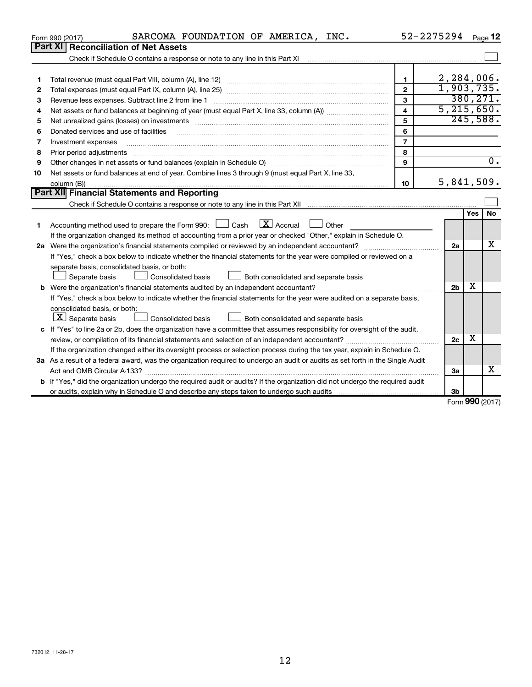|    | SARCOMA FOUNDATION OF AMERICA, INC.<br>Form 990 (2017)                                                                                                            |                         | 52-2275294     |                    | Page 12          |  |  |  |
|----|-------------------------------------------------------------------------------------------------------------------------------------------------------------------|-------------------------|----------------|--------------------|------------------|--|--|--|
|    | Part XI<br><b>Reconciliation of Net Assets</b>                                                                                                                    |                         |                |                    |                  |  |  |  |
|    | Check if Schedule O contains a response or note to any line in this Part XI [11] [12] Check if Schedule O contains a response or note to any line in this Part XI |                         |                |                    |                  |  |  |  |
|    |                                                                                                                                                                   |                         |                |                    |                  |  |  |  |
| 1  |                                                                                                                                                                   | 1                       | 2,284,006.     |                    |                  |  |  |  |
| 2  |                                                                                                                                                                   | $\overline{2}$          | 1,903,735.     |                    | 380, 271.        |  |  |  |
| з  | 3                                                                                                                                                                 |                         |                |                    |                  |  |  |  |
| 4  |                                                                                                                                                                   | $\overline{\mathbf{4}}$ | 5, 215, 650.   |                    |                  |  |  |  |
| 5  |                                                                                                                                                                   | 5                       |                |                    | 245,588.         |  |  |  |
| 6  | Donated services and use of facilities                                                                                                                            | 6                       |                |                    |                  |  |  |  |
| 7  | Investment expenses                                                                                                                                               | $\overline{7}$          |                |                    |                  |  |  |  |
| 8  | Prior period adjustments                                                                                                                                          | 8                       |                |                    |                  |  |  |  |
| 9  |                                                                                                                                                                   | 9                       |                |                    | $\overline{0}$ . |  |  |  |
| 10 | Net assets or fund balances at end of year. Combine lines 3 through 9 (must equal Part X, line 33,                                                                |                         |                |                    |                  |  |  |  |
|    | column (B))                                                                                                                                                       | 10                      | 5,841,509.     |                    |                  |  |  |  |
|    | Part XII Financial Statements and Reporting                                                                                                                       |                         |                |                    |                  |  |  |  |
|    |                                                                                                                                                                   |                         |                |                    |                  |  |  |  |
|    |                                                                                                                                                                   |                         |                | Yes                | No               |  |  |  |
| 1  | $\lfloor x \rfloor$ Accrual<br>Accounting method used to prepare the Form 990: [13] Cash<br>Other                                                                 |                         |                |                    |                  |  |  |  |
|    | If the organization changed its method of accounting from a prior year or checked "Other," explain in Schedule O.                                                 |                         |                |                    |                  |  |  |  |
|    |                                                                                                                                                                   |                         | 2a             |                    | x                |  |  |  |
|    | If "Yes," check a box below to indicate whether the financial statements for the year were compiled or reviewed on a                                              |                         |                |                    |                  |  |  |  |
|    | separate basis, consolidated basis, or both:                                                                                                                      |                         |                |                    |                  |  |  |  |
|    | Both consolidated and separate basis<br>Separate basis<br>Consolidated basis                                                                                      |                         |                |                    |                  |  |  |  |
|    |                                                                                                                                                                   |                         | 2 <sub>b</sub> | x                  |                  |  |  |  |
|    | If "Yes," check a box below to indicate whether the financial statements for the year were audited on a separate basis,                                           |                         |                |                    |                  |  |  |  |
|    | consolidated basis, or both:                                                                                                                                      |                         |                |                    |                  |  |  |  |
|    | $ \mathbf{X} $ Separate basis<br><b>Consolidated basis</b><br>Both consolidated and separate basis                                                                |                         |                |                    |                  |  |  |  |
|    | c If "Yes" to line 2a or 2b, does the organization have a committee that assumes responsibility for oversight of the audit,                                       |                         |                |                    |                  |  |  |  |
|    |                                                                                                                                                                   |                         | 2c             | х                  |                  |  |  |  |
|    | If the organization changed either its oversight process or selection process during the tax year, explain in Schedule O.                                         |                         |                |                    |                  |  |  |  |
|    | 3a As a result of a federal award, was the organization required to undergo an audit or audits as set forth in the Single Audit                                   |                         |                |                    |                  |  |  |  |
|    |                                                                                                                                                                   |                         | 3a             |                    | x                |  |  |  |
|    | <b>b</b> If "Yes," did the organization undergo the required audit or audits? If the organization did not undergo the required audit                              |                         |                |                    |                  |  |  |  |
|    |                                                                                                                                                                   |                         | 3b             |                    |                  |  |  |  |
|    |                                                                                                                                                                   |                         |                | $000 \, \text{mm}$ |                  |  |  |  |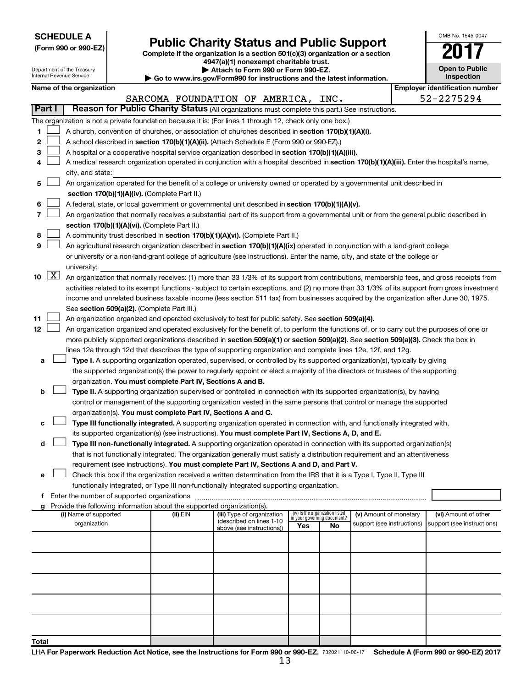| <b>SCHEDULE A</b> |  |
|-------------------|--|
|-------------------|--|

|  | (Form 990 or 990-EZ) |  |
|--|----------------------|--|
|  |                      |  |

# Form 990 or 990-EZ)<br>
Complete if the organization is a section 501(c)(3) organization or a section<br> **Public Charity Status and Public Support**

**4947(a)(1) nonexempt charitable trust.**

| OMB No 1545-0047                    |
|-------------------------------------|
|                                     |
| <b>Open to Public</b><br>Inspection |

|    |                     | Department of the Treasury<br>Internal Revenue Service                                                                                     |  |                                                                        | Attach to Form 990 or Form 990-EZ.                                                                                                            |                             |                                 |                            |  | <b>Open to Public</b><br>Inspection   |
|----|---------------------|--------------------------------------------------------------------------------------------------------------------------------------------|--|------------------------------------------------------------------------|-----------------------------------------------------------------------------------------------------------------------------------------------|-----------------------------|---------------------------------|----------------------------|--|---------------------------------------|
|    |                     |                                                                                                                                            |  |                                                                        | Go to www.irs.gov/Form990 for instructions and the latest information.                                                                        |                             |                                 |                            |  |                                       |
|    |                     | Name of the organization                                                                                                                   |  |                                                                        |                                                                                                                                               |                             |                                 |                            |  | <b>Employer identification number</b> |
|    |                     |                                                                                                                                            |  |                                                                        | SARCOMA FOUNDATION OF AMERICA, INC.                                                                                                           |                             |                                 |                            |  | 52-2275294                            |
|    | Part I              |                                                                                                                                            |  |                                                                        | Reason for Public Charity Status (All organizations must complete this part.) See instructions.                                               |                             |                                 |                            |  |                                       |
|    |                     |                                                                                                                                            |  |                                                                        | The organization is not a private foundation because it is: (For lines 1 through 12, check only one box.)                                     |                             |                                 |                            |  |                                       |
| 1  |                     |                                                                                                                                            |  |                                                                        | A church, convention of churches, or association of churches described in section 170(b)(1)(A)(i).                                            |                             |                                 |                            |  |                                       |
| 2  |                     |                                                                                                                                            |  |                                                                        | A school described in section 170(b)(1)(A)(ii). (Attach Schedule E (Form 990 or 990-EZ).)                                                     |                             |                                 |                            |  |                                       |
| 3  |                     |                                                                                                                                            |  |                                                                        | A hospital or a cooperative hospital service organization described in section 170(b)(1)(A)(iii).                                             |                             |                                 |                            |  |                                       |
| 4  |                     | A medical research organization operated in conjunction with a hospital described in section 170(b)(1)(A)(iii). Enter the hospital's name, |  |                                                                        |                                                                                                                                               |                             |                                 |                            |  |                                       |
|    |                     | city, and state:                                                                                                                           |  |                                                                        |                                                                                                                                               |                             |                                 |                            |  |                                       |
| 5  |                     |                                                                                                                                            |  |                                                                        | An organization operated for the benefit of a college or university owned or operated by a governmental unit described in                     |                             |                                 |                            |  |                                       |
|    |                     |                                                                                                                                            |  | section 170(b)(1)(A)(iv). (Complete Part II.)                          |                                                                                                                                               |                             |                                 |                            |  |                                       |
| 6  |                     |                                                                                                                                            |  |                                                                        | A federal, state, or local government or governmental unit described in section 170(b)(1)(A)(v).                                              |                             |                                 |                            |  |                                       |
| 7  |                     |                                                                                                                                            |  |                                                                        | An organization that normally receives a substantial part of its support from a governmental unit or from the general public described in     |                             |                                 |                            |  |                                       |
|    |                     |                                                                                                                                            |  | section 170(b)(1)(A)(vi). (Complete Part II.)                          |                                                                                                                                               |                             |                                 |                            |  |                                       |
| 8  |                     |                                                                                                                                            |  |                                                                        | A community trust described in section 170(b)(1)(A)(vi). (Complete Part II.)                                                                  |                             |                                 |                            |  |                                       |
| 9  |                     |                                                                                                                                            |  |                                                                        | An agricultural research organization described in section 170(b)(1)(A)(ix) operated in conjunction with a land-grant college                 |                             |                                 |                            |  |                                       |
|    |                     |                                                                                                                                            |  |                                                                        | or university or a non-land-grant college of agriculture (see instructions). Enter the name, city, and state of the college or                |                             |                                 |                            |  |                                       |
|    |                     | university:                                                                                                                                |  |                                                                        |                                                                                                                                               |                             |                                 |                            |  |                                       |
| 10 | $\lfloor x \rfloor$ |                                                                                                                                            |  |                                                                        | An organization that normally receives: (1) more than 33 1/3% of its support from contributions, membership fees, and gross receipts from     |                             |                                 |                            |  |                                       |
|    |                     |                                                                                                                                            |  |                                                                        | activities related to its exempt functions - subject to certain exceptions, and (2) no more than 33 1/3% of its support from gross investment |                             |                                 |                            |  |                                       |
|    |                     |                                                                                                                                            |  |                                                                        |                                                                                                                                               |                             |                                 |                            |  |                                       |
|    |                     |                                                                                                                                            |  | See section 509(a)(2). (Complete Part III.)                            | income and unrelated business taxable income (less section 511 tax) from businesses acquired by the organization after June 30, 1975.         |                             |                                 |                            |  |                                       |
| 11 |                     |                                                                                                                                            |  |                                                                        | An organization organized and operated exclusively to test for public safety. See section 509(a)(4).                                          |                             |                                 |                            |  |                                       |
| 12 |                     |                                                                                                                                            |  |                                                                        |                                                                                                                                               |                             |                                 |                            |  |                                       |
|    |                     |                                                                                                                                            |  |                                                                        | An organization organized and operated exclusively for the benefit of, to perform the functions of, or to carry out the purposes of one or    |                             |                                 |                            |  |                                       |
|    |                     |                                                                                                                                            |  |                                                                        | more publicly supported organizations described in section 509(a)(1) or section 509(a)(2). See section 509(a)(3). Check the box in            |                             |                                 |                            |  |                                       |
|    |                     |                                                                                                                                            |  |                                                                        | lines 12a through 12d that describes the type of supporting organization and complete lines 12e, 12f, and 12g.                                |                             |                                 |                            |  |                                       |
| а  |                     |                                                                                                                                            |  |                                                                        | Type I. A supporting organization operated, supervised, or controlled by its supported organization(s), typically by giving                   |                             |                                 |                            |  |                                       |
|    |                     |                                                                                                                                            |  |                                                                        | the supported organization(s) the power to regularly appoint or elect a majority of the directors or trustees of the supporting               |                             |                                 |                            |  |                                       |
|    |                     |                                                                                                                                            |  | organization. You must complete Part IV, Sections A and B.             |                                                                                                                                               |                             |                                 |                            |  |                                       |
| b  |                     |                                                                                                                                            |  |                                                                        | Type II. A supporting organization supervised or controlled in connection with its supported organization(s), by having                       |                             |                                 |                            |  |                                       |
|    |                     |                                                                                                                                            |  |                                                                        | control or management of the supporting organization vested in the same persons that control or manage the supported                          |                             |                                 |                            |  |                                       |
|    |                     |                                                                                                                                            |  | organization(s). You must complete Part IV, Sections A and C.          |                                                                                                                                               |                             |                                 |                            |  |                                       |
| с  |                     |                                                                                                                                            |  |                                                                        | Type III functionally integrated. A supporting organization operated in connection with, and functionally integrated with,                    |                             |                                 |                            |  |                                       |
|    |                     |                                                                                                                                            |  |                                                                        | its supported organization(s) (see instructions). You must complete Part IV, Sections A, D, and E.                                            |                             |                                 |                            |  |                                       |
| d  |                     |                                                                                                                                            |  |                                                                        | Type III non-functionally integrated. A supporting organization operated in connection with its supported organization(s)                     |                             |                                 |                            |  |                                       |
|    |                     |                                                                                                                                            |  |                                                                        | that is not functionally integrated. The organization generally must satisfy a distribution requirement and an attentiveness                  |                             |                                 |                            |  |                                       |
|    |                     |                                                                                                                                            |  |                                                                        | requirement (see instructions). You must complete Part IV, Sections A and D, and Part V.                                                      |                             |                                 |                            |  |                                       |
| е  |                     |                                                                                                                                            |  |                                                                        | Check this box if the organization received a written determination from the IRS that it is a Type I, Type II, Type III                       |                             |                                 |                            |  |                                       |
|    |                     |                                                                                                                                            |  |                                                                        | functionally integrated, or Type III non-functionally integrated supporting organization.                                                     |                             |                                 |                            |  |                                       |
|    |                     |                                                                                                                                            |  |                                                                        |                                                                                                                                               |                             |                                 |                            |  |                                       |
|    |                     |                                                                                                                                            |  | Provide the following information about the supported organization(s). |                                                                                                                                               |                             |                                 |                            |  |                                       |
|    |                     | (i) Name of supported                                                                                                                      |  | (ii) EIN                                                               | (iii) Type of organization<br>(described on lines 1-10                                                                                        | in your governing document? | (iv) Is the organization listed | (v) Amount of monetary     |  | (vi) Amount of other                  |
|    |                     | organization                                                                                                                               |  |                                                                        | above (see instructions))                                                                                                                     | Yes                         | No                              | support (see instructions) |  | support (see instructions)            |
|    |                     |                                                                                                                                            |  |                                                                        |                                                                                                                                               |                             |                                 |                            |  |                                       |
|    |                     |                                                                                                                                            |  |                                                                        |                                                                                                                                               |                             |                                 |                            |  |                                       |
|    |                     |                                                                                                                                            |  |                                                                        |                                                                                                                                               |                             |                                 |                            |  |                                       |
|    |                     |                                                                                                                                            |  |                                                                        |                                                                                                                                               |                             |                                 |                            |  |                                       |
|    |                     |                                                                                                                                            |  |                                                                        |                                                                                                                                               |                             |                                 |                            |  |                                       |
|    |                     |                                                                                                                                            |  |                                                                        |                                                                                                                                               |                             |                                 |                            |  |                                       |
|    |                     |                                                                                                                                            |  |                                                                        |                                                                                                                                               |                             |                                 |                            |  |                                       |
|    |                     |                                                                                                                                            |  |                                                                        |                                                                                                                                               |                             |                                 |                            |  |                                       |
|    |                     |                                                                                                                                            |  |                                                                        |                                                                                                                                               |                             |                                 |                            |  |                                       |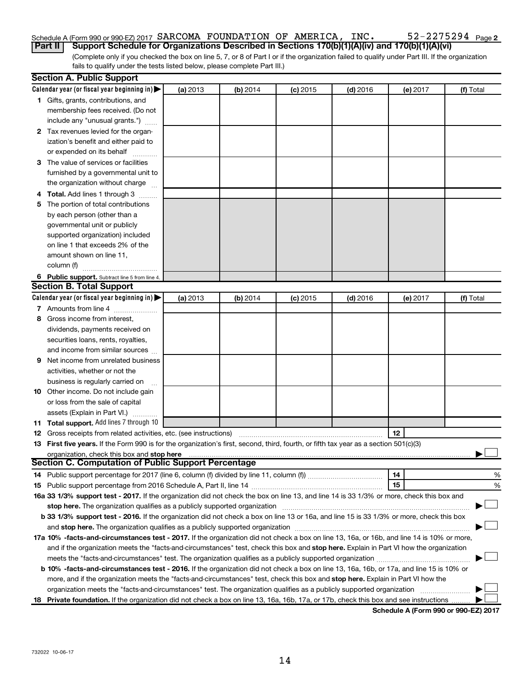#### 52-2275294 Page 2 Schedule A (Form 990 or 990-EZ) 2017 SARCOMA FOUNDATION OF AMERICA, INC.  $52-2275294$   $_{\rm Page}$ **Part II Support Schedule for Organizations Described in Sections 170(b)(1)(A)(iv) and 170(b)(1)(A)(vi)**

(Complete only if you checked the box on line 5, 7, or 8 of Part I or if the organization failed to qualify under Part III. If the organization fails to qualify under the tests listed below, please complete Part III.)

|   | <b>Section A. Public Support</b>                                                                                                           |          |          |            |            |          |           |
|---|--------------------------------------------------------------------------------------------------------------------------------------------|----------|----------|------------|------------|----------|-----------|
|   | Calendar year (or fiscal year beginning in)                                                                                                | (a) 2013 | (b) 2014 | $(c)$ 2015 | $(d)$ 2016 | (e) 2017 | (f) Total |
|   | 1 Gifts, grants, contributions, and                                                                                                        |          |          |            |            |          |           |
|   | membership fees received. (Do not                                                                                                          |          |          |            |            |          |           |
|   | include any "unusual grants.")                                                                                                             |          |          |            |            |          |           |
|   | 2 Tax revenues levied for the organ-                                                                                                       |          |          |            |            |          |           |
|   | ization's benefit and either paid to                                                                                                       |          |          |            |            |          |           |
|   | or expended on its behalf                                                                                                                  |          |          |            |            |          |           |
|   | 3 The value of services or facilities                                                                                                      |          |          |            |            |          |           |
|   | furnished by a governmental unit to                                                                                                        |          |          |            |            |          |           |
|   | the organization without charge                                                                                                            |          |          |            |            |          |           |
|   | 4 Total. Add lines 1 through 3                                                                                                             |          |          |            |            |          |           |
|   | 5 The portion of total contributions                                                                                                       |          |          |            |            |          |           |
|   | by each person (other than a                                                                                                               |          |          |            |            |          |           |
|   | governmental unit or publicly                                                                                                              |          |          |            |            |          |           |
|   | supported organization) included                                                                                                           |          |          |            |            |          |           |
|   | on line 1 that exceeds 2% of the                                                                                                           |          |          |            |            |          |           |
|   | amount shown on line 11,                                                                                                                   |          |          |            |            |          |           |
|   | column (f)                                                                                                                                 |          |          |            |            |          |           |
|   | 6 Public support. Subtract line 5 from line 4.                                                                                             |          |          |            |            |          |           |
|   | <b>Section B. Total Support</b>                                                                                                            |          |          |            |            |          |           |
|   | Calendar year (or fiscal year beginning in)                                                                                                | (a) 2013 | (b) 2014 | $(c)$ 2015 | $(d)$ 2016 | (e) 2017 | (f) Total |
|   | 7 Amounts from line 4                                                                                                                      |          |          |            |            |          |           |
|   | 8 Gross income from interest,                                                                                                              |          |          |            |            |          |           |
|   | dividends, payments received on                                                                                                            |          |          |            |            |          |           |
|   | securities loans, rents, royalties,                                                                                                        |          |          |            |            |          |           |
|   | and income from similar sources                                                                                                            |          |          |            |            |          |           |
| 9 | Net income from unrelated business                                                                                                         |          |          |            |            |          |           |
|   | activities, whether or not the                                                                                                             |          |          |            |            |          |           |
|   | business is regularly carried on                                                                                                           |          |          |            |            |          |           |
|   | 10 Other income. Do not include gain                                                                                                       |          |          |            |            |          |           |
|   | or loss from the sale of capital                                                                                                           |          |          |            |            |          |           |
|   | assets (Explain in Part VI.)                                                                                                               |          |          |            |            |          |           |
|   | 11 Total support. Add lines 7 through 10                                                                                                   |          |          |            |            |          |           |
|   | <b>12</b> Gross receipts from related activities, etc. (see instructions)                                                                  |          |          |            |            | 12       |           |
|   | 13 First five years. If the Form 990 is for the organization's first, second, third, fourth, or fifth tax year as a section 501(c)(3)      |          |          |            |            |          |           |
|   | organization, check this box and stop here                                                                                                 |          |          |            |            |          |           |
|   | <b>Section C. Computation of Public Support Percentage</b>                                                                                 |          |          |            |            |          |           |
|   |                                                                                                                                            |          |          |            |            | 14       | %         |
|   |                                                                                                                                            |          |          |            |            | 15       | %         |
|   | 16a 33 1/3% support test - 2017. If the organization did not check the box on line 13, and line 14 is 33 1/3% or more, check this box and  |          |          |            |            |          |           |
|   | stop here. The organization qualifies as a publicly supported organization                                                                 |          |          |            |            |          |           |
|   | b 33 1/3% support test - 2016. If the organization did not check a box on line 13 or 16a, and line 15 is 33 1/3% or more, check this box   |          |          |            |            |          |           |
|   |                                                                                                                                            |          |          |            |            |          |           |
|   | 17a 10% -facts-and-circumstances test - 2017. If the organization did not check a box on line 13, 16a, or 16b, and line 14 is 10% or more, |          |          |            |            |          |           |
|   | and if the organization meets the "facts-and-circumstances" test, check this box and stop here. Explain in Part VI how the organization    |          |          |            |            |          |           |
|   | meets the "facts-and-circumstances" test. The organization qualifies as a publicly supported organization                                  |          |          |            |            |          |           |
|   | b 10% -facts-and-circumstances test - 2016. If the organization did not check a box on line 13, 16a, 16b, or 17a, and line 15 is 10% or    |          |          |            |            |          |           |
|   | more, and if the organization meets the "facts-and-circumstances" test, check this box and stop here. Explain in Part VI how the           |          |          |            |            |          |           |
|   | organization meets the "facts-and-circumstances" test. The organization qualifies as a publicly supported organization                     |          |          |            |            |          |           |
|   | 18 Private foundation. If the organization did not check a box on line 13, 16a, 16b, 17a, or 17b, check this box and see instructions      |          |          |            |            |          |           |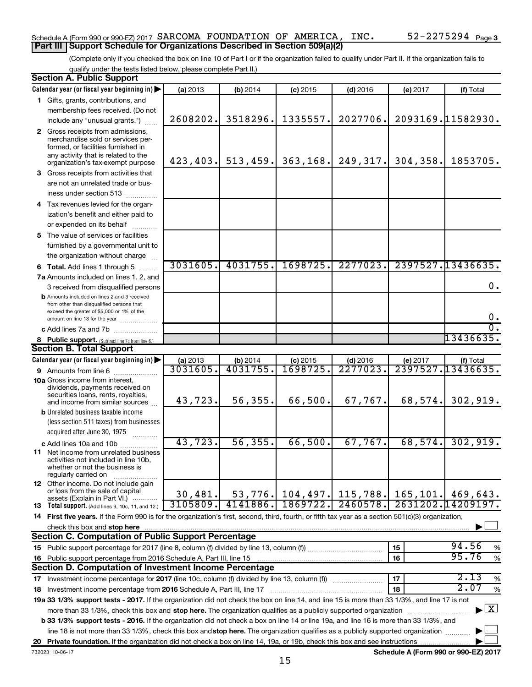#### Schedule A (Form 990 or 990-EZ) 2017 SARCOMA FOUNDATION OF AMERICA, INC.  $52-2275294$   $_{\rm Page}$ **Part III Support Schedule for Organizations Described in Section 509(a)(2)**

(Complete only if you checked the box on line 10 of Part I or if the organization failed to qualify under Part II. If the organization fails to qualify under the tests listed below, please complete Part II.)

| <b>Section A. Public Support</b>                                                                                                                    |           |           |            |            |           |                                    |
|-----------------------------------------------------------------------------------------------------------------------------------------------------|-----------|-----------|------------|------------|-----------|------------------------------------|
| Calendar year (or fiscal year beginning in)                                                                                                         | (a) 2013  | (b) 2014  | $(c)$ 2015 | $(d)$ 2016 | (e) 2017  | (f) Total                          |
| 1 Gifts, grants, contributions, and                                                                                                                 |           |           |            |            |           |                                    |
| membership fees received. (Do not                                                                                                                   |           |           |            |            |           |                                    |
| include any "unusual grants.")                                                                                                                      | 2608202.  | 3518296.  | 1335557.   | 2027706.   |           | 2093169.11582930.                  |
| 2 Gross receipts from admissions,                                                                                                                   |           |           |            |            |           |                                    |
| merchandise sold or services per-                                                                                                                   |           |           |            |            |           |                                    |
| formed, or facilities furnished in<br>any activity that is related to the                                                                           |           |           |            |            |           |                                    |
| organization's tax-exempt purpose                                                                                                                   | 423, 403. | 513, 459. | 363, 168.  | 249,317.   | 304, 358. | 1853705.                           |
| 3 Gross receipts from activities that                                                                                                               |           |           |            |            |           |                                    |
| are not an unrelated trade or bus-                                                                                                                  |           |           |            |            |           |                                    |
| iness under section 513                                                                                                                             |           |           |            |            |           |                                    |
| 4 Tax revenues levied for the organ-                                                                                                                |           |           |            |            |           |                                    |
| ization's benefit and either paid to                                                                                                                |           |           |            |            |           |                                    |
| or expended on its behalf                                                                                                                           |           |           |            |            |           |                                    |
| 5 The value of services or facilities                                                                                                               |           |           |            |            |           |                                    |
| furnished by a governmental unit to                                                                                                                 |           |           |            |            |           |                                    |
| the organization without charge                                                                                                                     |           |           |            |            |           |                                    |
| <b>6 Total.</b> Add lines 1 through 5                                                                                                               | 3031605.  | 4031755.  | 1698725.   | 2277023.   |           | 2397527.13436635.                  |
| 7a Amounts included on lines 1, 2, and                                                                                                              |           |           |            |            |           |                                    |
| 3 received from disqualified persons                                                                                                                |           |           |            |            |           | 0.                                 |
| <b>b</b> Amounts included on lines 2 and 3 received                                                                                                 |           |           |            |            |           |                                    |
| from other than disqualified persons that                                                                                                           |           |           |            |            |           |                                    |
| exceed the greater of \$5,000 or 1% of the<br>amount on line 13 for the year                                                                        |           |           |            |            |           | 0.                                 |
| c Add lines 7a and 7b                                                                                                                               |           |           |            |            |           | σ.                                 |
| 8 Public support. (Subtract line 7c from line 6.)                                                                                                   |           |           |            |            |           | 13436635.                          |
| <b>Section B. Total Support</b>                                                                                                                     |           |           |            |            |           |                                    |
| Calendar year (or fiscal year beginning in)                                                                                                         | (a) 2013  | (b) 2014  | $(c)$ 2015 | $(d)$ 2016 | (e) 2017  | (f) Total                          |
| <b>9</b> Amounts from line 6                                                                                                                        | 3031605   | 4031755   | 1698725    | 2277023    |           | 2397527.13436635.                  |
| <b>10a</b> Gross income from interest,                                                                                                              |           |           |            |            |           |                                    |
| dividends, payments received on                                                                                                                     |           |           |            |            |           |                                    |
| securities loans, rents, royalties,<br>and income from similar sources                                                                              | 43,723.   | 56, 355.  | 66,500.    | 67,767.    | 68, 574.  | 302,919.                           |
| <b>b</b> Unrelated business taxable income                                                                                                          |           |           |            |            |           |                                    |
| (less section 511 taxes) from businesses                                                                                                            |           |           |            |            |           |                                    |
| acquired after June 30, 1975<br>.                                                                                                                   |           |           |            |            |           |                                    |
| c Add lines 10a and 10b                                                                                                                             | 43,723.   | 56, 355.  | 66,500.    | 67,767.    | 68,574.   | 302,919.                           |
| <b>11</b> Net income from unrelated business                                                                                                        |           |           |            |            |           |                                    |
| activities not included in line 10b,                                                                                                                |           |           |            |            |           |                                    |
| whether or not the business is<br>regularly carried on                                                                                              |           |           |            |            |           |                                    |
| <b>12</b> Other income. Do not include gain                                                                                                         |           |           |            |            |           |                                    |
| or loss from the sale of capital                                                                                                                    | 30,481.   | 53, 776.  | 104, 497.  | 115,788.   | 165, 101. | 469,643.                           |
| assets (Explain in Part VI.)<br>13 Total support. (Add lines 9, 10c, 11, and 12.)                                                                   | 3105809.  | 4141886.  | 1869722.   | 2460578.   |           | 2631202.14209197.                  |
| 14 First five years. If the Form 990 is for the organization's first, second, third, fourth, or fifth tax year as a section 501(c)(3) organization, |           |           |            |            |           |                                    |
| check this box and stop here                                                                                                                        |           |           |            |            |           |                                    |
| Section C. Computation of Public Support Percentage                                                                                                 |           |           |            |            |           |                                    |
| 15 Public support percentage for 2017 (line 8, column (f) divided by line 13, column (f)                                                            |           |           |            |            | 15        | 94.56<br>%                         |
| 16 Public support percentage from 2016 Schedule A, Part III, line 15                                                                                |           |           |            |            | 16        | 95.76<br>$\%$                      |
| Section D. Computation of Investment Income Percentage                                                                                              |           |           |            |            |           |                                    |
| 17 Investment income percentage for 2017 (line 10c, column (f) divided by line 13, column (f))                                                      |           |           |            |            | 17        | 2.13<br>$\%$                       |
| 18 Investment income percentage from 2016 Schedule A, Part III, line 17                                                                             |           |           |            |            | 18        | 2.07<br>%                          |
| 19a 33 1/3% support tests - 2017. If the organization did not check the box on line 14, and line 15 is more than 33 1/3%, and line 17 is not        |           |           |            |            |           |                                    |
| more than 33 1/3%, check this box and stop here. The organization qualifies as a publicly supported organization                                    |           |           |            |            |           | $\blacktriangleright$ $\mathbf{X}$ |
| b 33 1/3% support tests - 2016. If the organization did not check a box on line 14 or line 19a, and line 16 is more than 33 1/3%, and               |           |           |            |            |           |                                    |
| line 18 is not more than 33 1/3%, check this box and stop here. The organization qualifies as a publicly supported organization                     |           |           |            |            |           |                                    |
|                                                                                                                                                     |           |           |            |            |           |                                    |
|                                                                                                                                                     |           |           |            |            |           |                                    |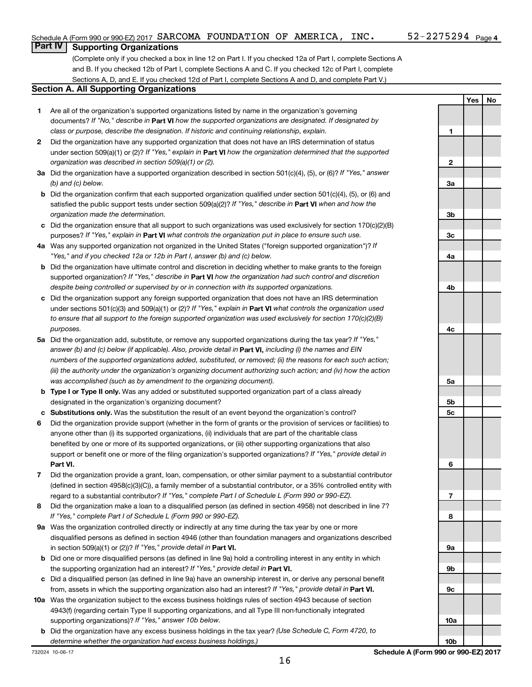**Yes No**

### **Part IV Supporting Organizations**

(Complete only if you checked a box in line 12 on Part I. If you checked 12a of Part I, complete Sections A and B. If you checked 12b of Part I, complete Sections A and C. If you checked 12c of Part I, complete Sections A, D, and E. If you checked 12d of Part I, complete Sections A and D, and complete Part V.)

#### **Section A. All Supporting Organizations**

- **1** Are all of the organization's supported organizations listed by name in the organization's governing documents? If "No," describe in Part VI how the supported organizations are designated. If designated by *class or purpose, describe the designation. If historic and continuing relationship, explain.*
- **2** Did the organization have any supported organization that does not have an IRS determination of status under section 509(a)(1) or (2)? If "Yes," explain in Part **VI** how the organization determined that the supported *organization was described in section 509(a)(1) or (2).*
- **3a** Did the organization have a supported organization described in section 501(c)(4), (5), or (6)? If "Yes," answer *(b) and (c) below.*
- **b** Did the organization confirm that each supported organization qualified under section 501(c)(4), (5), or (6) and satisfied the public support tests under section 509(a)(2)? If "Yes," describe in Part VI when and how the *organization made the determination.*
- **c** Did the organization ensure that all support to such organizations was used exclusively for section 170(c)(2)(B) purposes? If "Yes," explain in Part VI what controls the organization put in place to ensure such use.
- **4 a** *If* Was any supported organization not organized in the United States ("foreign supported organization")? *"Yes," and if you checked 12a or 12b in Part I, answer (b) and (c) below.*
- **b** Did the organization have ultimate control and discretion in deciding whether to make grants to the foreign supported organization? If "Yes," describe in Part VI how the organization had such control and discretion *despite being controlled or supervised by or in connection with its supported organizations.*
- **c** Did the organization support any foreign supported organization that does not have an IRS determination under sections 501(c)(3) and 509(a)(1) or (2)? If "Yes," explain in Part VI what controls the organization used *to ensure that all support to the foreign supported organization was used exclusively for section 170(c)(2)(B) purposes.*
- **5a** Did the organization add, substitute, or remove any supported organizations during the tax year? If "Yes," answer (b) and (c) below (if applicable). Also, provide detail in **Part VI,** including (i) the names and EIN *numbers of the supported organizations added, substituted, or removed; (ii) the reasons for each such action; (iii) the authority under the organization's organizing document authorizing such action; and (iv) how the action was accomplished (such as by amendment to the organizing document).*
- **b** Type I or Type II only. Was any added or substituted supported organization part of a class already designated in the organization's organizing document?
- **c Substitutions only.**  Was the substitution the result of an event beyond the organization's control?
- **6** Did the organization provide support (whether in the form of grants or the provision of services or facilities) to **Part VI.** support or benefit one or more of the filing organization's supported organizations? If "Yes," provide detail in anyone other than (i) its supported organizations, (ii) individuals that are part of the charitable class benefited by one or more of its supported organizations, or (iii) other supporting organizations that also
- **7** Did the organization provide a grant, loan, compensation, or other similar payment to a substantial contributor regard to a substantial contributor? If "Yes," complete Part I of Schedule L (Form 990 or 990-EZ). (defined in section 4958(c)(3)(C)), a family member of a substantial contributor, or a 35% controlled entity with
- **8** Did the organization make a loan to a disqualified person (as defined in section 4958) not described in line 7? *If "Yes," complete Part I of Schedule L (Form 990 or 990-EZ).*
- **9 a** Was the organization controlled directly or indirectly at any time during the tax year by one or more in section 509(a)(1) or (2))? If "Yes," provide detail in **Part VI.** disqualified persons as defined in section 4946 (other than foundation managers and organizations described
- **b** Did one or more disqualified persons (as defined in line 9a) hold a controlling interest in any entity in which the supporting organization had an interest? If "Yes," provide detail in Part VI.
- **c** Did a disqualified person (as defined in line 9a) have an ownership interest in, or derive any personal benefit from, assets in which the supporting organization also had an interest? If "Yes," provide detail in Part VI.
- **10 a** Was the organization subject to the excess business holdings rules of section 4943 because of section supporting organizations)? If "Yes," answer 10b below. 4943(f) (regarding certain Type II supporting organizations, and all Type III non-functionally integrated
- **b** Did the organization have any excess business holdings in the tax year? (Use Schedule C, Form 4720, to *determine whether the organization had excess business holdings.)*

**1 2 3a 3b 3c 4a 4b 4c 5a 5b 5c 6 7 8 9a 9b 9c 10a**

**10b**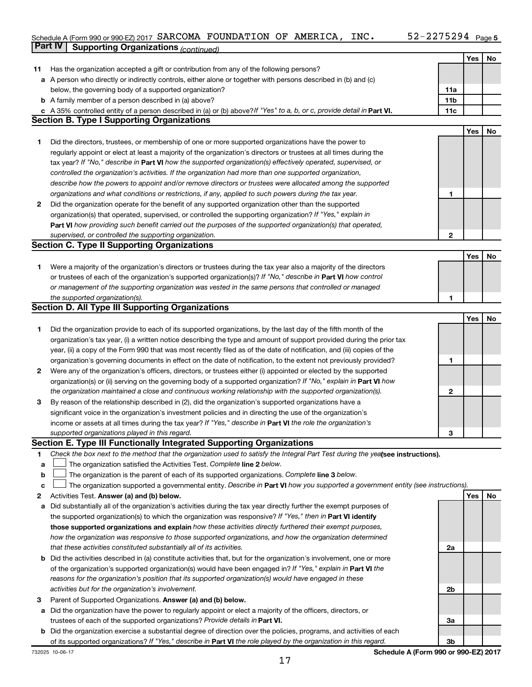#### Schedule A (Form 990 or 990-EZ) 2017 SARCOMA FOUNDATION OF AMERICA, INC  $\bullet$  52-2215294  $\,$  Page **Part IV Supporting Organizations** *(continued)* SARCOMA FOUNDATION OF AMERICA, INC. 52-2275294

|              |                                                                                                                                 |                 | Yes | No |
|--------------|---------------------------------------------------------------------------------------------------------------------------------|-----------------|-----|----|
| 11           | Has the organization accepted a gift or contribution from any of the following persons?                                         |                 |     |    |
|              | a A person who directly or indirectly controls, either alone or together with persons described in (b) and (c)                  |                 |     |    |
|              | below, the governing body of a supported organization?                                                                          | 11a             |     |    |
|              | <b>b</b> A family member of a person described in (a) above?                                                                    | 11 <sub>b</sub> |     |    |
|              | c A 35% controlled entity of a person described in (a) or (b) above? If "Yes" to a, b, or c, provide detail in Part VI.         | 11c             |     |    |
|              | <b>Section B. Type I Supporting Organizations</b>                                                                               |                 |     |    |
|              |                                                                                                                                 |                 | Yes | No |
| 1            | Did the directors, trustees, or membership of one or more supported organizations have the power to                             |                 |     |    |
|              | regularly appoint or elect at least a majority of the organization's directors or trustees at all times during the              |                 |     |    |
|              | tax year? If "No," describe in Part VI how the supported organization(s) effectively operated, supervised, or                   |                 |     |    |
|              | controlled the organization's activities. If the organization had more than one supported organization,                         |                 |     |    |
|              | describe how the powers to appoint and/or remove directors or trustees were allocated among the supported                       |                 |     |    |
|              | organizations and what conditions or restrictions, if any, applied to such powers during the tax year.                          | 1               |     |    |
| 2            | Did the organization operate for the benefit of any supported organization other than the supported                             |                 |     |    |
|              |                                                                                                                                 |                 |     |    |
|              | organization(s) that operated, supervised, or controlled the supporting organization? If "Yes," explain in                      |                 |     |    |
|              | Part VI how providing such benefit carried out the purposes of the supported organization(s) that operated,                     |                 |     |    |
|              | supervised, or controlled the supporting organization.                                                                          | $\mathbf{2}$    |     |    |
|              | <b>Section C. Type II Supporting Organizations</b>                                                                              |                 |     |    |
|              |                                                                                                                                 |                 | Yes | No |
| 1.           | Were a majority of the organization's directors or trustees during the tax year also a majority of the directors                |                 |     |    |
|              | or trustees of each of the organization's supported organization(s)? If "No," describe in Part VI how control                   |                 |     |    |
|              | or management of the supporting organization was vested in the same persons that controlled or managed                          |                 |     |    |
|              | the supported organization(s).                                                                                                  | 1               |     |    |
|              | <b>Section D. All Type III Supporting Organizations</b>                                                                         |                 |     |    |
|              |                                                                                                                                 |                 | Yes | No |
| 1            | Did the organization provide to each of its supported organizations, by the last day of the fifth month of the                  |                 |     |    |
|              | organization's tax year, (i) a written notice describing the type and amount of support provided during the prior tax           |                 |     |    |
|              | year, (ii) a copy of the Form 990 that was most recently filed as of the date of notification, and (iii) copies of the          |                 |     |    |
|              | organization's governing documents in effect on the date of notification, to the extent not previously provided?                | 1               |     |    |
| $\mathbf{2}$ | Were any of the organization's officers, directors, or trustees either (i) appointed or elected by the supported                |                 |     |    |
|              | organization(s) or (ii) serving on the governing body of a supported organization? If "No," explain in Part VI how              |                 |     |    |
|              | the organization maintained a close and continuous working relationship with the supported organization(s).                     | 2               |     |    |
| 3            | By reason of the relationship described in (2), did the organization's supported organizations have a                           |                 |     |    |
|              | significant voice in the organization's investment policies and in directing the use of the organization's                      |                 |     |    |
|              | income or assets at all times during the tax year? If "Yes," describe in Part VI the role the organization's                    |                 |     |    |
|              | supported organizations played in this regard.                                                                                  | З               |     |    |
|              | Section E. Type III Functionally Integrated Supporting Organizations                                                            |                 |     |    |
| 1            | Check the box next to the method that the organization used to satisfy the Integral Part Test during the yealsee instructions). |                 |     |    |
| a            | The organization satisfied the Activities Test. Complete line 2 below.                                                          |                 |     |    |
| $\mathbf b$  | The organization is the parent of each of its supported organizations. Complete line 3 below.                                   |                 |     |    |
| с            | The organization supported a governmental entity. Describe in Part VI how you supported a government entity (see instructions). |                 |     |    |
| 2            | Activities Test. Answer (a) and (b) below.                                                                                      |                 | Yes | No |
| а            | Did substantially all of the organization's activities during the tax year directly further the exempt purposes of              |                 |     |    |
|              | the supported organization(s) to which the organization was responsive? If "Yes," then in Part VI identify                      |                 |     |    |
|              | those supported organizations and explain how these activities directly furthered their exempt purposes,                        |                 |     |    |
|              | how the organization was responsive to those supported organizations, and how the organization determined                       |                 |     |    |
|              | that these activities constituted substantially all of its activities.                                                          | 2a              |     |    |
|              | <b>b</b> Did the activities described in (a) constitute activities that, but for the organization's involvement, one or more    |                 |     |    |
|              | of the organization's supported organization(s) would have been engaged in? If "Yes," explain in Part VI the                    |                 |     |    |
|              | reasons for the organization's position that its supported organization(s) would have engaged in these                          |                 |     |    |
|              | activities but for the organization's involvement.                                                                              | 2b              |     |    |
| з            | Parent of Supported Organizations. Answer (a) and (b) below.                                                                    |                 |     |    |
|              | a Did the organization have the power to regularly appoint or elect a majority of the officers, directors, or                   |                 |     |    |
|              | trustees of each of the supported organizations? Provide details in Part VI.                                                    | За              |     |    |
|              | <b>b</b> Did the organization exercise a substantial degree of direction over the policies, programs, and activities of each    |                 |     |    |
|              | of its supported organizations? If "Yes," describe in Part VI the role played by the organization in this regard.               | 3b              |     |    |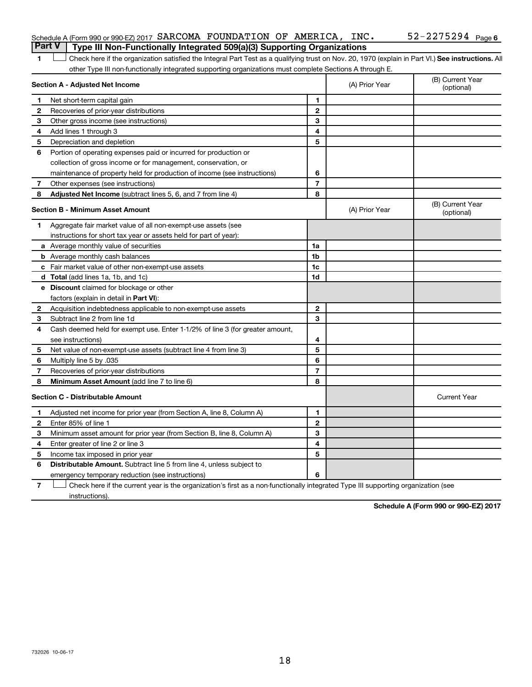#### Schedule A (Form 990 or 990-EZ) 2017 SARCOMA FOUNDATION OF AMERICA, INC.  $52-2275294$   $_{\rm Page}$ **Part V Type III Non-Functionally Integrated 509(a)(3) Supporting Organizations**

1 **Letter See instructions.** All Check here if the organization satisfied the Integral Part Test as a qualifying trust on Nov. 20, 1970 (explain in Part VI.) See instructions. All other Type III non-functionally integrated supporting organizations must complete Sections A through E.

|                                         | Section A - Adjusted Net Income                                              |                | (A) Prior Year | (B) Current Year<br>(optional) |
|-----------------------------------------|------------------------------------------------------------------------------|----------------|----------------|--------------------------------|
| 1                                       | Net short-term capital gain                                                  | 1              |                |                                |
| 2                                       | Recoveries of prior-year distributions                                       | $\mathbf{2}$   |                |                                |
| 3                                       | Other gross income (see instructions)                                        | 3              |                |                                |
| 4                                       | Add lines 1 through 3                                                        | 4              |                |                                |
| 5                                       | Depreciation and depletion                                                   | 5              |                |                                |
| 6                                       | Portion of operating expenses paid or incurred for production or             |                |                |                                |
|                                         | collection of gross income or for management, conservation, or               |                |                |                                |
|                                         | maintenance of property held for production of income (see instructions)     | 6              |                |                                |
| 7                                       | Other expenses (see instructions)                                            | $\overline{7}$ |                |                                |
| 8                                       | <b>Adjusted Net Income</b> (subtract lines 5, 6, and 7 from line 4)          | 8              |                |                                |
|                                         | <b>Section B - Minimum Asset Amount</b>                                      |                | (A) Prior Year | (B) Current Year<br>(optional) |
| 1.                                      | Aggregate fair market value of all non-exempt-use assets (see                |                |                |                                |
|                                         | instructions for short tax year or assets held for part of year):            |                |                |                                |
|                                         | a Average monthly value of securities                                        | 1a             |                |                                |
|                                         | <b>b</b> Average monthly cash balances                                       | 1b             |                |                                |
|                                         | c Fair market value of other non-exempt-use assets                           | 1c             |                |                                |
|                                         | d Total (add lines 1a, 1b, and 1c)                                           | 1d             |                |                                |
|                                         | e Discount claimed for blockage or other                                     |                |                |                                |
|                                         | factors (explain in detail in <b>Part VI</b> ):                              |                |                |                                |
| 2                                       | Acquisition indebtedness applicable to non-exempt-use assets                 | $\mathbf{2}$   |                |                                |
| 3                                       | Subtract line 2 from line 1d                                                 | 3              |                |                                |
| 4                                       | Cash deemed held for exempt use. Enter 1-1/2% of line 3 (for greater amount, |                |                |                                |
|                                         | see instructions)                                                            | 4              |                |                                |
| 5                                       | Net value of non-exempt-use assets (subtract line 4 from line 3)             | 5              |                |                                |
| 6                                       | Multiply line 5 by .035                                                      | 6              |                |                                |
| 7                                       | Recoveries of prior-year distributions                                       | $\overline{7}$ |                |                                |
| 8                                       | Minimum Asset Amount (add line 7 to line 6)                                  | 8              |                |                                |
| <b>Section C - Distributable Amount</b> |                                                                              |                |                | <b>Current Year</b>            |
| $\mathbf 1$                             | Adjusted net income for prior year (from Section A, line 8, Column A)        | 1              |                |                                |
| 2                                       | Enter 85% of line 1                                                          | $\overline{2}$ |                |                                |
| 3                                       | Minimum asset amount for prior year (from Section B, line 8, Column A)       | 3              |                |                                |
| 4                                       | Enter greater of line 2 or line 3                                            | 4              |                |                                |
| 5                                       | Income tax imposed in prior year                                             | 5              |                |                                |
| 6                                       | Distributable Amount. Subtract line 5 from line 4, unless subject to         |                |                |                                |
|                                         | emergency temporary reduction (see instructions)                             | 6              |                |                                |
|                                         |                                                                              |                |                |                                |

**7** Let Check here if the current year is the organization's first as a non-functionally integrated Type III supporting organization (see instructions).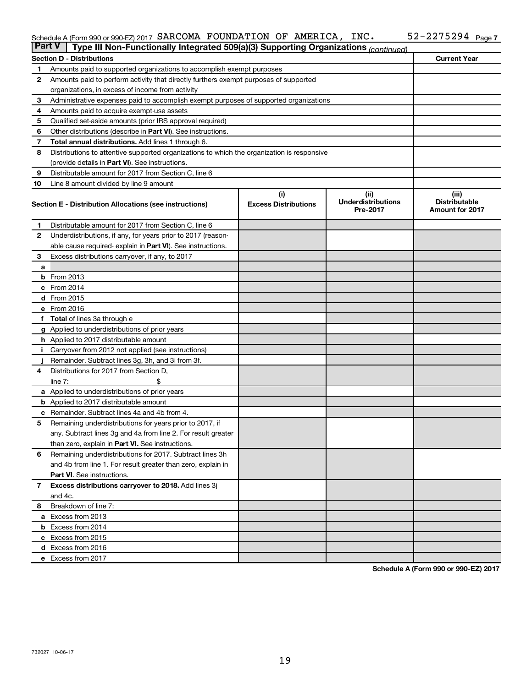#### Schedule A (Form 990 or 990-EZ) 2017 SARCOMA FOUNDATION OF AMERICA, INC  $\bullet$  52-2215294  $\,$  Page SARCOMA FOUNDATION OF AMERICA, INC. 52-2275294

| <b>Part V</b> | Type III Non-Functionally Integrated 509(a)(3) Supporting Organizations (continued)        |                             |                                       |                                                |  |  |  |  |  |
|---------------|--------------------------------------------------------------------------------------------|-----------------------------|---------------------------------------|------------------------------------------------|--|--|--|--|--|
|               | <b>Section D - Distributions</b>                                                           |                             |                                       | <b>Current Year</b>                            |  |  |  |  |  |
| 1             | Amounts paid to supported organizations to accomplish exempt purposes                      |                             |                                       |                                                |  |  |  |  |  |
| $\mathbf{2}$  | Amounts paid to perform activity that directly furthers exempt purposes of supported       |                             |                                       |                                                |  |  |  |  |  |
|               | organizations, in excess of income from activity                                           |                             |                                       |                                                |  |  |  |  |  |
| 3             | Administrative expenses paid to accomplish exempt purposes of supported organizations      |                             |                                       |                                                |  |  |  |  |  |
| 4             | Amounts paid to acquire exempt-use assets                                                  |                             |                                       |                                                |  |  |  |  |  |
| 5             | Qualified set-aside amounts (prior IRS approval required)                                  |                             |                                       |                                                |  |  |  |  |  |
| 6             | Other distributions (describe in <b>Part VI</b> ). See instructions.                       |                             |                                       |                                                |  |  |  |  |  |
| 7             | Total annual distributions. Add lines 1 through 6.                                         |                             |                                       |                                                |  |  |  |  |  |
| 8             | Distributions to attentive supported organizations to which the organization is responsive |                             |                                       |                                                |  |  |  |  |  |
|               | (provide details in Part VI). See instructions.                                            |                             |                                       |                                                |  |  |  |  |  |
| 9             | Distributable amount for 2017 from Section C, line 6                                       |                             |                                       |                                                |  |  |  |  |  |
| 10            | Line 8 amount divided by line 9 amount                                                     |                             |                                       |                                                |  |  |  |  |  |
|               |                                                                                            | (i)                         | (ii)                                  | (iii)                                          |  |  |  |  |  |
|               | Section E - Distribution Allocations (see instructions)                                    | <b>Excess Distributions</b> | <b>Underdistributions</b><br>Pre-2017 | <b>Distributable</b><br><b>Amount for 2017</b> |  |  |  |  |  |
| 1             | Distributable amount for 2017 from Section C, line 6                                       |                             |                                       |                                                |  |  |  |  |  |
| $\mathbf{2}$  | Underdistributions, if any, for years prior to 2017 (reason-                               |                             |                                       |                                                |  |  |  |  |  |
|               | able cause required- explain in Part VI). See instructions.                                |                             |                                       |                                                |  |  |  |  |  |
| 3             | Excess distributions carryover, if any, to 2017                                            |                             |                                       |                                                |  |  |  |  |  |
| a             |                                                                                            |                             |                                       |                                                |  |  |  |  |  |
|               | <b>b</b> From 2013                                                                         |                             |                                       |                                                |  |  |  |  |  |
|               | c From 2014                                                                                |                             |                                       |                                                |  |  |  |  |  |
|               | d From 2015                                                                                |                             |                                       |                                                |  |  |  |  |  |
|               | e From 2016                                                                                |                             |                                       |                                                |  |  |  |  |  |
|               | f Total of lines 3a through e                                                              |                             |                                       |                                                |  |  |  |  |  |
|               | <b>g</b> Applied to underdistributions of prior years                                      |                             |                                       |                                                |  |  |  |  |  |
|               | <b>h</b> Applied to 2017 distributable amount                                              |                             |                                       |                                                |  |  |  |  |  |
| Ť.            | Carryover from 2012 not applied (see instructions)                                         |                             |                                       |                                                |  |  |  |  |  |
|               | Remainder. Subtract lines 3g, 3h, and 3i from 3f.                                          |                             |                                       |                                                |  |  |  |  |  |
| 4             | Distributions for 2017 from Section D,                                                     |                             |                                       |                                                |  |  |  |  |  |
|               | line $7:$                                                                                  |                             |                                       |                                                |  |  |  |  |  |
|               | a Applied to underdistributions of prior years                                             |                             |                                       |                                                |  |  |  |  |  |
|               | <b>b</b> Applied to 2017 distributable amount                                              |                             |                                       |                                                |  |  |  |  |  |
| c             | Remainder. Subtract lines 4a and 4b from 4.                                                |                             |                                       |                                                |  |  |  |  |  |
| 5             | Remaining underdistributions for years prior to 2017, if                                   |                             |                                       |                                                |  |  |  |  |  |
|               | any. Subtract lines 3g and 4a from line 2. For result greater                              |                             |                                       |                                                |  |  |  |  |  |
|               | than zero, explain in Part VI. See instructions.                                           |                             |                                       |                                                |  |  |  |  |  |
| 6             | Remaining underdistributions for 2017. Subtract lines 3h                                   |                             |                                       |                                                |  |  |  |  |  |
|               | and 4b from line 1. For result greater than zero, explain in                               |                             |                                       |                                                |  |  |  |  |  |
|               | <b>Part VI.</b> See instructions.                                                          |                             |                                       |                                                |  |  |  |  |  |
| $\mathbf{7}$  | Excess distributions carryover to 2018. Add lines 3j                                       |                             |                                       |                                                |  |  |  |  |  |
|               | and 4c.                                                                                    |                             |                                       |                                                |  |  |  |  |  |
| 8             | Breakdown of line 7:                                                                       |                             |                                       |                                                |  |  |  |  |  |
|               | a Excess from 2013                                                                         |                             |                                       |                                                |  |  |  |  |  |
|               | <b>b</b> Excess from 2014                                                                  |                             |                                       |                                                |  |  |  |  |  |
|               | c Excess from 2015                                                                         |                             |                                       |                                                |  |  |  |  |  |
|               | d Excess from 2016                                                                         |                             |                                       |                                                |  |  |  |  |  |
|               | e Excess from 2017                                                                         |                             |                                       |                                                |  |  |  |  |  |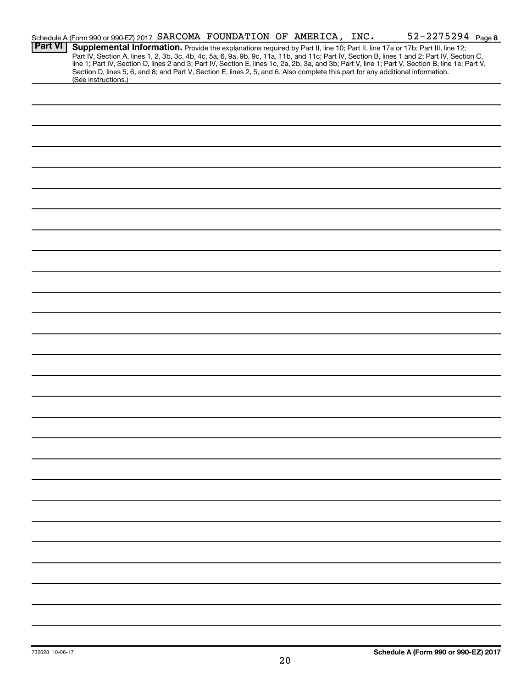|                | Schedule A (Form 990 or 990-EZ) 2017 SARCOMA FOUNDATION OF AMERICA, INC. |                                                                                                                                 |  | 52-2275294 Page 8                                                                                                                                                                                                                                                                                                                                                                                                                 |
|----------------|--------------------------------------------------------------------------|---------------------------------------------------------------------------------------------------------------------------------|--|-----------------------------------------------------------------------------------------------------------------------------------------------------------------------------------------------------------------------------------------------------------------------------------------------------------------------------------------------------------------------------------------------------------------------------------|
| <b>Part VI</b> |                                                                          | Section D, lines 5, 6, and 8; and Part V, Section E, lines 2, 5, and 6. Also complete this part for any additional information. |  | Supplemental Information. Provide the explanations required by Part II, line 10; Part II, line 17a or 17b; Part III, line 12;<br>Part IV, Section A, lines 1, 2, 3b, 3c, 4b, 4c, 5a, 6, 9a, 9b, 9c, 11a, 11b, and 11c; Part IV, Section B, lines 1 and 2; Part IV, Section C,<br>line 1; Part IV, Section D, lines 2 and 3; Part IV, Section E, lines 1c, 2a, 2b, 3a, and 3b; Part V, line 1; Part V, Section B, line 1e; Part V, |
|                | (See instructions.)                                                      |                                                                                                                                 |  |                                                                                                                                                                                                                                                                                                                                                                                                                                   |
|                |                                                                          |                                                                                                                                 |  |                                                                                                                                                                                                                                                                                                                                                                                                                                   |
|                |                                                                          |                                                                                                                                 |  |                                                                                                                                                                                                                                                                                                                                                                                                                                   |
|                |                                                                          |                                                                                                                                 |  |                                                                                                                                                                                                                                                                                                                                                                                                                                   |
|                |                                                                          |                                                                                                                                 |  |                                                                                                                                                                                                                                                                                                                                                                                                                                   |
|                |                                                                          |                                                                                                                                 |  |                                                                                                                                                                                                                                                                                                                                                                                                                                   |
|                |                                                                          |                                                                                                                                 |  |                                                                                                                                                                                                                                                                                                                                                                                                                                   |
|                |                                                                          |                                                                                                                                 |  |                                                                                                                                                                                                                                                                                                                                                                                                                                   |
|                |                                                                          |                                                                                                                                 |  |                                                                                                                                                                                                                                                                                                                                                                                                                                   |
|                |                                                                          |                                                                                                                                 |  |                                                                                                                                                                                                                                                                                                                                                                                                                                   |
|                |                                                                          |                                                                                                                                 |  |                                                                                                                                                                                                                                                                                                                                                                                                                                   |
|                |                                                                          |                                                                                                                                 |  |                                                                                                                                                                                                                                                                                                                                                                                                                                   |
|                |                                                                          |                                                                                                                                 |  |                                                                                                                                                                                                                                                                                                                                                                                                                                   |
|                |                                                                          |                                                                                                                                 |  |                                                                                                                                                                                                                                                                                                                                                                                                                                   |
|                |                                                                          |                                                                                                                                 |  |                                                                                                                                                                                                                                                                                                                                                                                                                                   |
|                |                                                                          |                                                                                                                                 |  |                                                                                                                                                                                                                                                                                                                                                                                                                                   |
|                |                                                                          |                                                                                                                                 |  |                                                                                                                                                                                                                                                                                                                                                                                                                                   |
|                |                                                                          |                                                                                                                                 |  |                                                                                                                                                                                                                                                                                                                                                                                                                                   |
|                |                                                                          |                                                                                                                                 |  |                                                                                                                                                                                                                                                                                                                                                                                                                                   |
|                |                                                                          |                                                                                                                                 |  |                                                                                                                                                                                                                                                                                                                                                                                                                                   |
|                |                                                                          |                                                                                                                                 |  |                                                                                                                                                                                                                                                                                                                                                                                                                                   |
|                |                                                                          |                                                                                                                                 |  |                                                                                                                                                                                                                                                                                                                                                                                                                                   |
|                |                                                                          |                                                                                                                                 |  |                                                                                                                                                                                                                                                                                                                                                                                                                                   |
|                |                                                                          |                                                                                                                                 |  |                                                                                                                                                                                                                                                                                                                                                                                                                                   |
|                |                                                                          |                                                                                                                                 |  |                                                                                                                                                                                                                                                                                                                                                                                                                                   |
|                |                                                                          |                                                                                                                                 |  |                                                                                                                                                                                                                                                                                                                                                                                                                                   |
|                |                                                                          |                                                                                                                                 |  |                                                                                                                                                                                                                                                                                                                                                                                                                                   |
|                |                                                                          |                                                                                                                                 |  |                                                                                                                                                                                                                                                                                                                                                                                                                                   |
|                |                                                                          |                                                                                                                                 |  |                                                                                                                                                                                                                                                                                                                                                                                                                                   |
|                |                                                                          |                                                                                                                                 |  |                                                                                                                                                                                                                                                                                                                                                                                                                                   |
|                |                                                                          |                                                                                                                                 |  |                                                                                                                                                                                                                                                                                                                                                                                                                                   |
|                |                                                                          |                                                                                                                                 |  |                                                                                                                                                                                                                                                                                                                                                                                                                                   |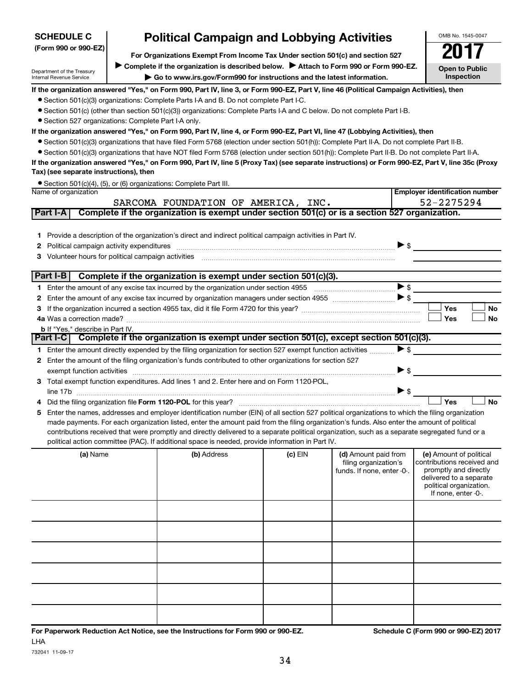| (Form 990 or 990-EZ)                                                                                                                                                                       |                                                                                                                                         | For Organizations Exempt From Income Tax Under section 501(c) and section 527                                                                   |           |                            |                          |                                                  |  |  |  |  |
|--------------------------------------------------------------------------------------------------------------------------------------------------------------------------------------------|-----------------------------------------------------------------------------------------------------------------------------------------|-------------------------------------------------------------------------------------------------------------------------------------------------|-----------|----------------------------|--------------------------|--------------------------------------------------|--|--|--|--|
| Department of the Treasury                                                                                                                                                                 |                                                                                                                                         | Complete if the organization is described below.<br>Attach to Form 990 or Form 990-EZ.                                                          |           |                            |                          | <b>Open to Public</b>                            |  |  |  |  |
| Internal Revenue Service                                                                                                                                                                   |                                                                                                                                         | Go to www.irs.gov/Form990 for instructions and the latest information.                                                                          |           |                            |                          | Inspection                                       |  |  |  |  |
|                                                                                                                                                                                            | If the organization answered "Yes," on Form 990, Part IV, line 3, or Form 990-EZ, Part V, line 46 (Political Campaign Activities), then |                                                                                                                                                 |           |                            |                          |                                                  |  |  |  |  |
|                                                                                                                                                                                            | • Section 501(c)(3) organizations: Complete Parts I-A and B. Do not complete Part I-C.                                                  |                                                                                                                                                 |           |                            |                          |                                                  |  |  |  |  |
|                                                                                                                                                                                            |                                                                                                                                         | • Section 501(c) (other than section 501(c)(3)) organizations: Complete Parts I-A and C below. Do not complete Part I-B.                        |           |                            |                          |                                                  |  |  |  |  |
| • Section 527 organizations: Complete Part I-A only.                                                                                                                                       |                                                                                                                                         |                                                                                                                                                 |           |                            |                          |                                                  |  |  |  |  |
|                                                                                                                                                                                            |                                                                                                                                         | If the organization answered "Yes," on Form 990, Part IV, line 4, or Form 990-EZ, Part VI, line 47 (Lobbying Activities), then                  |           |                            |                          |                                                  |  |  |  |  |
|                                                                                                                                                                                            |                                                                                                                                         | • Section 501(c)(3) organizations that have filed Form 5768 (election under section 501(h)): Complete Part II-A. Do not complete Part II-B.     |           |                            |                          |                                                  |  |  |  |  |
|                                                                                                                                                                                            |                                                                                                                                         | • Section 501(c)(3) organizations that have NOT filed Form 5768 (election under section 501(h)): Complete Part II-B. Do not complete Part II-A. |           |                            |                          |                                                  |  |  |  |  |
| If the organization answered "Yes," on Form 990, Part IV, line 5 (Proxy Tax) (see separate instructions) or Form 990-EZ, Part V, line 35c (Proxy<br>Tax) (see separate instructions), then |                                                                                                                                         |                                                                                                                                                 |           |                            |                          |                                                  |  |  |  |  |
|                                                                                                                                                                                            |                                                                                                                                         | • Section 501(c)(4), (5), or (6) organizations: Complete Part III.                                                                              |           |                            |                          |                                                  |  |  |  |  |
| Name of organization                                                                                                                                                                       |                                                                                                                                         |                                                                                                                                                 |           |                            |                          | <b>Employer identification number</b>            |  |  |  |  |
|                                                                                                                                                                                            |                                                                                                                                         | SARCOMA FOUNDATION OF AMERICA, INC.                                                                                                             |           |                            |                          | 52-2275294                                       |  |  |  |  |
| Part I-A                                                                                                                                                                                   |                                                                                                                                         | Complete if the organization is exempt under section 501(c) or is a section 527 organization.                                                   |           |                            |                          |                                                  |  |  |  |  |
|                                                                                                                                                                                            |                                                                                                                                         |                                                                                                                                                 |           |                            |                          |                                                  |  |  |  |  |
| 1.                                                                                                                                                                                         |                                                                                                                                         | Provide a description of the organization's direct and indirect political campaign activities in Part IV.                                       |           |                            |                          |                                                  |  |  |  |  |
| 2                                                                                                                                                                                          |                                                                                                                                         | Political campaign activity expenditures [11] matter contracts and contracts are political campaign activity expenditures                       |           |                            | $\triangleright$ \$      |                                                  |  |  |  |  |
| 3                                                                                                                                                                                          |                                                                                                                                         | Volunteer hours for political campaign activities [11] www.communicallynews.communicallyness for political campaign activities                  |           |                            |                          |                                                  |  |  |  |  |
|                                                                                                                                                                                            |                                                                                                                                         |                                                                                                                                                 |           |                            |                          |                                                  |  |  |  |  |
| Part I-B                                                                                                                                                                                   |                                                                                                                                         | Complete if the organization is exempt under section 501(c)(3).                                                                                 |           |                            |                          |                                                  |  |  |  |  |
| 1.                                                                                                                                                                                         |                                                                                                                                         |                                                                                                                                                 |           |                            | $\triangleright$ s       |                                                  |  |  |  |  |
| 2                                                                                                                                                                                          |                                                                                                                                         |                                                                                                                                                 |           |                            |                          |                                                  |  |  |  |  |
| З                                                                                                                                                                                          |                                                                                                                                         |                                                                                                                                                 |           |                            |                          | Yes<br><b>No</b>                                 |  |  |  |  |
|                                                                                                                                                                                            |                                                                                                                                         |                                                                                                                                                 |           |                            |                          | <b>Yes</b><br>No                                 |  |  |  |  |
| <b>b</b> If "Yes," describe in Part IV.                                                                                                                                                    |                                                                                                                                         | Part I-C Complete if the organization is exempt under section 501(c), except section 501(c)(3).                                                 |           |                            |                          |                                                  |  |  |  |  |
| 1.                                                                                                                                                                                         |                                                                                                                                         | Enter the amount directly expended by the filing organization for section 527 exempt function activities                                        |           |                            | $\blacktriangleright$ \$ |                                                  |  |  |  |  |
| 2                                                                                                                                                                                          |                                                                                                                                         | Enter the amount of the filing organization's funds contributed to other organizations for section 527                                          |           |                            |                          |                                                  |  |  |  |  |
|                                                                                                                                                                                            |                                                                                                                                         | exempt function activities entertainment and activities of the contract of the contract of the contract of the                                  |           |                            | $\triangleright$ \$      |                                                  |  |  |  |  |
| З                                                                                                                                                                                          |                                                                                                                                         | Total exempt function expenditures. Add lines 1 and 2. Enter here and on Form 1120-POL,                                                         |           |                            |                          |                                                  |  |  |  |  |
|                                                                                                                                                                                            |                                                                                                                                         |                                                                                                                                                 |           |                            | $\blacktriangleright$ \$ |                                                  |  |  |  |  |
| 4                                                                                                                                                                                          |                                                                                                                                         |                                                                                                                                                 |           |                            |                          | Yes<br>No                                        |  |  |  |  |
| 5                                                                                                                                                                                          |                                                                                                                                         | Enter the names, addresses and employer identification number (EIN) of all section 527 political organizations to which the filing organization |           |                            |                          |                                                  |  |  |  |  |
|                                                                                                                                                                                            |                                                                                                                                         | made payments. For each organization listed, enter the amount paid from the filing organization's funds. Also enter the amount of political     |           |                            |                          |                                                  |  |  |  |  |
|                                                                                                                                                                                            |                                                                                                                                         | contributions received that were promptly and directly delivered to a separate political organization, such as a separate segregated fund or a  |           |                            |                          |                                                  |  |  |  |  |
|                                                                                                                                                                                            |                                                                                                                                         | political action committee (PAC). If additional space is needed, provide information in Part IV.                                                |           |                            |                          |                                                  |  |  |  |  |
| (a) Name                                                                                                                                                                                   |                                                                                                                                         | (b) Address                                                                                                                                     | $(c)$ EIN | (d) Amount paid from       |                          | (e) Amount of political                          |  |  |  |  |
|                                                                                                                                                                                            |                                                                                                                                         |                                                                                                                                                 |           | filing organization's      |                          | contributions received and                       |  |  |  |  |
|                                                                                                                                                                                            |                                                                                                                                         |                                                                                                                                                 |           | funds. If none, enter -0-. |                          | promptly and directly<br>delivered to a separate |  |  |  |  |
|                                                                                                                                                                                            |                                                                                                                                         |                                                                                                                                                 |           |                            |                          | political organization.                          |  |  |  |  |
|                                                                                                                                                                                            |                                                                                                                                         |                                                                                                                                                 |           |                            |                          | If none, enter -0-.                              |  |  |  |  |
|                                                                                                                                                                                            |                                                                                                                                         |                                                                                                                                                 |           |                            |                          |                                                  |  |  |  |  |
|                                                                                                                                                                                            |                                                                                                                                         |                                                                                                                                                 |           |                            |                          |                                                  |  |  |  |  |
|                                                                                                                                                                                            |                                                                                                                                         |                                                                                                                                                 |           |                            |                          |                                                  |  |  |  |  |
|                                                                                                                                                                                            |                                                                                                                                         |                                                                                                                                                 |           |                            |                          |                                                  |  |  |  |  |
|                                                                                                                                                                                            |                                                                                                                                         |                                                                                                                                                 |           |                            |                          |                                                  |  |  |  |  |
|                                                                                                                                                                                            |                                                                                                                                         |                                                                                                                                                 |           |                            |                          |                                                  |  |  |  |  |
|                                                                                                                                                                                            |                                                                                                                                         |                                                                                                                                                 |           |                            |                          |                                                  |  |  |  |  |
|                                                                                                                                                                                            |                                                                                                                                         |                                                                                                                                                 |           |                            |                          |                                                  |  |  |  |  |

**Political Campaign and Lobbying Activities** 

732041 11-09-17

**SCHEDULE C**

OMB No. 1545-0047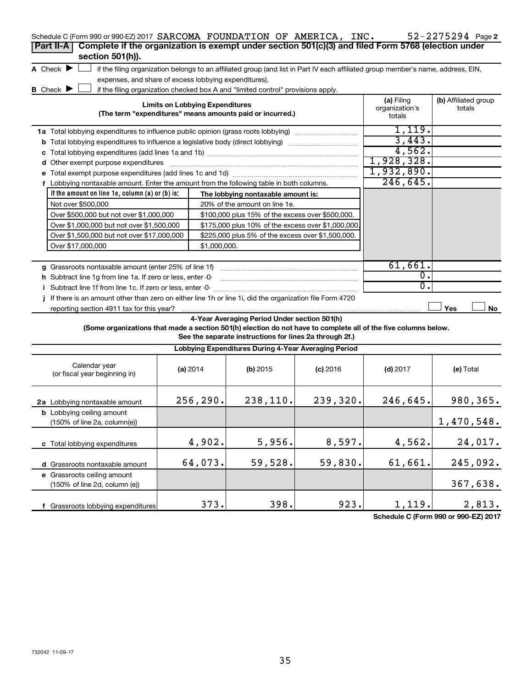| Schedule C (Form 990 or 990-EZ) 2017 SARCOMA FOUNDATION OF AMERICA, INC.<br>Complete if the organization is exempt under section 501(c)(3) and filed Form 5768 (election under<br>Part II-A<br>section 501(h)). |                                                       |                                                                                                                                   |            |                                        | 52-2275294 Page 2              |
|-----------------------------------------------------------------------------------------------------------------------------------------------------------------------------------------------------------------|-------------------------------------------------------|-----------------------------------------------------------------------------------------------------------------------------------|------------|----------------------------------------|--------------------------------|
| A Check $\blacktriangleright$                                                                                                                                                                                   |                                                       | if the filing organization belongs to an affiliated group (and list in Part IV each affiliated group member's name, address, EIN, |            |                                        |                                |
|                                                                                                                                                                                                                 | expenses, and share of excess lobbying expenditures). |                                                                                                                                   |            |                                        |                                |
| <b>B</b> Check $\blacktriangleright$                                                                                                                                                                            |                                                       | if the filing organization checked box A and "limited control" provisions apply.                                                  |            |                                        |                                |
|                                                                                                                                                                                                                 | <b>Limits on Lobbying Expenditures</b>                | (The term "expenditures" means amounts paid or incurred.)                                                                         |            | (a) Filing<br>organization's<br>totals | (b) Affiliated group<br>totals |
| 1a Total lobbying expenditures to influence public opinion (grass roots lobbying)                                                                                                                               |                                                       |                                                                                                                                   |            | 1,119.                                 |                                |
| <b>b</b> Total lobbying expenditures to influence a legislative body (direct lobbying)                                                                                                                          |                                                       |                                                                                                                                   |            | 3,443.                                 |                                |
|                                                                                                                                                                                                                 |                                                       |                                                                                                                                   |            | 4,562.                                 |                                |
| d Other exempt purpose expenditures                                                                                                                                                                             |                                                       |                                                                                                                                   |            | 1,928,328.                             |                                |
|                                                                                                                                                                                                                 |                                                       |                                                                                                                                   |            | 1,932,890.                             |                                |
| f Lobbying nontaxable amount. Enter the amount from the following table in both columns.                                                                                                                        |                                                       |                                                                                                                                   |            | 246, 645.                              |                                |
| If the amount on line 1e, column $(a)$ or $(b)$ is:                                                                                                                                                             |                                                       | The lobbying nontaxable amount is:                                                                                                |            |                                        |                                |
| Not over \$500,000                                                                                                                                                                                              |                                                       | 20% of the amount on line 1e.                                                                                                     |            |                                        |                                |
| Over \$500,000 but not over \$1,000,000                                                                                                                                                                         |                                                       | \$100,000 plus 15% of the excess over \$500,000.                                                                                  |            |                                        |                                |
| Over \$1,000,000 but not over \$1,500,000                                                                                                                                                                       |                                                       | \$175,000 plus 10% of the excess over \$1,000,000                                                                                 |            |                                        |                                |
| Over \$1,500,000 but not over \$17,000,000                                                                                                                                                                      |                                                       | \$225,000 plus 5% of the excess over \$1,500,000.                                                                                 |            |                                        |                                |
| Over \$17,000,000                                                                                                                                                                                               | \$1,000,000.                                          |                                                                                                                                   |            |                                        |                                |
|                                                                                                                                                                                                                 |                                                       |                                                                                                                                   |            |                                        |                                |
| g Grassroots nontaxable amount (enter 25% of line 1f)                                                                                                                                                           |                                                       |                                                                                                                                   |            | 61,661.                                |                                |
| h Subtract line 1g from line 1a. If zero or less, enter -0-                                                                                                                                                     |                                                       |                                                                                                                                   |            | $\overline{0}$ .                       |                                |
| i Subtract line 1f from line 1c. If zero or less, enter -0-                                                                                                                                                     |                                                       |                                                                                                                                   |            |                                        |                                |
|                                                                                                                                                                                                                 |                                                       |                                                                                                                                   |            | 0.                                     |                                |
| If there is an amount other than zero on either line 1h or line 1i, did the organization file Form 4720                                                                                                         |                                                       |                                                                                                                                   |            |                                        |                                |
| reporting section 4911 tax for this year?                                                                                                                                                                       |                                                       |                                                                                                                                   |            |                                        | Yes<br>No                      |
| (Some organizations that made a section 501(h) election do not have to complete all of the five columns below.                                                                                                  |                                                       | 4-Year Averaging Period Under section 501(h)<br>See the separate instructions for lines 2a through 2f.)                           |            |                                        |                                |
|                                                                                                                                                                                                                 |                                                       | Lobbying Expenditures During 4-Year Averaging Period                                                                              |            |                                        |                                |
| Calendar year<br>(or fiscal year beginning in)                                                                                                                                                                  | (a) 2014                                              | $(b)$ 2015                                                                                                                        | $(c)$ 2016 | $(d)$ 2017                             | (e) Total                      |
| 2a Lobbying nontaxable amount                                                                                                                                                                                   | 256,290.                                              | 238,110.                                                                                                                          | 239,320.   | 246,645.                               | 980,365.                       |
| <b>b</b> Lobbying ceiling amount<br>(150% of line 2a, column(e))                                                                                                                                                |                                                       |                                                                                                                                   |            |                                        | 1,470,548.                     |
| c Total lobbying expenditures                                                                                                                                                                                   | 4,902.                                                | 5,956.                                                                                                                            | 8,597.     | 4,562.                                 | 24,017.                        |
|                                                                                                                                                                                                                 |                                                       | 59,528.                                                                                                                           |            |                                        |                                |
| d Grassroots nontaxable amount                                                                                                                                                                                  | 64,073.                                               |                                                                                                                                   | 59,830.    | 61,661.                                | 245,092.                       |
| e Grassroots ceiling amount<br>(150% of line 2d, column (e))                                                                                                                                                    |                                                       |                                                                                                                                   |            |                                        | 367,638.                       |

**Schedule C (Form 990 or 990-EZ) 2017**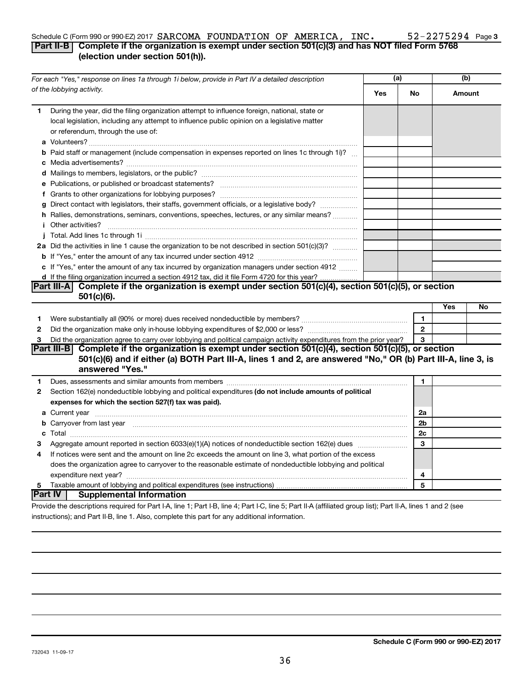#### 52-2275294 Page 3 Schedule C (Form 990 or 990-EZ) 2017  $SARCOMA$   ${\bf FOUNDATION}$  OF  $AMERICA$ ,  $INC$   $300$   $2275294$  Page **Part II-B Complete if the organization is exempt under section 501(c)(3) and has NOT filed Form 5768**

### **(election under section 501(h)).**

| For each "Yes," response on lines 1a through 1i below, provide in Part IV a detailed description |                                                                                                                                                                                                                                     | (a)        |                | (b)    |    |
|--------------------------------------------------------------------------------------------------|-------------------------------------------------------------------------------------------------------------------------------------------------------------------------------------------------------------------------------------|------------|----------------|--------|----|
|                                                                                                  | of the lobbying activity.                                                                                                                                                                                                           | <b>Yes</b> | No.            | Amount |    |
| 1.                                                                                               | During the year, did the filing organization attempt to influence foreign, national, state or<br>local legislation, including any attempt to influence public opinion on a legislative matter<br>or referendum, through the use of: |            |                |        |    |
|                                                                                                  | <b>b</b> Paid staff or management (include compensation in expenses reported on lines 1c through 1i)?                                                                                                                               |            |                |        |    |
|                                                                                                  |                                                                                                                                                                                                                                     |            |                |        |    |
|                                                                                                  |                                                                                                                                                                                                                                     |            |                |        |    |
|                                                                                                  |                                                                                                                                                                                                                                     |            |                |        |    |
|                                                                                                  |                                                                                                                                                                                                                                     |            |                |        |    |
|                                                                                                  | g Direct contact with legislators, their staffs, government officials, or a legislative body?                                                                                                                                       |            |                |        |    |
|                                                                                                  | h Rallies, demonstrations, seminars, conventions, speeches, lectures, or any similar means?                                                                                                                                         |            |                |        |    |
|                                                                                                  | <b>i</b> Other activities?                                                                                                                                                                                                          |            |                |        |    |
|                                                                                                  |                                                                                                                                                                                                                                     |            |                |        |    |
|                                                                                                  | 2a Did the activities in line 1 cause the organization to be not described in section 501(c)(3)?                                                                                                                                    |            |                |        |    |
|                                                                                                  |                                                                                                                                                                                                                                     |            |                |        |    |
|                                                                                                  | c If "Yes," enter the amount of any tax incurred by organization managers under section 4912                                                                                                                                        |            |                |        |    |
|                                                                                                  | d If the filing organization incurred a section 4912 tax, did it file Form 4720 for this year?                                                                                                                                      |            |                |        |    |
|                                                                                                  | Part III-A Complete if the organization is exempt under section 501(c)(4), section 501(c)(5), or section                                                                                                                            |            |                |        |    |
|                                                                                                  | $501(c)(6)$ .                                                                                                                                                                                                                       |            |                |        |    |
|                                                                                                  |                                                                                                                                                                                                                                     |            |                | Yes    | No |
| 1                                                                                                |                                                                                                                                                                                                                                     |            | $\mathbf{1}$   |        |    |
| $\mathbf{2}$                                                                                     |                                                                                                                                                                                                                                     |            | $\mathbf{2}$   |        |    |
| 3                                                                                                | Did the organization agree to carry over lobbying and political campaign activity expenditures from the prior year?                                                                                                                 |            | 3              |        |    |
|                                                                                                  | Part III-B Complete if the organization is exempt under section 501(c)(4), section 501(c)(5), or section<br>501(c)(6) and if either (a) BOTH Part III-A, lines 1 and 2, are answered "No," OR (b) Part III-A, line 3, is            |            |                |        |    |
|                                                                                                  | answered "Yes."                                                                                                                                                                                                                     |            |                |        |    |
| 1.                                                                                               |                                                                                                                                                                                                                                     |            | 1              |        |    |
| $\mathbf{2}$                                                                                     | Section 162(e) nondeductible lobbying and political expenditures (do not include amounts of political                                                                                                                               |            |                |        |    |
|                                                                                                  | expenses for which the section 527(f) tax was paid).                                                                                                                                                                                |            |                |        |    |
|                                                                                                  |                                                                                                                                                                                                                                     |            | 2a             |        |    |
|                                                                                                  | b Carryover from last year manufactured and content to content the content of the content of the content of the content of the content of the content of the content of the content of the content of the content of the conte      |            | 2 <sub>b</sub> |        |    |
|                                                                                                  |                                                                                                                                                                                                                                     |            | 2c             |        |    |
| З                                                                                                |                                                                                                                                                                                                                                     |            | 3              |        |    |
| 4                                                                                                | If notices were sent and the amount on line 2c exceeds the amount on line 3, what portion of the excess                                                                                                                             |            |                |        |    |
|                                                                                                  | does the organization agree to carryover to the reasonable estimate of nondeductible lobbying and political                                                                                                                         |            |                |        |    |
|                                                                                                  |                                                                                                                                                                                                                                     |            | 4              |        |    |
| 5                                                                                                |                                                                                                                                                                                                                                     |            | 5              |        |    |
|                                                                                                  | <b>Part IV</b><br><b>Supplemental Information</b>                                                                                                                                                                                   |            |                |        |    |
|                                                                                                  | Provide the descriptions required for Part I-A, line 1; Part I-B, line 4; Part I-C, line 5; Part II-A (affiliated group list); Part II-A, lines 1 and 2 (see                                                                        |            |                |        |    |

instructions); and Part II-B, line 1. Also, complete this part for any additional information.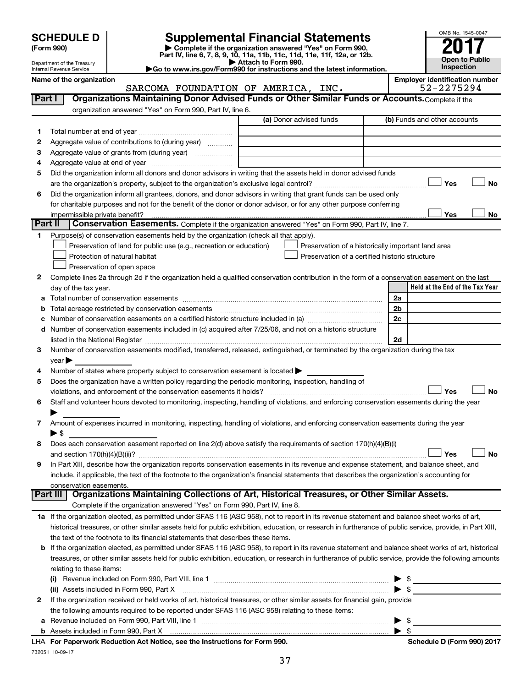| <b>SCHEDULE D</b> |  |
|-------------------|--|
|-------------------|--|

| (Form 990) |  |
|------------|--|
|------------|--|

# **SCHEDULE D Supplemental Financial Statements**<br> **Form 990 2017**<br> **Part IV** line 6.7.8.9.10, 11a, 11b, 11d, 11d, 11d, 11d, 11d, 12a, 0r, 12b

**(Form 990) | Complete if the organization answered "Yes" on Form 990, Part IV, line 6, 7, 8, 9, 10, 11a, 11b, 11c, 11d, 11e, 11f, 12a, or 12b.**



Department of the Treasury Internal Revenue Service

**| Attach to Form 990. |Go to www.irs.gov/Form990 for instructions and the latest information.**

|         | Name of the organization                                                                                                                                   |                         | <b>Employer identification number</b>              |
|---------|------------------------------------------------------------------------------------------------------------------------------------------------------------|-------------------------|----------------------------------------------------|
|         | SARCOMA FOUNDATION OF AMERICA, INC.                                                                                                                        |                         | 52-2275294                                         |
| Part I  | Organizations Maintaining Donor Advised Funds or Other Similar Funds or Accounts. Complete if the                                                          |                         |                                                    |
|         | organization answered "Yes" on Form 990, Part IV, line 6.                                                                                                  | (a) Donor advised funds | (b) Funds and other accounts                       |
|         |                                                                                                                                                            |                         |                                                    |
| 1.      |                                                                                                                                                            |                         |                                                    |
| 2       | Aggregate value of contributions to (during year)                                                                                                          |                         |                                                    |
| З       | Aggregate value of grants from (during year)                                                                                                               |                         |                                                    |
| 4       |                                                                                                                                                            |                         |                                                    |
| 5       | Did the organization inform all donors and donor advisors in writing that the assets held in donor advised funds                                           |                         |                                                    |
|         |                                                                                                                                                            |                         | Yes<br>No                                          |
| 6       | Did the organization inform all grantees, donors, and donor advisors in writing that grant funds can be used only                                          |                         |                                                    |
|         | for charitable purposes and not for the benefit of the donor or donor advisor, or for any other purpose conferring                                         |                         |                                                    |
|         | impermissible private benefit?                                                                                                                             |                         | Yes<br>No                                          |
| Part II | Conservation Easements. Complete if the organization answered "Yes" on Form 990, Part IV, line 7.                                                          |                         |                                                    |
| 1.      | Purpose(s) of conservation easements held by the organization (check all that apply).                                                                      |                         |                                                    |
|         | Preservation of land for public use (e.g., recreation or education)                                                                                        |                         | Preservation of a historically important land area |
|         | Protection of natural habitat                                                                                                                              |                         | Preservation of a certified historic structure     |
|         | Preservation of open space                                                                                                                                 |                         |                                                    |
| 2       | Complete lines 2a through 2d if the organization held a qualified conservation contribution in the form of a conservation easement on the last             |                         |                                                    |
|         | day of the tax year.                                                                                                                                       |                         | Held at the End of the Tax Year                    |
|         |                                                                                                                                                            |                         | 2a                                                 |
|         | Total acreage restricted by conservation easements                                                                                                         |                         | 2 <sub>b</sub>                                     |
|         |                                                                                                                                                            |                         | 2c                                                 |
|         | d Number of conservation easements included in (c) acquired after 7/25/06, and not on a historic structure                                                 |                         |                                                    |
|         |                                                                                                                                                            |                         | 2d                                                 |
| З       | Number of conservation easements modified, transferred, released, extinguished, or terminated by the organization during the tax                           |                         |                                                    |
|         | year                                                                                                                                                       |                         |                                                    |
| 4       | Number of states where property subject to conservation easement is located >                                                                              |                         |                                                    |
| 5       | Does the organization have a written policy regarding the periodic monitoring, inspection, handling of                                                     |                         |                                                    |
|         | violations, and enforcement of the conservation easements it holds?                                                                                        |                         | Yes<br>No                                          |
| 6       | Staff and volunteer hours devoted to monitoring, inspecting, handling of violations, and enforcing conservation easements during the year                  |                         |                                                    |
|         | Amount of expenses incurred in monitoring, inspecting, handling of violations, and enforcing conservation easements during the year                        |                         |                                                    |
| 7       | ▶ \$                                                                                                                                                       |                         |                                                    |
| 8       | Does each conservation easement reported on line 2(d) above satisfy the requirements of section 170(h)(4)(B)(i)                                            |                         |                                                    |
|         |                                                                                                                                                            |                         | Yes<br>No                                          |
| 9       | In Part XIII, describe how the organization reports conservation easements in its revenue and expense statement, and balance sheet, and                    |                         |                                                    |
|         | include, if applicable, the text of the footnote to the organization's financial statements that describes the organization's accounting for               |                         |                                                    |
|         | conservation easements.                                                                                                                                    |                         |                                                    |
|         | Organizations Maintaining Collections of Art, Historical Treasures, or Other Similar Assets.<br>Part III                                                   |                         |                                                    |
|         | Complete if the organization answered "Yes" on Form 990, Part IV, line 8.                                                                                  |                         |                                                    |
|         | 1a If the organization elected, as permitted under SFAS 116 (ASC 958), not to report in its revenue statement and balance sheet works of art,              |                         |                                                    |
|         | historical treasures, or other similar assets held for public exhibition, education, or research in furtherance of public service, provide, in Part XIII,  |                         |                                                    |
|         | the text of the footnote to its financial statements that describes these items.                                                                           |                         |                                                    |
|         | <b>b</b> If the organization elected, as permitted under SFAS 116 (ASC 958), to report in its revenue statement and balance sheet works of art, historical |                         |                                                    |
|         | treasures, or other similar assets held for public exhibition, education, or research in furtherance of public service, provide the following amounts      |                         |                                                    |
|         | relating to these items:                                                                                                                                   |                         |                                                    |
|         |                                                                                                                                                            |                         |                                                    |
|         | (ii) Assets included in Form 990, Part X                                                                                                                   |                         | $\blacktriangleright$ s                            |
| 2       | If the organization received or held works of art, historical treasures, or other similar assets for financial gain, provide                               |                         |                                                    |
|         | the following amounts required to be reported under SFAS 116 (ASC 958) relating to these items:                                                            |                         |                                                    |
| а       |                                                                                                                                                            |                         | $\blacktriangleright$ \$                           |
|         |                                                                                                                                                            |                         | $\blacktriangleright$ s                            |
|         |                                                                                                                                                            |                         |                                                    |

732051 10-09-17 **For Paperwork Reduction Act Notice, see the Instructions for Form 990. Schedule D (Form 990) 2017** LHA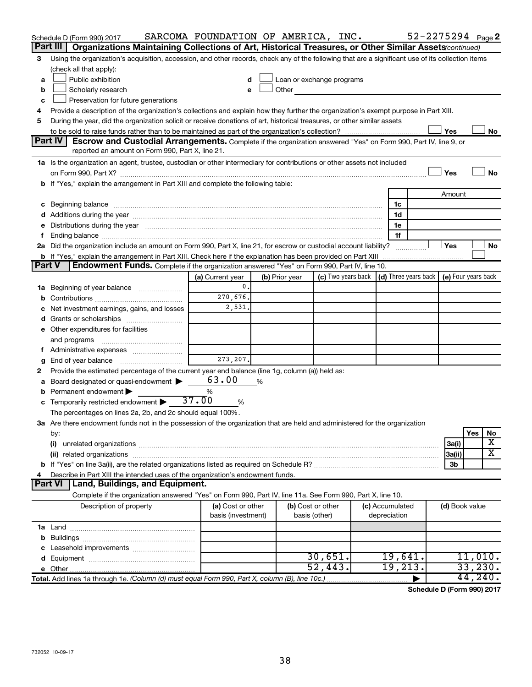|        | Schedule D (Form 990) 2017<br>Part III                                                                                                                                                                                         | SARCOMA FOUNDATION OF AMERICA, INC.     |   |                |                                                         |                                 |                | 52-2275294 Page 2   |
|--------|--------------------------------------------------------------------------------------------------------------------------------------------------------------------------------------------------------------------------------|-----------------------------------------|---|----------------|---------------------------------------------------------|---------------------------------|----------------|---------------------|
|        | Organizations Maintaining Collections of Art, Historical Treasures, or Other Similar Assets (continued)                                                                                                                        |                                         |   |                |                                                         |                                 |                |                     |
| 3      | Using the organization's acquisition, accession, and other records, check any of the following that are a significant use of its collection items<br>(check all that apply):                                                   |                                         |   |                |                                                         |                                 |                |                     |
| a      | Public exhibition                                                                                                                                                                                                              |                                         |   |                | Loan or exchange programs                               |                                 |                |                     |
| b      | Scholarly research                                                                                                                                                                                                             |                                         |   | Other          |                                                         |                                 |                |                     |
| c      | Preservation for future generations                                                                                                                                                                                            |                                         |   |                |                                                         |                                 |                |                     |
| 4      | Provide a description of the organization's collections and explain how they further the organization's exempt purpose in Part XIII.                                                                                           |                                         |   |                |                                                         |                                 |                |                     |
| 5      | During the year, did the organization solicit or receive donations of art, historical treasures, or other similar assets                                                                                                       |                                         |   |                |                                                         |                                 |                |                     |
|        |                                                                                                                                                                                                                                |                                         |   |                |                                                         |                                 | Yes            | No                  |
|        | Part IV<br><b>Escrow and Custodial Arrangements.</b> Complete if the organization answered "Yes" on Form 990, Part IV, line 9, or                                                                                              |                                         |   |                |                                                         |                                 |                |                     |
|        | reported an amount on Form 990, Part X, line 21.                                                                                                                                                                               |                                         |   |                |                                                         |                                 |                |                     |
|        | 1a Is the organization an agent, trustee, custodian or other intermediary for contributions or other assets not included                                                                                                       |                                         |   |                |                                                         |                                 |                |                     |
|        |                                                                                                                                                                                                                                |                                         |   |                |                                                         |                                 | Yes            | No                  |
|        | b If "Yes," explain the arrangement in Part XIII and complete the following table:                                                                                                                                             |                                         |   |                |                                                         |                                 |                |                     |
|        |                                                                                                                                                                                                                                |                                         |   |                |                                                         |                                 | Amount         |                     |
|        | c Beginning balance measurements and the contract of the contract of the contract of the contract of the contract of the contract of the contract of the contract of the contract of the contract of the contract of the contr |                                         |   |                |                                                         | 1c                              |                |                     |
|        |                                                                                                                                                                                                                                |                                         |   |                |                                                         | 1d                              |                |                     |
| е      | Distributions during the year manufactured and an account of the year manufactured and the year manufactured and the year manufactured and the year manufactured and the year manufactured and the year manufactured and the y |                                         |   |                |                                                         | 1e                              |                |                     |
| f.     |                                                                                                                                                                                                                                |                                         |   |                |                                                         | 1f                              |                |                     |
|        | 2a Did the organization include an amount on Form 990, Part X, line 21, for escrow or custodial account liability?                                                                                                             |                                         |   |                |                                                         | .                               | Yes            | No                  |
|        | <b>b</b> If "Yes," explain the arrangement in Part XIII. Check here if the explanation has been provided on Part XIII                                                                                                          |                                         |   |                |                                                         |                                 |                |                     |
| Part V | Endowment Funds. Complete if the organization answered "Yes" on Form 990, Part IV, line 10.                                                                                                                                    |                                         |   |                |                                                         |                                 |                |                     |
|        |                                                                                                                                                                                                                                | (a) Current year                        |   | (b) Prior year | (c) Two years back $\vert$ (d) Three years back $\vert$ |                                 |                | (e) Four years back |
|        | <b>1a</b> Beginning of year balance                                                                                                                                                                                            | 0.                                      |   |                |                                                         |                                 |                |                     |
| b      |                                                                                                                                                                                                                                | 270,676.                                |   |                |                                                         |                                 |                |                     |
| с      | Net investment earnings, gains, and losses                                                                                                                                                                                     | 2,531.                                  |   |                |                                                         |                                 |                |                     |
| d      | Grants or scholarships                                                                                                                                                                                                         |                                         |   |                |                                                         |                                 |                |                     |
|        | e Other expenditures for facilities                                                                                                                                                                                            |                                         |   |                |                                                         |                                 |                |                     |
|        | and programs                                                                                                                                                                                                                   |                                         |   |                |                                                         |                                 |                |                     |
| t.     | Administrative expenses                                                                                                                                                                                                        | 273, 207.                               |   |                |                                                         |                                 |                |                     |
| g      | Provide the estimated percentage of the current year end balance (line 1g, column (a)) held as:                                                                                                                                |                                         |   |                |                                                         |                                 |                |                     |
| 2<br>а | Board designated or quasi-endowment                                                                                                                                                                                            | 63.00                                   | % |                |                                                         |                                 |                |                     |
| b      | Permanent endowment                                                                                                                                                                                                            | %                                       |   |                |                                                         |                                 |                |                     |
|        | <b>c</b> Temporarily restricted endowment $\blacktriangleright$                                                                                                                                                                | 37.00<br>%                              |   |                |                                                         |                                 |                |                     |
|        | The percentages on lines 2a, 2b, and 2c should equal 100%.                                                                                                                                                                     |                                         |   |                |                                                         |                                 |                |                     |
|        | 3a Are there endowment funds not in the possession of the organization that are held and administered for the organization                                                                                                     |                                         |   |                |                                                         |                                 |                |                     |
|        | by:                                                                                                                                                                                                                            |                                         |   |                |                                                         |                                 |                | Yes<br>No           |
|        | (i)                                                                                                                                                                                                                            |                                         |   |                |                                                         |                                 | 3a(i)          | х                   |
|        |                                                                                                                                                                                                                                |                                         |   |                |                                                         |                                 | 3a(ii)         | X                   |
|        |                                                                                                                                                                                                                                |                                         |   |                |                                                         |                                 | 3b             |                     |
| 4      | Describe in Part XIII the intended uses of the organization's endowment funds.                                                                                                                                                 |                                         |   |                |                                                         |                                 |                |                     |
|        | <b>Part VI</b><br>  Land, Buildings, and Equipment.                                                                                                                                                                            |                                         |   |                |                                                         |                                 |                |                     |
|        | Complete if the organization answered "Yes" on Form 990, Part IV, line 11a. See Form 990, Part X, line 10.                                                                                                                     |                                         |   |                |                                                         |                                 |                |                     |
|        | Description of property                                                                                                                                                                                                        | (a) Cost or other<br>basis (investment) |   | basis (other)  | (b) Cost or other                                       | (c) Accumulated<br>depreciation | (d) Book value |                     |
|        |                                                                                                                                                                                                                                |                                         |   |                |                                                         |                                 |                |                     |
| b      |                                                                                                                                                                                                                                |                                         |   |                |                                                         |                                 |                |                     |
|        |                                                                                                                                                                                                                                |                                         |   |                |                                                         |                                 |                |                     |
| d      |                                                                                                                                                                                                                                |                                         |   |                | 30,651.                                                 | 19,641.                         |                | 11,010.             |
|        |                                                                                                                                                                                                                                |                                         |   |                | 52,443.                                                 | 19,213.                         |                | 33,230.             |
|        | Total. Add lines 1a through 1e. (Column (d) must equal Form 990, Part X, column (B), line 10c.)                                                                                                                                |                                         |   |                |                                                         |                                 |                | 44,240.             |

**Schedule D (Form 990) 2017**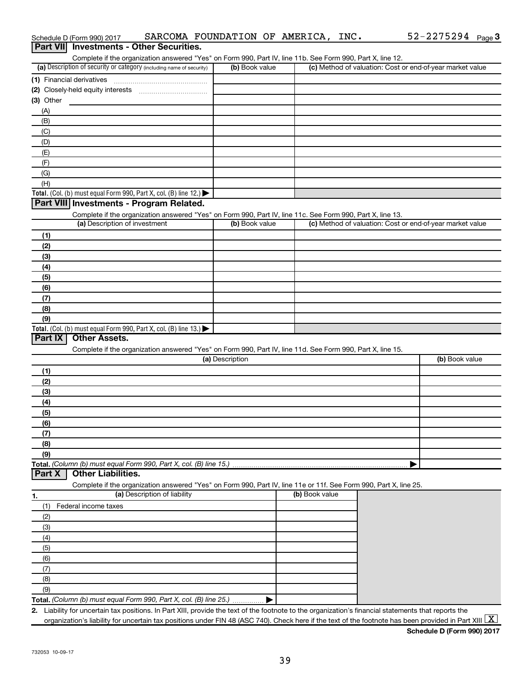|                                                                                           |                                                                                                                   |                 | Complete if the organization answered "Yes" on Form 990, Part IV, line 11b. See Form 990, Part X, line 12. |                                                           |
|-------------------------------------------------------------------------------------------|-------------------------------------------------------------------------------------------------------------------|-----------------|------------------------------------------------------------------------------------------------------------|-----------------------------------------------------------|
| (a) Description of security or category (including name of security)                      |                                                                                                                   | (b) Book value  |                                                                                                            | (c) Method of valuation: Cost or end-of-year market value |
| (1) Financial derivatives                                                                 |                                                                                                                   |                 |                                                                                                            |                                                           |
|                                                                                           |                                                                                                                   |                 |                                                                                                            |                                                           |
| $(3)$ Other                                                                               |                                                                                                                   |                 |                                                                                                            |                                                           |
| (A)                                                                                       |                                                                                                                   |                 |                                                                                                            |                                                           |
| (B)                                                                                       |                                                                                                                   |                 |                                                                                                            |                                                           |
| (C)                                                                                       |                                                                                                                   |                 |                                                                                                            |                                                           |
| (D)                                                                                       |                                                                                                                   |                 |                                                                                                            |                                                           |
| (E)                                                                                       |                                                                                                                   |                 |                                                                                                            |                                                           |
| (F)                                                                                       |                                                                                                                   |                 |                                                                                                            |                                                           |
| (G)                                                                                       |                                                                                                                   |                 |                                                                                                            |                                                           |
| (H)                                                                                       |                                                                                                                   |                 |                                                                                                            |                                                           |
| Total. (Col. (b) must equal Form 990, Part X, col. (B) line 12.)                          |                                                                                                                   |                 |                                                                                                            |                                                           |
| Part VIII Investments - Program Related.                                                  |                                                                                                                   |                 |                                                                                                            |                                                           |
|                                                                                           | Complete if the organization answered "Yes" on Form 990, Part IV, line 11c. See Form 990, Part X, line 13.        |                 |                                                                                                            |                                                           |
| (a) Description of investment                                                             |                                                                                                                   | (b) Book value  |                                                                                                            | (c) Method of valuation: Cost or end-of-year market value |
| (1)                                                                                       |                                                                                                                   |                 |                                                                                                            |                                                           |
| (2)                                                                                       |                                                                                                                   |                 |                                                                                                            |                                                           |
| (3)                                                                                       |                                                                                                                   |                 |                                                                                                            |                                                           |
| (4)                                                                                       |                                                                                                                   |                 |                                                                                                            |                                                           |
| (5)                                                                                       |                                                                                                                   |                 |                                                                                                            |                                                           |
| (6)                                                                                       |                                                                                                                   |                 |                                                                                                            |                                                           |
| (7)                                                                                       |                                                                                                                   |                 |                                                                                                            |                                                           |
| (8)                                                                                       |                                                                                                                   |                 |                                                                                                            |                                                           |
| (9)                                                                                       |                                                                                                                   |                 |                                                                                                            |                                                           |
| Total. (Col. (b) must equal Form 990, Part X, col. (B) line 13.) $\blacktriangleright$    |                                                                                                                   |                 |                                                                                                            |                                                           |
| Part IX<br><b>Other Assets.</b>                                                           |                                                                                                                   |                 |                                                                                                            |                                                           |
|                                                                                           |                                                                                                                   |                 |                                                                                                            |                                                           |
|                                                                                           |                                                                                                                   |                 |                                                                                                            |                                                           |
|                                                                                           | Complete if the organization answered "Yes" on Form 990, Part IV, line 11d. See Form 990, Part X, line 15.        | (a) Description |                                                                                                            | (b) Book value                                            |
|                                                                                           |                                                                                                                   |                 |                                                                                                            |                                                           |
| (1)                                                                                       |                                                                                                                   |                 |                                                                                                            |                                                           |
| (2)                                                                                       |                                                                                                                   |                 |                                                                                                            |                                                           |
| (3)                                                                                       |                                                                                                                   |                 |                                                                                                            |                                                           |
| (4)                                                                                       |                                                                                                                   |                 |                                                                                                            |                                                           |
| (5)                                                                                       |                                                                                                                   |                 |                                                                                                            |                                                           |
| (6)                                                                                       |                                                                                                                   |                 |                                                                                                            |                                                           |
| (7)                                                                                       |                                                                                                                   |                 |                                                                                                            |                                                           |
| (8)                                                                                       |                                                                                                                   |                 |                                                                                                            |                                                           |
| (9)                                                                                       |                                                                                                                   |                 |                                                                                                            |                                                           |
|                                                                                           |                                                                                                                   |                 |                                                                                                            |                                                           |
| <b>Other Liabilities.</b>                                                                 |                                                                                                                   |                 |                                                                                                            |                                                           |
|                                                                                           | Complete if the organization answered "Yes" on Form 990, Part IV, line 11e or 11f. See Form 990, Part X, line 25. |                 |                                                                                                            |                                                           |
|                                                                                           | (a) Description of liability                                                                                      |                 | (b) Book value                                                                                             |                                                           |
| (1)<br>Federal income taxes                                                               |                                                                                                                   |                 |                                                                                                            |                                                           |
| (2)                                                                                       |                                                                                                                   |                 |                                                                                                            |                                                           |
| (3)                                                                                       |                                                                                                                   |                 |                                                                                                            |                                                           |
| (4)                                                                                       |                                                                                                                   |                 |                                                                                                            |                                                           |
| (5)                                                                                       |                                                                                                                   |                 |                                                                                                            |                                                           |
| (6)                                                                                       |                                                                                                                   |                 |                                                                                                            |                                                           |
| (7)                                                                                       |                                                                                                                   |                 |                                                                                                            |                                                           |
| Total. (Column (b) must equal Form 990, Part X, col. (B) line 15.)<br>Part X<br>1.<br>(8) |                                                                                                                   |                 |                                                                                                            |                                                           |
| (9)<br>Total. (Column (b) must equal Form 990, Part X, col. (B) line 25.)                 |                                                                                                                   |                 |                                                                                                            |                                                           |

Schedule D (Form 990) 2017 SARCOMA FOUNDATION OF AMERICA, INC.  $52-2275294$  Page

52-2275294 Page 3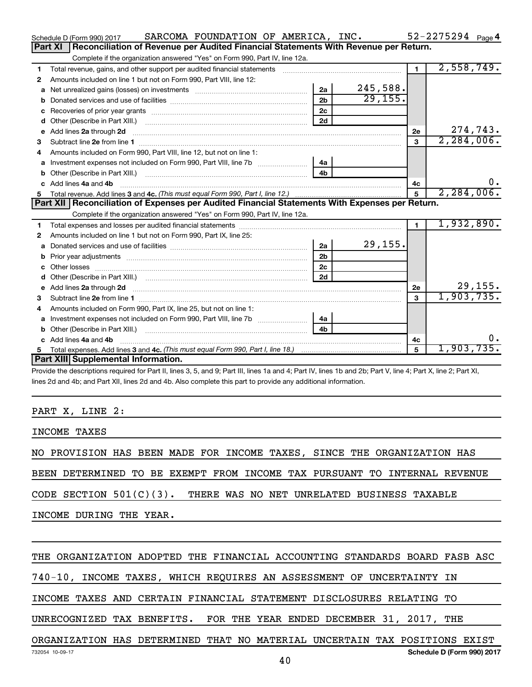| Reconciliation of Revenue per Audited Financial Statements With Revenue per Return.<br>Part XI<br>Complete if the organization answered "Yes" on Form 990, Part IV, line 12a.<br>2,558,749.<br>$\blacksquare$<br>Total revenue, gains, and other support per audited financial statements<br>1<br>Amounts included on line 1 but not on Form 990, Part VIII, line 12:<br>2<br>245,588.<br>2a<br>a<br>29, 155.<br>2 <sub>h</sub><br>2 <sub>c</sub><br>2d<br>d<br>274,743.<br>Add lines 2a through 2d<br>2е<br>е<br>2, 284, 006.<br>3<br>з<br>Amounts included on Form 990, Part VIII, line 12, but not on line 1:<br>4<br>Investment expenses not included on Form 990, Part VIII, line 7b [11, 11, 120] 4a<br>a<br>4 <sub>b</sub><br>$0$ .<br>c Add lines 4a and 4b<br>4c<br>2, 284, 006.<br>5<br>Part XII   Reconciliation of Expenses per Audited Financial Statements With Expenses per Return.<br>Complete if the organization answered "Yes" on Form 990, Part IV, line 12a.<br>1,932,890.<br>$\blacksquare$<br>1<br>Amounts included on line 1 but not on Form 990, Part IX, line 25:<br>2<br>29,155.<br>2a<br>a<br>2 <sub>b</sub><br>b<br>2c<br>2d<br>d<br>29,155.<br>e Add lines 2a through 2d [11] manufactured and all the Add lines 2a through 2d [11] manufactured and all through 2d [11] manufactured and all through 2d [11] manufactured and all through 2d [11] manufactured and all throu<br>2e<br>1,903,735.<br>$\mathbf{a}$<br>Amounts included on Form 990, Part IX, line 25, but not on line 1:<br>4<br>4a<br>a<br>4 <sub>b</sub><br>υ.<br>c Add lines 4a and 4b<br>4c<br>1,903,735.<br>5<br>5.<br>Part XIII Supplemental Information. | SARCOMA FOUNDATION OF AMERICA, INC.<br>Schedule D (Form 990) 2017 |  | $52 - 2275294$ Page 4 |  |
|--------------------------------------------------------------------------------------------------------------------------------------------------------------------------------------------------------------------------------------------------------------------------------------------------------------------------------------------------------------------------------------------------------------------------------------------------------------------------------------------------------------------------------------------------------------------------------------------------------------------------------------------------------------------------------------------------------------------------------------------------------------------------------------------------------------------------------------------------------------------------------------------------------------------------------------------------------------------------------------------------------------------------------------------------------------------------------------------------------------------------------------------------------------------------------------------------------------------------------------------------------------------------------------------------------------------------------------------------------------------------------------------------------------------------------------------------------------------------------------------------------------------------------------------------------------------------------------------------------------------------------------------------------------|-------------------------------------------------------------------|--|-----------------------|--|
|                                                                                                                                                                                                                                                                                                                                                                                                                                                                                                                                                                                                                                                                                                                                                                                                                                                                                                                                                                                                                                                                                                                                                                                                                                                                                                                                                                                                                                                                                                                                                                                                                                                              |                                                                   |  |                       |  |
|                                                                                                                                                                                                                                                                                                                                                                                                                                                                                                                                                                                                                                                                                                                                                                                                                                                                                                                                                                                                                                                                                                                                                                                                                                                                                                                                                                                                                                                                                                                                                                                                                                                              |                                                                   |  |                       |  |
|                                                                                                                                                                                                                                                                                                                                                                                                                                                                                                                                                                                                                                                                                                                                                                                                                                                                                                                                                                                                                                                                                                                                                                                                                                                                                                                                                                                                                                                                                                                                                                                                                                                              |                                                                   |  |                       |  |
|                                                                                                                                                                                                                                                                                                                                                                                                                                                                                                                                                                                                                                                                                                                                                                                                                                                                                                                                                                                                                                                                                                                                                                                                                                                                                                                                                                                                                                                                                                                                                                                                                                                              |                                                                   |  |                       |  |
|                                                                                                                                                                                                                                                                                                                                                                                                                                                                                                                                                                                                                                                                                                                                                                                                                                                                                                                                                                                                                                                                                                                                                                                                                                                                                                                                                                                                                                                                                                                                                                                                                                                              |                                                                   |  |                       |  |
|                                                                                                                                                                                                                                                                                                                                                                                                                                                                                                                                                                                                                                                                                                                                                                                                                                                                                                                                                                                                                                                                                                                                                                                                                                                                                                                                                                                                                                                                                                                                                                                                                                                              |                                                                   |  |                       |  |
|                                                                                                                                                                                                                                                                                                                                                                                                                                                                                                                                                                                                                                                                                                                                                                                                                                                                                                                                                                                                                                                                                                                                                                                                                                                                                                                                                                                                                                                                                                                                                                                                                                                              |                                                                   |  |                       |  |
|                                                                                                                                                                                                                                                                                                                                                                                                                                                                                                                                                                                                                                                                                                                                                                                                                                                                                                                                                                                                                                                                                                                                                                                                                                                                                                                                                                                                                                                                                                                                                                                                                                                              |                                                                   |  |                       |  |
|                                                                                                                                                                                                                                                                                                                                                                                                                                                                                                                                                                                                                                                                                                                                                                                                                                                                                                                                                                                                                                                                                                                                                                                                                                                                                                                                                                                                                                                                                                                                                                                                                                                              |                                                                   |  |                       |  |
|                                                                                                                                                                                                                                                                                                                                                                                                                                                                                                                                                                                                                                                                                                                                                                                                                                                                                                                                                                                                                                                                                                                                                                                                                                                                                                                                                                                                                                                                                                                                                                                                                                                              |                                                                   |  |                       |  |
|                                                                                                                                                                                                                                                                                                                                                                                                                                                                                                                                                                                                                                                                                                                                                                                                                                                                                                                                                                                                                                                                                                                                                                                                                                                                                                                                                                                                                                                                                                                                                                                                                                                              |                                                                   |  |                       |  |
|                                                                                                                                                                                                                                                                                                                                                                                                                                                                                                                                                                                                                                                                                                                                                                                                                                                                                                                                                                                                                                                                                                                                                                                                                                                                                                                                                                                                                                                                                                                                                                                                                                                              |                                                                   |  |                       |  |
|                                                                                                                                                                                                                                                                                                                                                                                                                                                                                                                                                                                                                                                                                                                                                                                                                                                                                                                                                                                                                                                                                                                                                                                                                                                                                                                                                                                                                                                                                                                                                                                                                                                              |                                                                   |  |                       |  |
|                                                                                                                                                                                                                                                                                                                                                                                                                                                                                                                                                                                                                                                                                                                                                                                                                                                                                                                                                                                                                                                                                                                                                                                                                                                                                                                                                                                                                                                                                                                                                                                                                                                              |                                                                   |  |                       |  |
|                                                                                                                                                                                                                                                                                                                                                                                                                                                                                                                                                                                                                                                                                                                                                                                                                                                                                                                                                                                                                                                                                                                                                                                                                                                                                                                                                                                                                                                                                                                                                                                                                                                              |                                                                   |  |                       |  |
|                                                                                                                                                                                                                                                                                                                                                                                                                                                                                                                                                                                                                                                                                                                                                                                                                                                                                                                                                                                                                                                                                                                                                                                                                                                                                                                                                                                                                                                                                                                                                                                                                                                              |                                                                   |  |                       |  |
|                                                                                                                                                                                                                                                                                                                                                                                                                                                                                                                                                                                                                                                                                                                                                                                                                                                                                                                                                                                                                                                                                                                                                                                                                                                                                                                                                                                                                                                                                                                                                                                                                                                              |                                                                   |  |                       |  |
|                                                                                                                                                                                                                                                                                                                                                                                                                                                                                                                                                                                                                                                                                                                                                                                                                                                                                                                                                                                                                                                                                                                                                                                                                                                                                                                                                                                                                                                                                                                                                                                                                                                              |                                                                   |  |                       |  |
|                                                                                                                                                                                                                                                                                                                                                                                                                                                                                                                                                                                                                                                                                                                                                                                                                                                                                                                                                                                                                                                                                                                                                                                                                                                                                                                                                                                                                                                                                                                                                                                                                                                              |                                                                   |  |                       |  |
|                                                                                                                                                                                                                                                                                                                                                                                                                                                                                                                                                                                                                                                                                                                                                                                                                                                                                                                                                                                                                                                                                                                                                                                                                                                                                                                                                                                                                                                                                                                                                                                                                                                              |                                                                   |  |                       |  |
|                                                                                                                                                                                                                                                                                                                                                                                                                                                                                                                                                                                                                                                                                                                                                                                                                                                                                                                                                                                                                                                                                                                                                                                                                                                                                                                                                                                                                                                                                                                                                                                                                                                              |                                                                   |  |                       |  |
|                                                                                                                                                                                                                                                                                                                                                                                                                                                                                                                                                                                                                                                                                                                                                                                                                                                                                                                                                                                                                                                                                                                                                                                                                                                                                                                                                                                                                                                                                                                                                                                                                                                              |                                                                   |  |                       |  |
|                                                                                                                                                                                                                                                                                                                                                                                                                                                                                                                                                                                                                                                                                                                                                                                                                                                                                                                                                                                                                                                                                                                                                                                                                                                                                                                                                                                                                                                                                                                                                                                                                                                              |                                                                   |  |                       |  |
|                                                                                                                                                                                                                                                                                                                                                                                                                                                                                                                                                                                                                                                                                                                                                                                                                                                                                                                                                                                                                                                                                                                                                                                                                                                                                                                                                                                                                                                                                                                                                                                                                                                              |                                                                   |  |                       |  |
|                                                                                                                                                                                                                                                                                                                                                                                                                                                                                                                                                                                                                                                                                                                                                                                                                                                                                                                                                                                                                                                                                                                                                                                                                                                                                                                                                                                                                                                                                                                                                                                                                                                              |                                                                   |  |                       |  |
|                                                                                                                                                                                                                                                                                                                                                                                                                                                                                                                                                                                                                                                                                                                                                                                                                                                                                                                                                                                                                                                                                                                                                                                                                                                                                                                                                                                                                                                                                                                                                                                                                                                              |                                                                   |  |                       |  |
|                                                                                                                                                                                                                                                                                                                                                                                                                                                                                                                                                                                                                                                                                                                                                                                                                                                                                                                                                                                                                                                                                                                                                                                                                                                                                                                                                                                                                                                                                                                                                                                                                                                              |                                                                   |  |                       |  |
|                                                                                                                                                                                                                                                                                                                                                                                                                                                                                                                                                                                                                                                                                                                                                                                                                                                                                                                                                                                                                                                                                                                                                                                                                                                                                                                                                                                                                                                                                                                                                                                                                                                              |                                                                   |  |                       |  |
|                                                                                                                                                                                                                                                                                                                                                                                                                                                                                                                                                                                                                                                                                                                                                                                                                                                                                                                                                                                                                                                                                                                                                                                                                                                                                                                                                                                                                                                                                                                                                                                                                                                              |                                                                   |  |                       |  |
|                                                                                                                                                                                                                                                                                                                                                                                                                                                                                                                                                                                                                                                                                                                                                                                                                                                                                                                                                                                                                                                                                                                                                                                                                                                                                                                                                                                                                                                                                                                                                                                                                                                              |                                                                   |  |                       |  |
|                                                                                                                                                                                                                                                                                                                                                                                                                                                                                                                                                                                                                                                                                                                                                                                                                                                                                                                                                                                                                                                                                                                                                                                                                                                                                                                                                                                                                                                                                                                                                                                                                                                              |                                                                   |  |                       |  |

Provide the descriptions required for Part II, lines 3, 5, and 9; Part III, lines 1a and 4; Part IV, lines 1b and 2b; Part V, line 4; Part X, line 2; Part XI, lines 2d and 4b; and Part XII, lines 2d and 4b. Also complete this part to provide any additional information.

#### PART X, LINE 2:

INCOME TAXES

NO PROVISION HAS BEEN MADE FOR INCOME TAXES, SINCE THE ORGANIZATION HAS

BEEN DETERMINED TO BE EXEMPT FROM INCOME TAX PURSUANT TO INTERNAL REVENUE

CODE SECTION 501(C)(3). THERE WAS NO NET UNRELATED BUSINESS TAXABLE

INCOME DURING THE YEAR.

#### THE ORGANIZATION ADOPTED THE FINANCIAL ACCOUNTING STANDARDS BOARD FASB ASC

740-10, INCOME TAXES, WHICH REQUIRES AN ASSESSMENT OF UNCERTAINTY IN

INCOME TAXES AND CERTAIN FINANCIAL STATEMENT DISCLOSURES RELATING TO

UNRECOGNIZED TAX BENEFITS. FOR THE YEAR ENDED DECEMBER 31, 2017, THE

#### **Schedule D (Form 990) 2017** ORGANIZATION HAS DETERMINED THAT NO MATERIAL UNCERTAIN TAX POSITIONS EXIST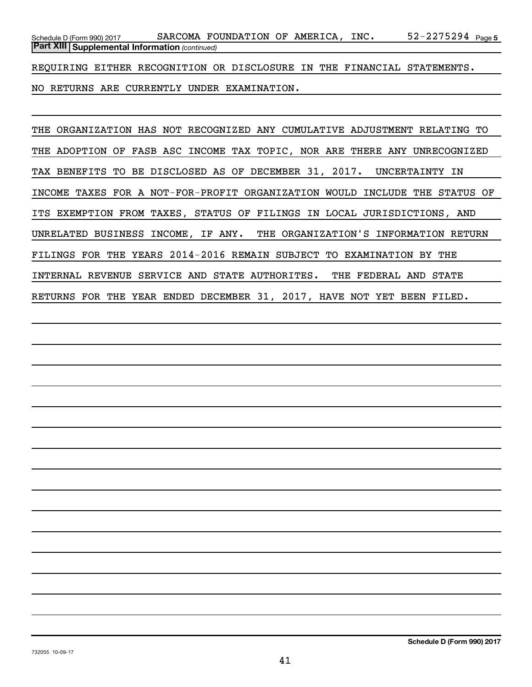52-2275294 Page 5 *(continued)* **Part XIII Supplemental Information**  Schedule D (Form 990) 2017 Page SARCOMA FOUNDATION OF AMERICA, INC. 52-2275294

REQUIRING EITHER RECOGNITION OR DISCLOSURE IN THE FINANCIAL STATEMENTS.

NO RETURNS ARE CURRENTLY UNDER EXAMINATION.

THE ORGANIZATION HAS NOT RECOGNIZED ANY CUMULATIVE ADJUSTMENT RELATING TO THE ADOPTION OF FASB ASC INCOME TAX TOPIC, NOR ARE THERE ANY UNRECOGNIZED TAX BENEFITS TO BE DISCLOSED AS OF DECEMBER 31, 2017. UNCERTAINTY IN INCOME TAXES FOR A NOT-FOR-PROFIT ORGANIZATION WOULD INCLUDE THE STATUS OF ITS EXEMPTION FROM TAXES, STATUS OF FILINGS IN LOCAL JURISDICTIONS, AND UNRELATED BUSINESS INCOME, IF ANY. THE ORGANIZATION'S INFORMATION RETURN FILINGS FOR THE YEARS 2014-2016 REMAIN SUBJECT TO EXAMINATION BY THE INTERNAL REVENUE SERVICE AND STATE AUTHORITES. THE FEDERAL AND STATE RETURNS FOR THE YEAR ENDED DECEMBER 31, 2017, HAVE NOT YET BEEN FILED.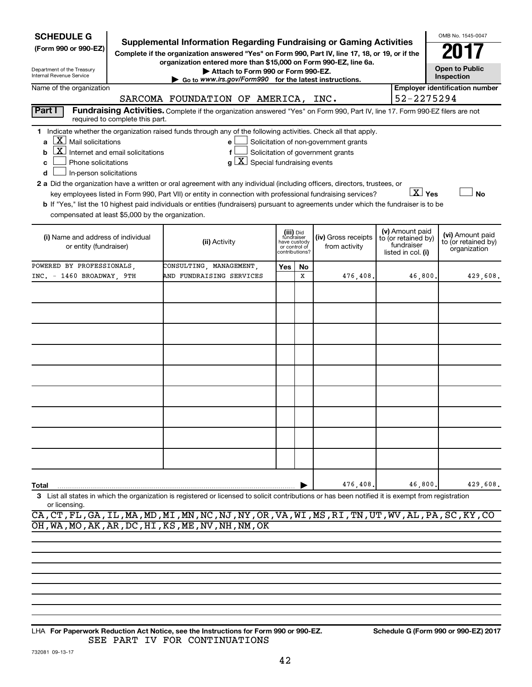| <b>SCHEDULE G</b><br>(Form 990 or 990-EZ)<br>Department of the Treasury<br>Internal Revenue Service                                                      |                                 | <b>Supplemental Information Regarding Fundraising or Gaming Activities</b><br>Complete if the organization answered "Yes" on Form 990, Part IV, line 17, 18, or 19, or if the<br>organization entered more than \$15,000 on Form 990-EZ, line 6a.<br>$\triangleright$ Go to www.irs.gov/Form990 for the latest instructions.                                                       | Attach to Form 990 or Form 990-EZ. |               |                                                           |                                                                            |                                                                            | OMB No. 1545-0047<br><b>Open to Public</b><br>Inspection<br><b>Employer identification number</b> |
|----------------------------------------------------------------------------------------------------------------------------------------------------------|---------------------------------|------------------------------------------------------------------------------------------------------------------------------------------------------------------------------------------------------------------------------------------------------------------------------------------------------------------------------------------------------------------------------------|------------------------------------|---------------|-----------------------------------------------------------|----------------------------------------------------------------------------|----------------------------------------------------------------------------|---------------------------------------------------------------------------------------------------|
| Name of the organization                                                                                                                                 |                                 | SARCOMA FOUNDATION OF AMERICA, INC.                                                                                                                                                                                                                                                                                                                                                |                                    |               |                                                           |                                                                            | 52-2275294                                                                 |                                                                                                   |
| Part I<br>$\lfloor \mathbf{X} \rfloor$ Mail solicitations<br>a<br>$\boxed{\textbf{X}}$ Internet and email solicitations<br>b<br>Phone solicitations<br>c | required to complete this part. | Fundraising Activities. Complete if the organization answered "Yes" on Form 990, Part IV, line 17. Form 990-EZ filers are not<br>1 Indicate whether the organization raised funds through any of the following activities. Check all that apply.<br>e<br>f<br>a                                                                                                                    | X <br>Special fundraising events   |               |                                                           | Solicitation of non-government grants<br>Solicitation of government grants |                                                                            |                                                                                                   |
| In-person solicitations<br>d<br>compensated at least \$5,000 by the organization.                                                                        |                                 | 2 a Did the organization have a written or oral agreement with any individual (including officers, directors, trustees, or<br>key employees listed in Form 990, Part VII) or entity in connection with professional fundraising services?<br>b If "Yes," list the 10 highest paid individuals or entities (fundraisers) pursuant to agreements under which the fundraiser is to be |                                    |               |                                                           |                                                                            | $X$ Yes                                                                    | <b>No</b>                                                                                         |
| (i) Name and address of individual<br>or entity (fundraiser)                                                                                             |                                 | (ii) Activity                                                                                                                                                                                                                                                                                                                                                                      |                                    | or control of | (iii) Did<br>fundraiser<br>have custody<br>contributions? | (iv) Gross receipts<br>from activity                                       | (v) Amount paid<br>to (or retained by)<br>fundraiser<br>listed in col. (i) | (vi) Amount paid<br>to (or retained by)<br>organization                                           |
| POWERED BY PROFESSIONALS,<br>INC. - 1460 BROADWAY, 9TH                                                                                                   |                                 | CONSULTING, MANAGEMENT,<br>AND FUNDRAISING SERVICES                                                                                                                                                                                                                                                                                                                                |                                    | Yes           | No.<br>x                                                  | 476,408.                                                                   | 46,800.                                                                    | 429,608.                                                                                          |
|                                                                                                                                                          |                                 |                                                                                                                                                                                                                                                                                                                                                                                    |                                    |               |                                                           |                                                                            |                                                                            |                                                                                                   |
|                                                                                                                                                          |                                 |                                                                                                                                                                                                                                                                                                                                                                                    |                                    |               |                                                           |                                                                            |                                                                            |                                                                                                   |
|                                                                                                                                                          |                                 |                                                                                                                                                                                                                                                                                                                                                                                    |                                    |               |                                                           |                                                                            |                                                                            |                                                                                                   |
| Total                                                                                                                                                    |                                 |                                                                                                                                                                                                                                                                                                                                                                                    |                                    |               |                                                           | 476,408.                                                                   | 46,800.                                                                    | 429,608.                                                                                          |
| or licensing.                                                                                                                                            |                                 | 3 List all states in which the organization is registered or licensed to solicit contributions or has been notified it is exempt from registration                                                                                                                                                                                                                                 |                                    |               |                                                           |                                                                            |                                                                            |                                                                                                   |

CA,CT,FL,GA,IL,MA,MD,MI,MN,NC,NJ,NY,OR,VA,WI,MS,RI,TN,UT,WV,AL,PA,SC,KY,CO OH,WA,MO,AK,AR,DC,HI,KS,ME,NV,NH,NM,OK

**For Paperwork Reduction Act Notice, see the Instructions for Form 990 or 990-EZ. Schedule G (Form 990 or 990-EZ) 2017** LHA SEE PART IV FOR CONTINUATIONS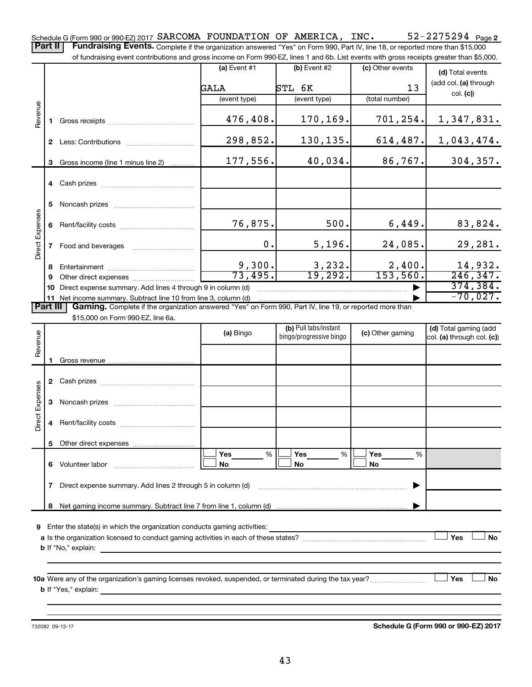52-2275294 Page 2 Schedule G (Form 990 or 990-EZ) 2017  $\verb|SARCOMA$   $\verb|FOUNDATION OF AMERICA, INC. 52-2275294$   $\verb|Page|$ Part II | Fundraising Events. Complete if the organization answered "Yes" on Form 990, Part IV, line 18, or reported more than \$15,000

of fundraising event contributions and gross income on Form 990-EZ, lines 1 and 6b. List events with gross receipts greater than \$5,000.

|                        |                |                                                                                                                                                      | (a) Event $#1$    | $(b)$ Event #2          | (c) Other events    | (d) Total events                                    |
|------------------------|----------------|------------------------------------------------------------------------------------------------------------------------------------------------------|-------------------|-------------------------|---------------------|-----------------------------------------------------|
|                        |                |                                                                                                                                                      | GALA              | STL 6K                  | 13                  | (add col. (a) through                               |
|                        |                |                                                                                                                                                      | (event type)      | (event type)            | (total number)      | col. (c)                                            |
|                        |                |                                                                                                                                                      |                   |                         |                     |                                                     |
| Revenue                |                |                                                                                                                                                      | 476,408.          | 170,169.                | 701,254.            | 1,347,831.                                          |
|                        |                |                                                                                                                                                      |                   |                         |                     |                                                     |
|                        | $\mathbf{2}^-$ |                                                                                                                                                      | 298,852.          | 130,135.                | 614, 487.           | 1,043,474.                                          |
|                        |                |                                                                                                                                                      |                   |                         |                     |                                                     |
|                        | 3              | Gross income (line 1 minus line 2)                                                                                                                   | 177,556.          | 40,034.                 | 86, 767.            | 304, 357.                                           |
|                        |                |                                                                                                                                                      |                   |                         |                     |                                                     |
|                        |                |                                                                                                                                                      |                   |                         |                     |                                                     |
|                        | 5              |                                                                                                                                                      |                   |                         |                     |                                                     |
|                        |                |                                                                                                                                                      |                   |                         |                     |                                                     |
| <b>Direct Expenses</b> | 6              |                                                                                                                                                      | 76,875.           | 500.                    | 6,449.              | 83,824.                                             |
|                        |                |                                                                                                                                                      |                   |                         |                     |                                                     |
|                        |                | Food and beverages <b>Example 20</b>                                                                                                                 | $\mathbf 0$ .     | 5,196.                  | 24,085.             | 29,281.                                             |
|                        |                |                                                                                                                                                      |                   |                         |                     |                                                     |
|                        | 8              |                                                                                                                                                      | 9,300.<br>73,495. | 3,232.<br>19,292.       | 2,400.<br>153, 560. | 14,932.<br>246, 347.                                |
|                        | 9              |                                                                                                                                                      |                   |                         |                     | 374, 384.                                           |
|                        | 10             | Direct expense summary. Add lines 4 through 9 in column (d)                                                                                          |                   |                         |                     | $-70,027.$                                          |
| Part III               |                |                                                                                                                                                      |                   |                         |                     |                                                     |
|                        |                | <b>Gaming.</b> Complete if the organization answered "Yes" on Form 990, Part IV, line 19, or reported more than<br>\$15,000 on Form 990-EZ, line 6a. |                   |                         |                     |                                                     |
|                        |                |                                                                                                                                                      |                   | (b) Pull tabs/instant   |                     |                                                     |
|                        |                |                                                                                                                                                      | (a) Bingo         | bingo/progressive bingo | (c) Other gaming    | (d) Total gaming (add<br>col. (a) through col. (c)) |
| Revenue                |                |                                                                                                                                                      |                   |                         |                     |                                                     |
|                        |                |                                                                                                                                                      |                   |                         |                     |                                                     |
|                        |                |                                                                                                                                                      |                   |                         |                     |                                                     |
|                        |                |                                                                                                                                                      |                   |                         |                     |                                                     |
| 8                      |                |                                                                                                                                                      |                   |                         |                     |                                                     |

|          |    | <b>2</b> Udali prizes                                       |                  |   |                |                       |  |
|----------|----|-------------------------------------------------------------|------------------|---|----------------|-----------------------|--|
| Expenses | 3  | Noncash prizes                                              |                  |   |                |                       |  |
| Direct   | 4  |                                                             |                  |   |                |                       |  |
|          | 5. |                                                             |                  |   |                |                       |  |
|          | 6  | Volunteer labor                                             | Yes<br><b>No</b> | % | Yes<br>%<br>No | <b>Yes</b><br>%<br>No |  |
|          |    | Direct expense summary. Add lines 2 through 5 in column (d) |                  |   |                |                       |  |
|          |    |                                                             |                  |   |                |                       |  |
|          |    |                                                             |                  |   |                |                       |  |

**9** Enter the state(s) in which the organization conducts gaming activities:

| a Is the organization licensed to conduct gaming activities in each of these states? |  | No |
|--------------------------------------------------------------------------------------|--|----|
| <b>b</b> If "No," explain:                                                           |  |    |

**10 a Yes No** Were any of the organization's gaming licenses revoked, suspended, or terminated during the tax year? ~~~~~~~~~ † † **b** If "Yes," explain:

732082 09-13-17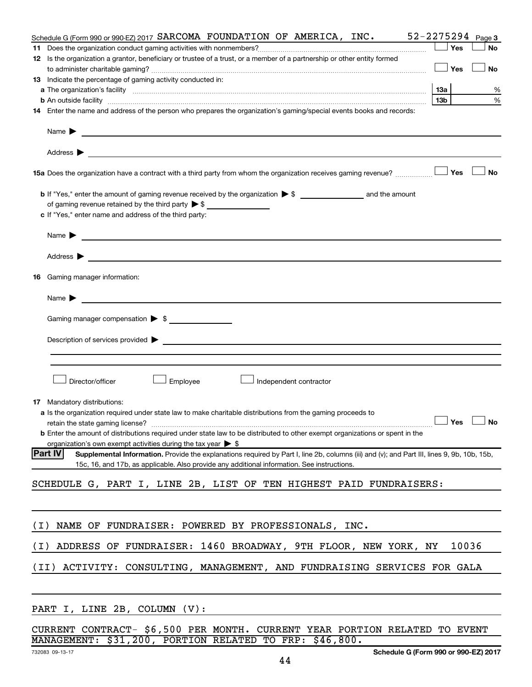|     | Schedule G (Form 990 or 990-EZ) 2017 SARCOMA FOUNDATION OF AMERICA, INC.                                                                                                                                                                                                                            |                 | $52 - 2275294$ Page 3 |
|-----|-----------------------------------------------------------------------------------------------------------------------------------------------------------------------------------------------------------------------------------------------------------------------------------------------------|-----------------|-----------------------|
| 11  |                                                                                                                                                                                                                                                                                                     | Yes             | No                    |
|     | 12 Is the organization a grantor, beneficiary or trustee of a trust, or a member of a partnership or other entity formed                                                                                                                                                                            |                 |                       |
|     |                                                                                                                                                                                                                                                                                                     | Yes             | No                    |
|     | 13 Indicate the percentage of gaming activity conducted in:                                                                                                                                                                                                                                         |                 |                       |
|     |                                                                                                                                                                                                                                                                                                     | 13а             | %                     |
|     | <b>b</b> An outside facility <i>www.communicality www.communicality.communicality www.communicality www.communicality.communicality www.communicality.com</i>                                                                                                                                       | 13 <sub>b</sub> | $\%$                  |
|     | 14 Enter the name and address of the person who prepares the organization's gaming/special events books and records:                                                                                                                                                                                |                 |                       |
|     | Name $\blacktriangleright$<br>Address $\blacktriangleright$<br><u>state and the state of the state of the state of the state of the state of the state of the state of the state of the state of the state of the state of the state of the state of the state of the state of the state of the</u> |                 |                       |
|     | 15a Does the organization have a contract with a third party from whom the organization receives gaming revenue?                                                                                                                                                                                    | Yes             | <b>No</b>             |
|     |                                                                                                                                                                                                                                                                                                     |                 |                       |
|     | of gaming revenue retained by the third party $\triangleright$ \$                                                                                                                                                                                                                                   |                 |                       |
|     | c If "Yes," enter name and address of the third party:                                                                                                                                                                                                                                              |                 |                       |
|     |                                                                                                                                                                                                                                                                                                     |                 |                       |
|     | Name $\blacktriangleright$<br><u> 1989 - Johann Barbara, martin amerikan basal dan berasal dan berasal dalam basal dan berasal dan berasal dan</u>                                                                                                                                                  |                 |                       |
|     | Address $\blacktriangleright$<br>and the control of the control of the control of the control of the control of the control of the control of the                                                                                                                                                   |                 |                       |
| 16  | Gaming manager information:                                                                                                                                                                                                                                                                         |                 |                       |
|     | Name $\blacktriangleright$<br><u> 1989 - Johann Barbara, martin amerikan basal dan berasal dalam basal dalam basal dalam basal dalam basal dala</u>                                                                                                                                                 |                 |                       |
|     | Gaming manager compensation $\triangleright$ \$                                                                                                                                                                                                                                                     |                 |                       |
|     |                                                                                                                                                                                                                                                                                                     |                 |                       |
|     | Description of services provided states and the contract of the contract of the contract of the contract of the contract of the contract of the contract of the contract of the contract of the contract of the contract of th                                                                      |                 |                       |
|     |                                                                                                                                                                                                                                                                                                     |                 |                       |
|     |                                                                                                                                                                                                                                                                                                     |                 |                       |
|     | Director/officer<br>Employee<br>Independent contractor                                                                                                                                                                                                                                              |                 |                       |
| 17  | Mandatory distributions:                                                                                                                                                                                                                                                                            |                 |                       |
|     | <b>a</b> Is the organization required under state law to make charitable distributions from the gaming proceeds to                                                                                                                                                                                  |                 |                       |
|     | retain the state gaming license? $\Box$ No                                                                                                                                                                                                                                                          |                 |                       |
|     | <b>b</b> Enter the amount of distributions required under state law to be distributed to other exempt organizations or spent in the                                                                                                                                                                 |                 |                       |
|     | organization's own exempt activities during the tax year $\triangleright$ \$                                                                                                                                                                                                                        |                 |                       |
|     | <b>Part IV</b><br>Supplemental Information. Provide the explanations required by Part I, line 2b, columns (iii) and (v); and Part III, lines 9, 9b, 10b, 15b,<br>15c, 16, and 17b, as applicable. Also provide any additional information. See instructions.                                        |                 |                       |
|     | SCHEDULE G, PART I, LINE 2B, LIST OF TEN HIGHEST PAID FUNDRAISERS:                                                                                                                                                                                                                                  |                 |                       |
|     |                                                                                                                                                                                                                                                                                                     |                 |                       |
|     |                                                                                                                                                                                                                                                                                                     |                 |                       |
| (I) | NAME OF FUNDRAISER: POWERED BY PROFESSIONALS, INC.                                                                                                                                                                                                                                                  |                 |                       |
| (I) | ADDRESS OF FUNDRAISER: 1460 BROADWAY, 9TH FLOOR, NEW YORK, NY                                                                                                                                                                                                                                       |                 | 10036                 |
|     | ACTIVITY: CONSULTING, MANAGEMENT, AND FUNDRAISING SERVICES FOR GALA<br>(II)                                                                                                                                                                                                                         |                 |                       |
|     |                                                                                                                                                                                                                                                                                                     |                 |                       |
|     | PART I, LINE 2B, COLUMN (V):                                                                                                                                                                                                                                                                        |                 |                       |
|     |                                                                                                                                                                                                                                                                                                     |                 |                       |

|                                                         |  |  |  |  |  | CURRENT CONTRACT- \$6,500 PER MONTH. CURRENT YEAR PORTION RELATED TO EVENT |  |
|---------------------------------------------------------|--|--|--|--|--|----------------------------------------------------------------------------|--|
| MANAGEMENT: \$31,200, PORTION RELATED TO FRP: \$46,800. |  |  |  |  |  |                                                                            |  |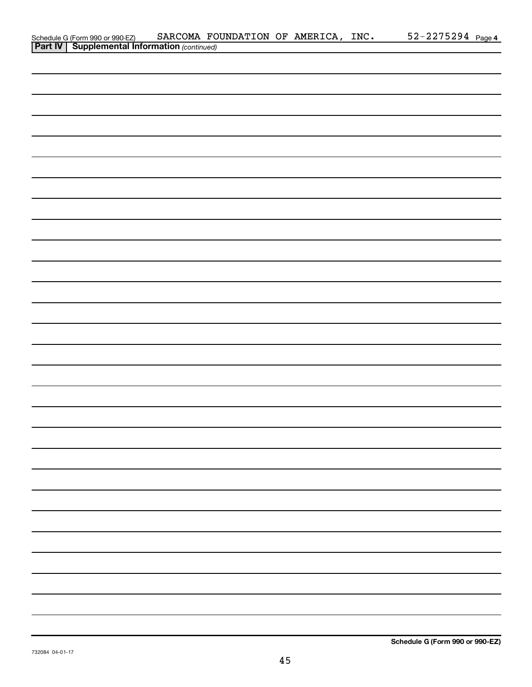| Schedule G (Form 990 or 990-EZ) SARCOMA FO<br><b>Part IV</b> Supplemental Information (continued) | SARCOMA FOUNDATION OF AMERICA, INC. |  | $52 - 2275294$ Page 4 |  |
|---------------------------------------------------------------------------------------------------|-------------------------------------|--|-----------------------|--|
|                                                                                                   |                                     |  |                       |  |
|                                                                                                   |                                     |  |                       |  |
|                                                                                                   |                                     |  |                       |  |
|                                                                                                   |                                     |  |                       |  |
|                                                                                                   |                                     |  |                       |  |
|                                                                                                   |                                     |  |                       |  |
|                                                                                                   |                                     |  |                       |  |
|                                                                                                   |                                     |  |                       |  |
|                                                                                                   |                                     |  |                       |  |
|                                                                                                   |                                     |  |                       |  |
|                                                                                                   |                                     |  |                       |  |
|                                                                                                   |                                     |  |                       |  |
|                                                                                                   |                                     |  |                       |  |
|                                                                                                   |                                     |  |                       |  |
|                                                                                                   |                                     |  |                       |  |
|                                                                                                   |                                     |  |                       |  |
|                                                                                                   |                                     |  |                       |  |
|                                                                                                   |                                     |  |                       |  |
|                                                                                                   |                                     |  |                       |  |
|                                                                                                   |                                     |  |                       |  |
|                                                                                                   |                                     |  |                       |  |
|                                                                                                   |                                     |  |                       |  |
|                                                                                                   |                                     |  |                       |  |
|                                                                                                   |                                     |  |                       |  |
|                                                                                                   |                                     |  |                       |  |
|                                                                                                   |                                     |  |                       |  |
|                                                                                                   |                                     |  |                       |  |
|                                                                                                   |                                     |  |                       |  |
|                                                                                                   |                                     |  |                       |  |
|                                                                                                   |                                     |  |                       |  |
|                                                                                                   |                                     |  |                       |  |
|                                                                                                   |                                     |  |                       |  |
|                                                                                                   |                                     |  |                       |  |
|                                                                                                   |                                     |  |                       |  |
|                                                                                                   |                                     |  |                       |  |
|                                                                                                   |                                     |  |                       |  |
|                                                                                                   |                                     |  |                       |  |
|                                                                                                   |                                     |  |                       |  |
|                                                                                                   |                                     |  |                       |  |
|                                                                                                   |                                     |  |                       |  |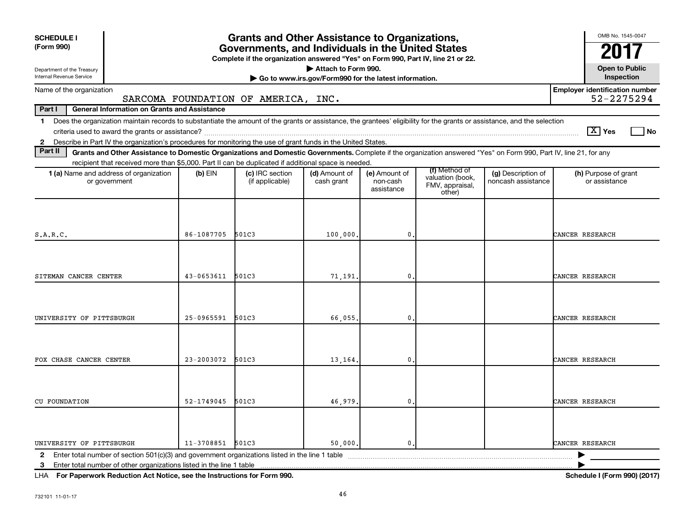| <b>SCHEDULE I</b><br>(Form 990)                                                                                                                                                                                                                                                                            |                | <b>Grants and Other Assistance to Organizations,</b><br>Governments, and Individuals in the United States<br>Complete if the organization answered "Yes" on Form 990, Part IV, line 21 or 22. |                                                                              |                                         |                                               |                                          | OMB No. 1545-0047                                   |
|------------------------------------------------------------------------------------------------------------------------------------------------------------------------------------------------------------------------------------------------------------------------------------------------------------|----------------|-----------------------------------------------------------------------------------------------------------------------------------------------------------------------------------------------|------------------------------------------------------------------------------|-----------------------------------------|-----------------------------------------------|------------------------------------------|-----------------------------------------------------|
| Department of the Treasury<br>Internal Revenue Service                                                                                                                                                                                                                                                     |                |                                                                                                                                                                                               | Attach to Form 990.<br>Go to www.irs.gov/Form990 for the latest information. |                                         |                                               |                                          | <b>Open to Public</b><br>Inspection                 |
| Name of the organization                                                                                                                                                                                                                                                                                   |                | SARCOMA FOUNDATION OF AMERICA, INC.                                                                                                                                                           |                                                                              |                                         |                                               |                                          | <b>Employer identification number</b><br>52-2275294 |
| Part I<br><b>General Information on Grants and Assistance</b>                                                                                                                                                                                                                                              |                |                                                                                                                                                                                               |                                                                              |                                         |                                               |                                          |                                                     |
| Does the organization maintain records to substantiate the amount of the grants or assistance, the grantees' eligibility for the grants or assistance, and the selection<br>$\mathbf 1$<br>2 Describe in Part IV the organization's procedures for monitoring the use of grant funds in the United States. |                |                                                                                                                                                                                               |                                                                              |                                         |                                               |                                          | $ \mathbf{X} $ Yes<br><b>No</b>                     |
| Part II<br>Grants and Other Assistance to Domestic Organizations and Domestic Governments. Complete if the organization answered "Yes" on Form 990, Part IV, line 21, for any                                                                                                                              |                |                                                                                                                                                                                               |                                                                              |                                         |                                               |                                          |                                                     |
| recipient that received more than \$5,000. Part II can be duplicated if additional space is needed.                                                                                                                                                                                                        |                |                                                                                                                                                                                               |                                                                              |                                         | (f) Method of                                 |                                          |                                                     |
| 1 (a) Name and address of organization<br>or government                                                                                                                                                                                                                                                    | $(b)$ EIN      | (c) IRC section<br>(if applicable)                                                                                                                                                            | (d) Amount of<br>cash grant                                                  | (e) Amount of<br>non-cash<br>assistance | valuation (book,<br>FMV, appraisal,<br>other) | (g) Description of<br>noncash assistance | (h) Purpose of grant<br>or assistance               |
| S.A.R.C.                                                                                                                                                                                                                                                                                                   | 86-1087705     | 501C3                                                                                                                                                                                         | 100,000.                                                                     | 0                                       |                                               |                                          | CANCER RESEARCH                                     |
| SITEMAN CANCER CENTER                                                                                                                                                                                                                                                                                      | $43 - 0653611$ | 501C3                                                                                                                                                                                         | 71,191.                                                                      | 0                                       |                                               |                                          | CANCER RESEARCH                                     |
| UNIVERSITY OF PITTSBURGH                                                                                                                                                                                                                                                                                   | 25-0965591     | 501C3                                                                                                                                                                                         | 66,055.                                                                      | 0                                       |                                               |                                          | CANCER RESEARCH                                     |
| FOX CHASE CANCER CENTER                                                                                                                                                                                                                                                                                    | $23 - 2003072$ | 501C3                                                                                                                                                                                         |                                                                              | 0                                       |                                               |                                          | CANCER RESEARCH                                     |
|                                                                                                                                                                                                                                                                                                            |                |                                                                                                                                                                                               | 13,164.                                                                      |                                         |                                               |                                          |                                                     |
| <b>CU FOUNDATION</b>                                                                                                                                                                                                                                                                                       | $52 - 1749045$ | 501C3                                                                                                                                                                                         | 46,979.                                                                      | $\mathbf{0}$                            |                                               |                                          | CANCER RESEARCH                                     |
| UNIVERSITY OF PITTSBURGH<br>$\mathbf{2}$                                                                                                                                                                                                                                                                   | 11-3708851     | 501C3                                                                                                                                                                                         | 50,000.                                                                      | $\mathbf{0}$                            |                                               |                                          | CANCER RESEARCH                                     |
| Enter total number of other organizations listed in the line 1 table<br>3                                                                                                                                                                                                                                  |                |                                                                                                                                                                                               |                                                                              |                                         |                                               |                                          |                                                     |

**For Paperwork Reduction Act Notice, see the Instructions for Form 990. Schedule I (Form 990) (2017)** LHA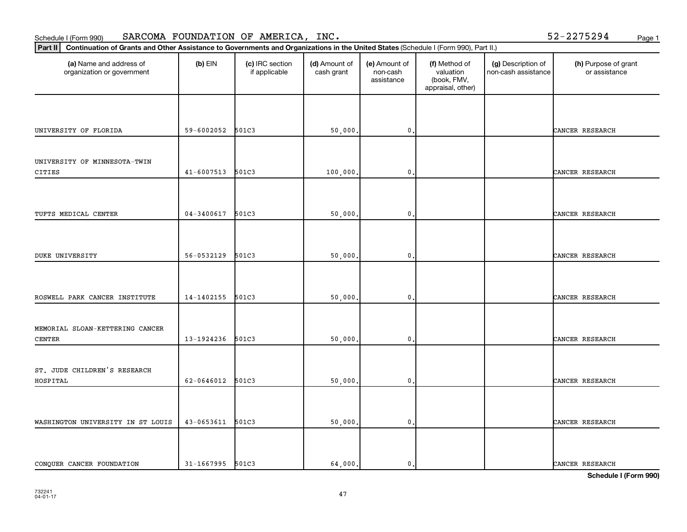Schedule I (Form 990) Page 1 SARCOMA FOUNDATION OF AMERICA, INC. 52-2275294

| Continuation of Grants and Other Assistance to Governments and Organizations in the United States (Schedule I (Form 990), Part II.)<br>Part II |                |                                  |                             |                                         |                                                                |                                           |                                       |  |  |
|------------------------------------------------------------------------------------------------------------------------------------------------|----------------|----------------------------------|-----------------------------|-----------------------------------------|----------------------------------------------------------------|-------------------------------------------|---------------------------------------|--|--|
| (a) Name and address of<br>organization or government                                                                                          | $(b)$ EIN      | (c) IRC section<br>if applicable | (d) Amount of<br>cash grant | (e) Amount of<br>non-cash<br>assistance | (f) Method of<br>valuation<br>(book, FMV,<br>appraisal, other) | (g) Description of<br>non-cash assistance | (h) Purpose of grant<br>or assistance |  |  |
|                                                                                                                                                |                |                                  |                             |                                         |                                                                |                                           |                                       |  |  |
| UNIVERSITY OF FLORIDA                                                                                                                          | 59-6002052     | 501C3                            | 50,000                      | $\mathbf{0}$ .                          |                                                                |                                           | CANCER RESEARCH                       |  |  |
| UNIVERSITY OF MINNESOTA-TWIN                                                                                                                   |                |                                  |                             |                                         |                                                                |                                           |                                       |  |  |
| CITIES                                                                                                                                         | $41 - 6007513$ | 501C3                            | 100,000                     | $\mathbf{0}$ .                          |                                                                |                                           | CANCER RESEARCH                       |  |  |
|                                                                                                                                                |                |                                  |                             |                                         |                                                                |                                           |                                       |  |  |
| TUFTS MEDICAL CENTER                                                                                                                           | $04 - 3400617$ | 501C3                            | 50,000                      | $\mathfrak{o}$ .                        |                                                                |                                           | CANCER RESEARCH                       |  |  |
|                                                                                                                                                |                |                                  |                             |                                         |                                                                |                                           |                                       |  |  |
| <b>DUKE UNIVERSITY</b>                                                                                                                         | 56-0532129     | 501C3                            | 50,000                      | $\mathbf{0}$ .                          |                                                                |                                           | CANCER RESEARCH                       |  |  |
|                                                                                                                                                |                |                                  |                             |                                         |                                                                |                                           |                                       |  |  |
| ROSWELL PARK CANCER INSTITUTE                                                                                                                  | 14-1402155     | 501C3                            | 50,000                      | $\mathbf{0}$                            |                                                                |                                           | CANCER RESEARCH                       |  |  |
| MEMORIAL SLOAN-KETTERING CANCER                                                                                                                |                |                                  |                             |                                         |                                                                |                                           |                                       |  |  |
| CENTER                                                                                                                                         | 13-1924236     | 501C3                            | 50,000                      | 0.                                      |                                                                |                                           | CANCER RESEARCH                       |  |  |
| ST. JUDE CHILDREN'S RESEARCH                                                                                                                   |                |                                  |                             |                                         |                                                                |                                           |                                       |  |  |
| HOSPITAL                                                                                                                                       | 62-0646012     | 501C3                            | 50,000                      | $\mathbf{0}$ .                          |                                                                |                                           | CANCER RESEARCH                       |  |  |
|                                                                                                                                                |                |                                  |                             |                                         |                                                                |                                           |                                       |  |  |
| WASHINGTON UNIVERSITY IN ST LOUIS                                                                                                              | 43-0653611     | 501C3                            | 50,000                      | $\mathbf{0}$ .                          |                                                                |                                           | CANCER RESEARCH                       |  |  |
|                                                                                                                                                |                |                                  |                             |                                         |                                                                |                                           |                                       |  |  |
| CONQUER CANCER FOUNDATION                                                                                                                      | 31-1667995     | 501C3                            | 64,000.                     | $\mathbf{0}$ .                          |                                                                |                                           | CANCER RESEARCH                       |  |  |

**Schedule I (Form 990)**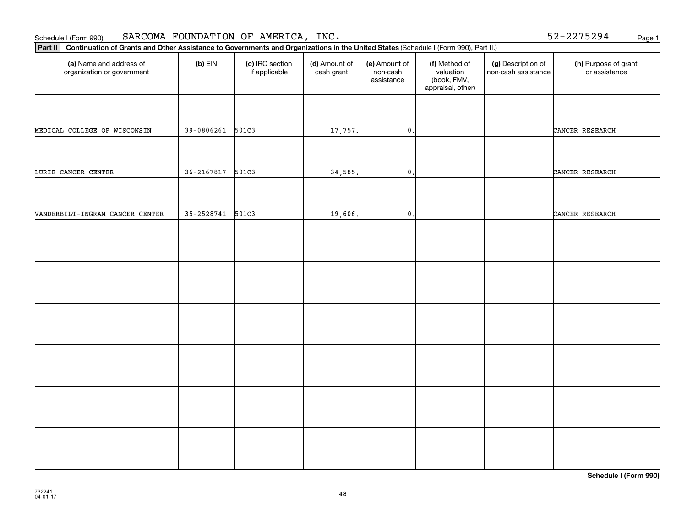Schedule I (Form 990) Page 1 SARCOMA FOUNDATION OF AMERICA, INC. 52-2275294

| Part II   Continuation of Grants and Other Assistance to Governments and Organizations in the United States (Schedule I (Form 990), Part II.) |                |                                  |                             |                                         |                                                                |                                           |                                       |  |  |
|-----------------------------------------------------------------------------------------------------------------------------------------------|----------------|----------------------------------|-----------------------------|-----------------------------------------|----------------------------------------------------------------|-------------------------------------------|---------------------------------------|--|--|
| (a) Name and address of<br>organization or government                                                                                         | $(b)$ EIN      | (c) IRC section<br>if applicable | (d) Amount of<br>cash grant | (e) Amount of<br>non-cash<br>assistance | (f) Method of<br>valuation<br>(book, FMV,<br>appraisal, other) | (g) Description of<br>non-cash assistance | (h) Purpose of grant<br>or assistance |  |  |
|                                                                                                                                               |                |                                  |                             |                                         |                                                                |                                           |                                       |  |  |
| MEDICAL COLLEGE OF WISCONSIN                                                                                                                  | 39-0806261     | 501C3                            | 17,757.                     | $\mathbf{0}$ .                          |                                                                |                                           | CANCER RESEARCH                       |  |  |
| LURIE CANCER CENTER                                                                                                                           | $36 - 2167817$ | 501C3                            | 34,585.                     | $\mathbf{0}$ .                          |                                                                |                                           | CANCER RESEARCH                       |  |  |
|                                                                                                                                               |                |                                  |                             |                                         |                                                                |                                           |                                       |  |  |
| VANDERBILT-INGRAM CANCER CENTER                                                                                                               | $35 - 2528741$ | 501C3                            | 19,606.                     | $\mathfrak o$ .                         |                                                                |                                           | CANCER RESEARCH                       |  |  |
|                                                                                                                                               |                |                                  |                             |                                         |                                                                |                                           |                                       |  |  |
|                                                                                                                                               |                |                                  |                             |                                         |                                                                |                                           |                                       |  |  |
|                                                                                                                                               |                |                                  |                             |                                         |                                                                |                                           |                                       |  |  |
|                                                                                                                                               |                |                                  |                             |                                         |                                                                |                                           |                                       |  |  |
|                                                                                                                                               |                |                                  |                             |                                         |                                                                |                                           |                                       |  |  |
|                                                                                                                                               |                |                                  |                             |                                         |                                                                |                                           |                                       |  |  |
|                                                                                                                                               |                |                                  |                             |                                         |                                                                |                                           |                                       |  |  |
|                                                                                                                                               |                |                                  |                             |                                         |                                                                |                                           |                                       |  |  |
|                                                                                                                                               |                |                                  |                             |                                         |                                                                |                                           |                                       |  |  |
|                                                                                                                                               |                |                                  |                             |                                         |                                                                |                                           |                                       |  |  |

**Schedule I (Form 990)**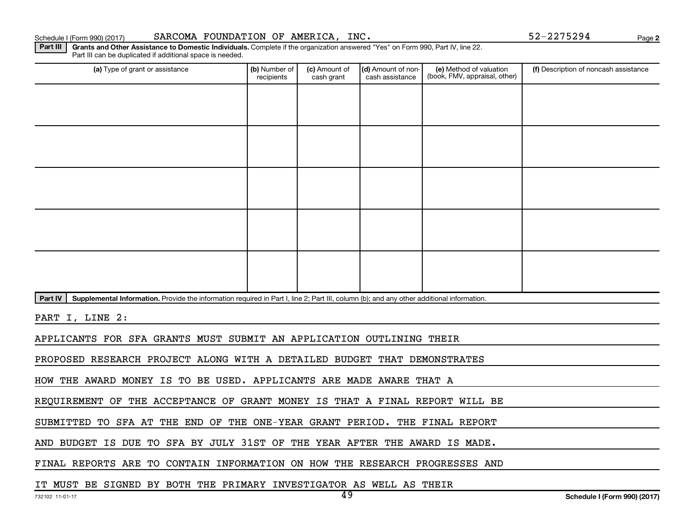**2**

Part III | Grants and Other Assistance to Domestic Individuals. Complete if the organization answered "Yes" on Form 990, Part IV, line 22. Part III can be duplicated if additional space is needed.

| (a) Type of grant or assistance                                                                                                                      | (b) Number of<br>recipients | (c) Amount of<br>cash grant | (d) Amount of non-<br>cash assistance | (e) Method of valuation<br>(book, FMV, appraisal, other) | (f) Description of noncash assistance |  |  |  |  |  |
|------------------------------------------------------------------------------------------------------------------------------------------------------|-----------------------------|-----------------------------|---------------------------------------|----------------------------------------------------------|---------------------------------------|--|--|--|--|--|
|                                                                                                                                                      |                             |                             |                                       |                                                          |                                       |  |  |  |  |  |
|                                                                                                                                                      |                             |                             |                                       |                                                          |                                       |  |  |  |  |  |
|                                                                                                                                                      |                             |                             |                                       |                                                          |                                       |  |  |  |  |  |
|                                                                                                                                                      |                             |                             |                                       |                                                          |                                       |  |  |  |  |  |
|                                                                                                                                                      |                             |                             |                                       |                                                          |                                       |  |  |  |  |  |
|                                                                                                                                                      |                             |                             |                                       |                                                          |                                       |  |  |  |  |  |
|                                                                                                                                                      |                             |                             |                                       |                                                          |                                       |  |  |  |  |  |
|                                                                                                                                                      |                             |                             |                                       |                                                          |                                       |  |  |  |  |  |
|                                                                                                                                                      |                             |                             |                                       |                                                          |                                       |  |  |  |  |  |
|                                                                                                                                                      |                             |                             |                                       |                                                          |                                       |  |  |  |  |  |
| Supplemental Information. Provide the information required in Part I, line 2; Part III, column (b); and any other additional information.<br>Part IV |                             |                             |                                       |                                                          |                                       |  |  |  |  |  |
| PART I, LINE 2:                                                                                                                                      |                             |                             |                                       |                                                          |                                       |  |  |  |  |  |
| APPLICANTS FOR SFA GRANTS MUST SUBMIT AN APPLICATION OUTLINING THEIR                                                                                 |                             |                             |                                       |                                                          |                                       |  |  |  |  |  |
| PROPOSED RESEARCH PROJECT ALONG WITH A DETAILED BUDGET THAT DEMONSTRATES                                                                             |                             |                             |                                       |                                                          |                                       |  |  |  |  |  |
| HOW THE AWARD MONEY IS TO BE USED. APPLICANTS ARE MADE AWARE THAT A                                                                                  |                             |                             |                                       |                                                          |                                       |  |  |  |  |  |

REQUIREMENT OF THE ACCEPTANCE OF GRANT MONEY IS THAT A FINAL REPORT WILL BE

SUBMITTED TO SFA AT THE END OF THE ONE-YEAR GRANT PERIOD. THE FINAL REPORT

AND BUDGET IS DUE TO SFA BY JULY 31ST OF THE YEAR AFTER THE AWARD IS MADE.

FINAL REPORTS ARE TO CONTAIN INFORMATION ON HOW THE RESEARCH PROGRESSES AND

IT MUST BE SIGNED BY BOTH THE PRIMARY INVESTIGATOR AS WELL AS THEIR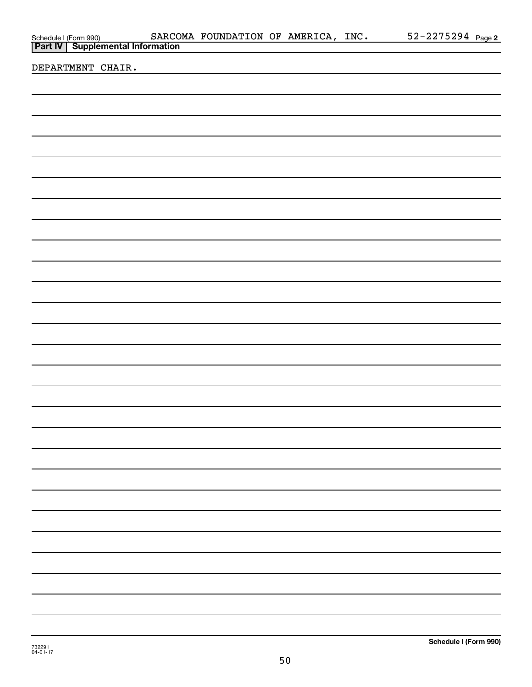|                                                                           |  | SARCOMA FOUNDATION OF AMERICA, INC. |  | 52-2275294 Page 2 |
|---------------------------------------------------------------------------|--|-------------------------------------|--|-------------------|
| Schedule I (Form 990) SARCO:<br><b>Part IV   Supplemental Information</b> |  |                                     |  |                   |
|                                                                           |  |                                     |  |                   |
| DEPARTMENT CHAIR.                                                         |  |                                     |  |                   |
|                                                                           |  |                                     |  |                   |
|                                                                           |  |                                     |  |                   |
|                                                                           |  |                                     |  |                   |
|                                                                           |  |                                     |  |                   |
|                                                                           |  |                                     |  |                   |
|                                                                           |  |                                     |  |                   |
|                                                                           |  |                                     |  |                   |
|                                                                           |  |                                     |  |                   |
|                                                                           |  |                                     |  |                   |
|                                                                           |  |                                     |  |                   |
|                                                                           |  |                                     |  |                   |
|                                                                           |  |                                     |  |                   |
|                                                                           |  |                                     |  |                   |
|                                                                           |  |                                     |  |                   |
|                                                                           |  |                                     |  |                   |
|                                                                           |  |                                     |  |                   |
|                                                                           |  |                                     |  |                   |
|                                                                           |  |                                     |  |                   |
|                                                                           |  |                                     |  |                   |
|                                                                           |  |                                     |  |                   |
|                                                                           |  |                                     |  |                   |
|                                                                           |  |                                     |  |                   |
|                                                                           |  |                                     |  |                   |
|                                                                           |  |                                     |  |                   |
|                                                                           |  |                                     |  |                   |
|                                                                           |  |                                     |  |                   |
|                                                                           |  |                                     |  |                   |
|                                                                           |  |                                     |  |                   |
|                                                                           |  |                                     |  |                   |
|                                                                           |  |                                     |  |                   |
|                                                                           |  |                                     |  |                   |
|                                                                           |  |                                     |  |                   |
|                                                                           |  |                                     |  |                   |
|                                                                           |  |                                     |  |                   |
|                                                                           |  |                                     |  |                   |
|                                                                           |  |                                     |  |                   |
|                                                                           |  |                                     |  |                   |
|                                                                           |  |                                     |  |                   |
|                                                                           |  |                                     |  |                   |
|                                                                           |  |                                     |  |                   |
|                                                                           |  |                                     |  |                   |
|                                                                           |  |                                     |  |                   |
|                                                                           |  |                                     |  |                   |
|                                                                           |  |                                     |  |                   |
|                                                                           |  |                                     |  |                   |
|                                                                           |  |                                     |  |                   |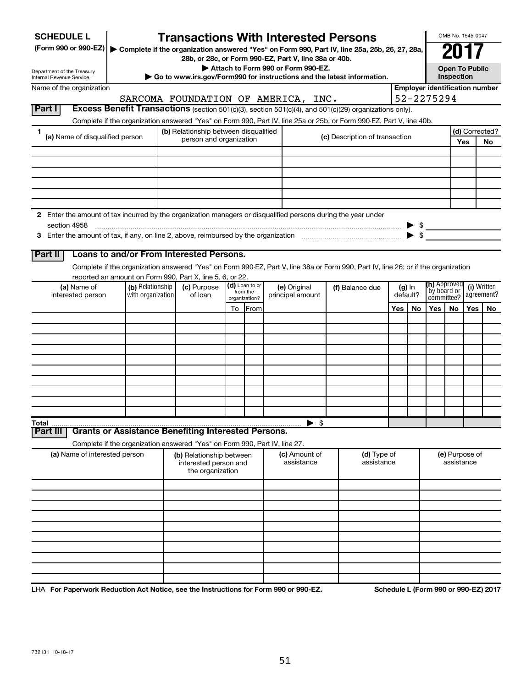| <b>SCHEDULE L</b>                                                                                             |                                          |                                       |                                                                       |                            | <b>Transactions With Interested Persons</b>           |                                                                                                                                    |                                                              |    |                                       | OMB No. 1545-0047                   |                           |                |
|---------------------------------------------------------------------------------------------------------------|------------------------------------------|---------------------------------------|-----------------------------------------------------------------------|----------------------------|-------------------------------------------------------|------------------------------------------------------------------------------------------------------------------------------------|--------------------------------------------------------------|----|---------------------------------------|-------------------------------------|---------------------------|----------------|
| (Form 990 or 990-EZ)                                                                                          |                                          |                                       |                                                                       |                            |                                                       | ▶ Complete if the organization answered "Yes" on Form 990, Part IV, line 25a, 25b, 26, 27, 28a,                                    |                                                              |    |                                       |                                     |                           |                |
|                                                                                                               |                                          |                                       |                                                                       |                            | 28b, or 28c, or Form 990-EZ, Part V, line 38a or 40b. |                                                                                                                                    |                                                              |    |                                       |                                     |                           |                |
| Department of the Treasury<br>Internal Revenue Service                                                        |                                          |                                       |                                                                       |                            | Attach to Form 990 or Form 990-EZ.                    | Go to www.irs.gov/Form990 for instructions and the latest information.                                                             |                                                              |    |                                       | <b>Open To Public</b><br>Inspection |                           |                |
| Name of the organization                                                                                      |                                          |                                       |                                                                       |                            |                                                       |                                                                                                                                    |                                                              |    | <b>Employer identification number</b> |                                     |                           |                |
|                                                                                                               |                                          |                                       |                                                                       |                            | SARCOMA FOUNDATION OF AMERICA, INC.                   |                                                                                                                                    |                                                              |    | 52-2275294                            |                                     |                           |                |
| Part I                                                                                                        |                                          |                                       |                                                                       |                            |                                                       | Excess Benefit Transactions (section 501(c)(3), section 501(c)(4), and 501(c)(29) organizations only).                             |                                                              |    |                                       |                                     |                           |                |
|                                                                                                               |                                          |                                       |                                                                       |                            |                                                       | Complete if the organization answered "Yes" on Form 990, Part IV, line 25a or 25b, or Form 990-EZ, Part V, line 40b.               |                                                              |    |                                       |                                     |                           |                |
| 1<br>(a) Name of disqualified person                                                                          |                                          | (b) Relationship between disqualified | person and organization                                               |                            |                                                       | (c) Description of transaction                                                                                                     |                                                              |    |                                       |                                     |                           | (d) Corrected? |
|                                                                                                               |                                          |                                       |                                                                       |                            |                                                       |                                                                                                                                    |                                                              |    |                                       |                                     | Yes                       | No             |
|                                                                                                               |                                          |                                       |                                                                       |                            |                                                       |                                                                                                                                    |                                                              |    |                                       |                                     |                           |                |
|                                                                                                               |                                          |                                       |                                                                       |                            |                                                       |                                                                                                                                    |                                                              |    |                                       |                                     |                           |                |
|                                                                                                               |                                          |                                       |                                                                       |                            |                                                       |                                                                                                                                    |                                                              |    |                                       |                                     |                           |                |
|                                                                                                               |                                          |                                       |                                                                       |                            |                                                       |                                                                                                                                    |                                                              |    |                                       |                                     |                           |                |
|                                                                                                               |                                          |                                       |                                                                       |                            |                                                       |                                                                                                                                    |                                                              |    |                                       |                                     |                           |                |
| 2 Enter the amount of tax incurred by the organization managers or disqualified persons during the year under |                                          |                                       |                                                                       |                            |                                                       |                                                                                                                                    |                                                              |    |                                       |                                     |                           |                |
| section 4958                                                                                                  |                                          |                                       |                                                                       |                            |                                                       |                                                                                                                                    |                                                              |    | $\triangleright$ \$                   |                                     |                           |                |
|                                                                                                               |                                          |                                       |                                                                       |                            |                                                       |                                                                                                                                    |                                                              |    |                                       |                                     |                           |                |
| Part II                                                                                                       | Loans to and/or From Interested Persons. |                                       |                                                                       |                            |                                                       |                                                                                                                                    |                                                              |    |                                       |                                     |                           |                |
|                                                                                                               |                                          |                                       |                                                                       |                            |                                                       | Complete if the organization answered "Yes" on Form 990-EZ, Part V, line 38a or Form 990, Part IV, line 26; or if the organization |                                                              |    |                                       |                                     |                           |                |
| reported an amount on Form 990, Part X, line 5, 6, or 22.                                                     |                                          |                                       |                                                                       |                            |                                                       |                                                                                                                                    |                                                              |    |                                       |                                     |                           |                |
| (a) Name of                                                                                                   | (b) Relationship<br>with organization    | (c) Purpose                           |                                                                       | (d) Loan to or<br>from the | (e) Original                                          | (f) Balance due                                                                                                                    | ( <b>h)</b> Approved<br>$(g)$ In<br>`by board or<br>default? |    |                                       |                                     | (i) Written<br>agreement? |                |
| interested person                                                                                             |                                          | of loan                               |                                                                       | organization?              | principal amount                                      |                                                                                                                                    |                                                              |    |                                       | committee?                          |                           |                |
|                                                                                                               |                                          |                                       | To                                                                    | From                       |                                                       |                                                                                                                                    | Yes                                                          | No | Yes                                   | No                                  | Yes                       | <b>No</b>      |
|                                                                                                               |                                          |                                       |                                                                       |                            |                                                       |                                                                                                                                    |                                                              |    |                                       |                                     |                           |                |
|                                                                                                               |                                          |                                       |                                                                       |                            |                                                       |                                                                                                                                    |                                                              |    |                                       |                                     |                           |                |
|                                                                                                               |                                          |                                       |                                                                       |                            |                                                       |                                                                                                                                    |                                                              |    |                                       |                                     |                           |                |
|                                                                                                               |                                          |                                       |                                                                       |                            |                                                       |                                                                                                                                    |                                                              |    |                                       |                                     |                           |                |
|                                                                                                               |                                          |                                       |                                                                       |                            |                                                       |                                                                                                                                    |                                                              |    |                                       |                                     |                           |                |
|                                                                                                               |                                          |                                       |                                                                       |                            |                                                       |                                                                                                                                    |                                                              |    |                                       |                                     |                           |                |
|                                                                                                               |                                          |                                       |                                                                       |                            |                                                       |                                                                                                                                    |                                                              |    |                                       |                                     |                           |                |
|                                                                                                               |                                          |                                       |                                                                       |                            |                                                       |                                                                                                                                    |                                                              |    |                                       |                                     |                           |                |
| Total                                                                                                         |                                          |                                       |                                                                       |                            | $\blacktriangleright$ \$                              |                                                                                                                                    |                                                              |    |                                       |                                     |                           |                |
| <b>Grants or Assistance Benefiting Interested Persons.</b><br>Part II                                         |                                          |                                       |                                                                       |                            |                                                       |                                                                                                                                    |                                                              |    |                                       |                                     |                           |                |
| Complete if the organization answered "Yes" on Form 990, Part IV, line 27.                                    |                                          |                                       |                                                                       |                            |                                                       |                                                                                                                                    |                                                              |    |                                       |                                     |                           |                |
| (a) Name of interested person                                                                                 |                                          |                                       | (b) Relationship between<br>interested person and<br>the organization |                            | (c) Amount of<br>assistance                           | (d) Type of<br>assistance                                                                                                          |                                                              |    |                                       | (e) Purpose of<br>assistance        |                           |                |
|                                                                                                               |                                          |                                       |                                                                       |                            |                                                       |                                                                                                                                    |                                                              |    |                                       |                                     |                           |                |
|                                                                                                               |                                          |                                       |                                                                       |                            |                                                       |                                                                                                                                    |                                                              |    |                                       |                                     |                           |                |
|                                                                                                               |                                          |                                       |                                                                       |                            |                                                       |                                                                                                                                    |                                                              |    |                                       |                                     |                           |                |
|                                                                                                               |                                          |                                       |                                                                       |                            |                                                       |                                                                                                                                    |                                                              |    |                                       |                                     |                           |                |
|                                                                                                               |                                          |                                       |                                                                       |                            |                                                       |                                                                                                                                    |                                                              |    |                                       |                                     |                           |                |
|                                                                                                               |                                          |                                       |                                                                       |                            |                                                       |                                                                                                                                    |                                                              |    |                                       |                                     |                           |                |
|                                                                                                               |                                          |                                       |                                                                       |                            |                                                       |                                                                                                                                    |                                                              |    |                                       |                                     |                           |                |
|                                                                                                               |                                          |                                       |                                                                       |                            |                                                       |                                                                                                                                    |                                                              |    |                                       |                                     |                           |                |
|                                                                                                               |                                          |                                       |                                                                       |                            |                                                       |                                                                                                                                    |                                                              |    |                                       |                                     |                           |                |
|                                                                                                               |                                          |                                       |                                                                       |                            |                                                       |                                                                                                                                    |                                                              |    |                                       |                                     |                           |                |

LHA For Paperwork Reduction Act Notice, see the Instructions for Form 990 or 990-EZ. Schedule L (Form 990 or 990-EZ) 2017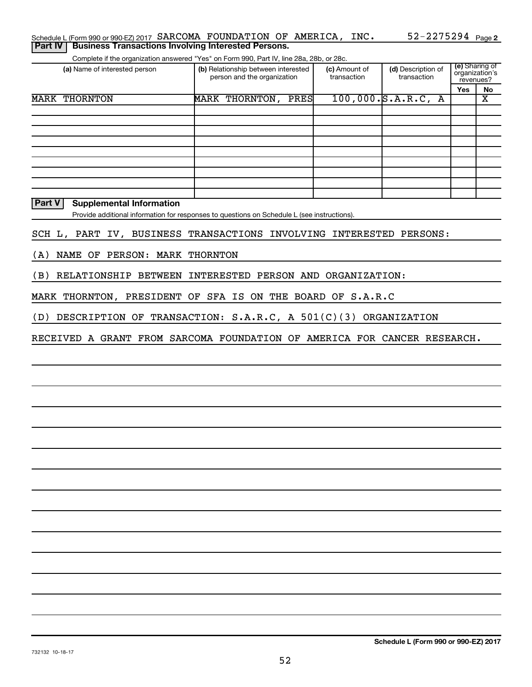| Schedule L (Form 990 or 990-EZ) 2017 SARCOMA FOUNDATION OF AMERICA, INC.                 |  |  | $52 - 2275294$ Page 2 |  |
|------------------------------------------------------------------------------------------|--|--|-----------------------|--|
| <b>Part IV   Business Transactions Involving Interested Persons.</b>                     |  |  |                       |  |
| Complete if the organization answered "Yes" on Form 990, Part IV, line 28a, 28b, or 28c. |  |  |                       |  |

| (a) Name of interested person |      | (b) Relationship between interested<br>person and the organization |      | (c) Amount of<br>transaction | (d) Description of<br>transaction | (e) Sharing of<br>organization's<br>revenues? |    |
|-------------------------------|------|--------------------------------------------------------------------|------|------------------------------|-----------------------------------|-----------------------------------------------|----|
|                               |      |                                                                    |      |                              |                                   | Yes                                           | No |
| <b>MARK THORNTON</b>          | MARK | THORNTON,                                                          | PRES |                              | $100,000.$ S.A.R.C, A             |                                               | Χ  |
|                               |      |                                                                    |      |                              |                                   |                                               |    |
|                               |      |                                                                    |      |                              |                                   |                                               |    |
|                               |      |                                                                    |      |                              |                                   |                                               |    |
|                               |      |                                                                    |      |                              |                                   |                                               |    |
|                               |      |                                                                    |      |                              |                                   |                                               |    |
|                               |      |                                                                    |      |                              |                                   |                                               |    |
|                               |      |                                                                    |      |                              |                                   |                                               |    |
|                               |      |                                                                    |      |                              |                                   |                                               |    |
|                               |      |                                                                    |      |                              |                                   |                                               |    |

#### **Part V Supplemental Information**

Provide additional information for responses to questions on Schedule L (see instructions).

|  |  |  |  |  | SCH L, PART IV, BUSINESS TRANSACTIONS INVOLVING INTERESTED PERSONS: |  |  |  |
|--|--|--|--|--|---------------------------------------------------------------------|--|--|--|
|--|--|--|--|--|---------------------------------------------------------------------|--|--|--|

(A) NAME OF PERSON: MARK THORNTON

(B) RELATIONSHIP BETWEEN INTERESTED PERSON AND ORGANIZATION:

MARK THORNTON, PRESIDENT OF SFA IS ON THE BOARD OF S.A.R.C

(D) DESCRIPTION OF TRANSACTION: S.A.R.C, A 501(C)(3) ORGANIZATION

RECEIVED A GRANT FROM SARCOMA FOUNDATION OF AMERICA FOR CANCER RESEARCH.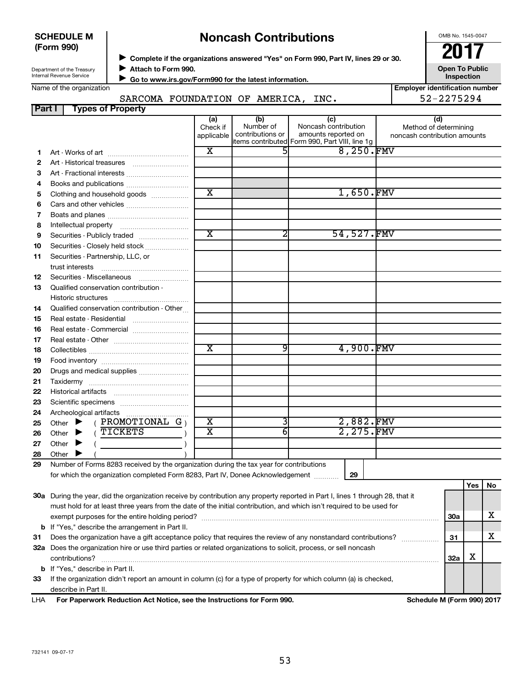| <b>SCHEDULE M</b> |  |
|-------------------|--|
| (Form 990)        |  |

# ◆ Complete if the organizations answered "Yes" on Form 990, Part IV, lines 29 or 30.<br>▶ Complete if the organizations answered "Yes" on Form 990, Part IV, lines 29 or 30. **Noncash Contributions**

OMB No. 1545-0047

Department of the Treasury Internal Revenue Service

**Attach to Form 990.** J

**Open To Public Inspection**

Name of the organization

 **Go to www.irs.gov/Form990 for the latest information.** J

#### **Part I Types of Property** SARCOMA FOUNDATION OF AMERICA, INC.

| <b>Employer identification number</b> |
|---------------------------------------|
| 52-2275294                            |
|                                       |

|    |                                                                                                                                | (a)<br>Check if         | (b)<br>Number of | (c)<br>Noncash contribution                                 | (d)<br>Method of determining |     |     |    |
|----|--------------------------------------------------------------------------------------------------------------------------------|-------------------------|------------------|-------------------------------------------------------------|------------------------------|-----|-----|----|
|    |                                                                                                                                | applicable              | contributions or | amounts reported on                                         | noncash contribution amounts |     |     |    |
| 1  |                                                                                                                                | $\overline{\mathbf{x}}$ |                  | items contributed Form 990, Part VIII, line 1g<br>8,250.FMV |                              |     |     |    |
| 2  |                                                                                                                                |                         |                  |                                                             |                              |     |     |    |
| 3  | Art - Fractional interests                                                                                                     |                         |                  |                                                             |                              |     |     |    |
| 4  |                                                                                                                                |                         |                  |                                                             |                              |     |     |    |
| 5  | Clothing and household goods                                                                                                   | $\overline{\text{x}}$   |                  | 1,650.FMV                                                   |                              |     |     |    |
| 6  | Cars and other vehicles                                                                                                        |                         |                  |                                                             |                              |     |     |    |
| 7  |                                                                                                                                |                         |                  |                                                             |                              |     |     |    |
| 8  |                                                                                                                                |                         |                  |                                                             |                              |     |     |    |
| 9  | Securities - Publicly traded                                                                                                   | $\overline{\text{x}}$   | 2                | 54,527.FMV                                                  |                              |     |     |    |
| 10 | Securities - Closely held stock                                                                                                |                         |                  |                                                             |                              |     |     |    |
| 11 | Securities - Partnership, LLC, or                                                                                              |                         |                  |                                                             |                              |     |     |    |
|    |                                                                                                                                |                         |                  |                                                             |                              |     |     |    |
| 12 |                                                                                                                                |                         |                  |                                                             |                              |     |     |    |
| 13 |                                                                                                                                |                         |                  |                                                             |                              |     |     |    |
|    | Qualified conservation contribution -                                                                                          |                         |                  |                                                             |                              |     |     |    |
| 14 | Qualified conservation contribution - Other                                                                                    |                         |                  |                                                             |                              |     |     |    |
| 15 | Real estate - Residential                                                                                                      |                         |                  |                                                             |                              |     |     |    |
| 16 |                                                                                                                                |                         |                  |                                                             |                              |     |     |    |
| 17 |                                                                                                                                |                         |                  |                                                             |                              |     |     |    |
| 18 |                                                                                                                                | $\overline{\textbf{x}}$ | 9                | 4,900.FMV                                                   |                              |     |     |    |
| 19 |                                                                                                                                |                         |                  |                                                             |                              |     |     |    |
| 20 | Drugs and medical supplies                                                                                                     |                         |                  |                                                             |                              |     |     |    |
| 21 |                                                                                                                                |                         |                  |                                                             |                              |     |     |    |
| 22 |                                                                                                                                |                         |                  |                                                             |                              |     |     |    |
| 23 |                                                                                                                                |                         |                  |                                                             |                              |     |     |    |
| 24 | Archeological artifacts                                                                                                        |                         |                  |                                                             |                              |     |     |    |
| 25 | $($ PROMOTIONAL G $)$<br>Other $\blacktriangleright$                                                                           | $\overline{\textbf{x}}$ | 3                | 2,882.FMV                                                   |                              |     |     |    |
| 26 | TICKETS<br>Other $\blacktriangleright$                                                                                         | $\overline{\text{x}}$   | 6                | 2,275.FMV                                                   |                              |     |     |    |
| 27 | Other $\blacktriangleright$                                                                                                    |                         |                  |                                                             |                              |     |     |    |
| 28 | Other $\blacktriangleright$                                                                                                    |                         |                  |                                                             |                              |     |     |    |
| 29 | Number of Forms 8283 received by the organization during the tax year for contributions                                        |                         |                  |                                                             |                              |     |     |    |
|    | for which the organization completed Form 8283, Part IV, Donee Acknowledgement                                                 |                         |                  | 29                                                          |                              |     |     |    |
|    |                                                                                                                                |                         |                  |                                                             |                              |     | Yes | No |
|    | 30a During the year, did the organization receive by contribution any property reported in Part I, lines 1 through 28, that it |                         |                  |                                                             |                              |     |     |    |
|    | must hold for at least three years from the date of the initial contribution, and which isn't required to be used for          |                         |                  |                                                             |                              |     |     |    |
|    |                                                                                                                                |                         |                  |                                                             |                              | 30a |     | х  |
|    | <b>b</b> If "Yes," describe the arrangement in Part II.                                                                        |                         |                  |                                                             |                              |     |     |    |
| 31 | Does the organization have a gift acceptance policy that requires the review of any nonstandard contributions?                 |                         |                  |                                                             |                              | 31  |     | x  |
|    | 32a Does the organization hire or use third parties or related organizations to solicit, process, or sell noncash              |                         |                  |                                                             |                              |     |     |    |
|    | contributions?                                                                                                                 |                         |                  |                                                             |                              | 32a | х   |    |
|    | <b>b</b> If "Yes," describe in Part II.                                                                                        |                         |                  |                                                             |                              |     |     |    |
| 33 | If the organization didn't report an amount in column (c) for a type of property for which column (a) is checked,              |                         |                  |                                                             |                              |     |     |    |
|    | describe in Part II.                                                                                                           |                         |                  |                                                             |                              |     |     |    |

**For Paperwork Reduction Act Notice, see the Instructions for Form 990. Schedule M (Form 990) 2017** LHA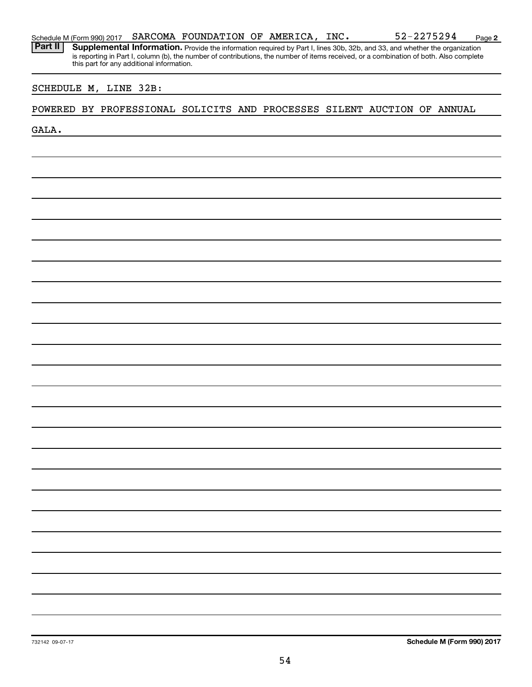Part II | Supplemental Information. Provide the information required by Part I, lines 30b, 32b, and 33, and whether the organization is reporting in Part I, column (b), the number of contributions, the number of items received, or a combination of both. Also complete this part for any additional information.

### SCHEDULE M, LINE 32B:

#### POWERED BY PROFESSIONAL SOLICITS AND PROCESSES SILENT AUCTION OF ANNUAL

GALA.

732142 09-07-17

54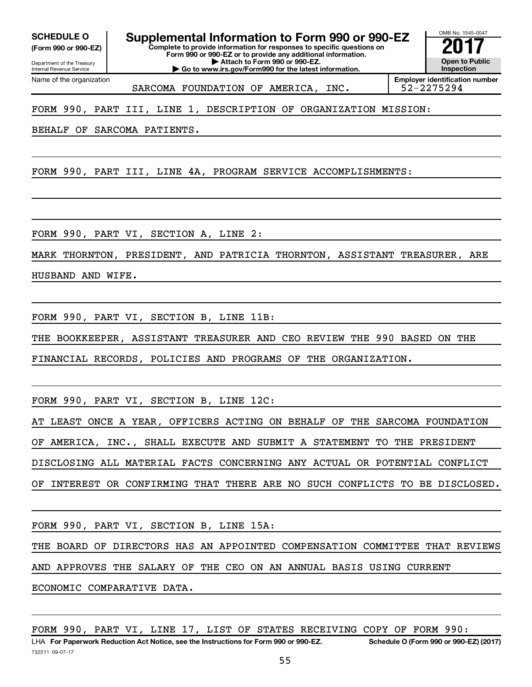Department of the Treasury **(Form 990 or 990-EZ)**

**Complete to provide information for responses to specific questions on SCHEDULE O Supplemental Information to Form 990 or 990-EZ 2017**<br>(Form 990 or 990-EZ) Complete to provide information for responses to specific questions on

**Form 990 or 990-EZ or to provide any additional information. | Attach to Form 990 or 990-EZ. | Go to www.irs.gov/Form990 for the latest information.**

Internal Revenue Service Name of the organization

SARCOMA FOUNDATION OF AMERICA, INC. | 52-2275294

**Employer identification number**

OMB No. 1545-0047

**Open to Public Inspection**

FORM 990, PART III, LINE 1, DESCRIPTION OF ORGANIZATION MISSION:

BEHALF OF SARCOMA PATIENTS.

FORM 990, PART III, LINE 4A, PROGRAM SERVICE ACCOMPLISHMENTS:

FORM 990, PART VI, SECTION A, LINE 2:

MARK THORNTON, PRESIDENT, AND PATRICIA THORNTON, ASSISTANT TREASURER, ARE

HUSBAND AND WIFE.

FORM 990, PART VI, SECTION B, LINE 11B:

THE BOOKKEEPER, ASSISTANT TREASURER AND CEO REVIEW THE 990 BASED ON THE

FINANCIAL RECORDS, POLICIES AND PROGRAMS OF THE ORGANIZATION.

FORM 990, PART VI, SECTION B, LINE 12C:

AT LEAST ONCE A YEAR, OFFICERS ACTING ON BEHALF OF THE SARCOMA FOUNDATION OF AMERICA, INC., SHALL EXECUTE AND SUBMIT A STATEMENT TO THE PRESIDENT DISCLOSING ALL MATERIAL FACTS CONCERNING ANY ACTUAL OR POTENTIAL CONFLICT OF INTEREST OR CONFIRMING THAT THERE ARE NO SUCH CONFLICTS TO BE DISCLOSED.

FORM 990, PART VI, SECTION B, LINE 15A:

THE BOARD OF DIRECTORS HAS AN APPOINTED COMPENSATION COMMITTEE THAT REVIEWS AND APPROVES THE SALARY OF THE CEO ON AN ANNUAL BASIS USING CURRENT

ECONOMIC COMPARATIVE DATA.

FORM 990, PART VI, LINE 17, LIST OF STATES RECEIVING COPY OF FORM 990: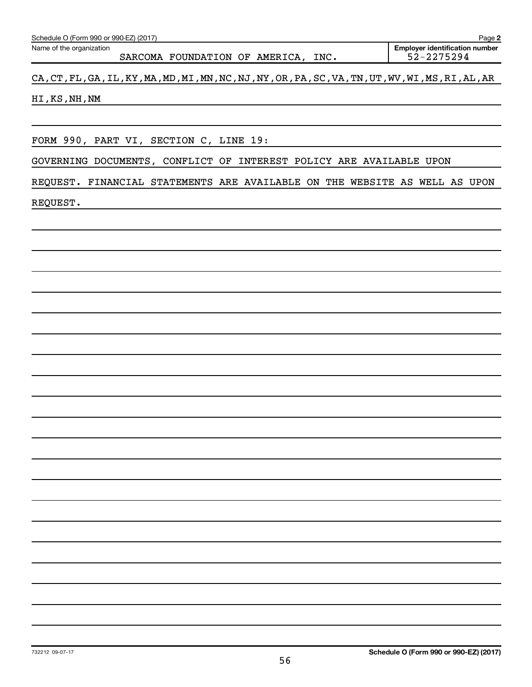| CA, CT, FL, GA, IL, KY, MA, MD, MI, MN, NC, NJ, NY, OR, PA, SC, VA, TN, UT, WV, WI, MS, RI, AL, AR |  |
|----------------------------------------------------------------------------------------------------|--|
| HI, KS, NH, NM                                                                                     |  |
|                                                                                                    |  |
| FORM 990, PART VI, SECTION C, LINE 19:                                                             |  |
| GOVERNING DOCUMENTS, CONFLICT OF INTEREST POLICY ARE AVAILABLE UPON                                |  |
| REQUEST. FINANCIAL STATEMENTS ARE AVAILABLE ON THE WEBSITE AS WELL AS UPON                         |  |
| REQUEST.<br><u> 1989 - Johann Barnett, fransk politiker (d. 1989)</u>                              |  |
|                                                                                                    |  |
|                                                                                                    |  |
|                                                                                                    |  |
|                                                                                                    |  |
|                                                                                                    |  |
|                                                                                                    |  |
|                                                                                                    |  |
|                                                                                                    |  |
|                                                                                                    |  |
|                                                                                                    |  |
|                                                                                                    |  |
|                                                                                                    |  |
|                                                                                                    |  |
|                                                                                                    |  |
|                                                                                                    |  |
|                                                                                                    |  |
|                                                                                                    |  |
|                                                                                                    |  |
|                                                                                                    |  |
|                                                                                                    |  |
|                                                                                                    |  |
| Schedule O (Form 990 or 990-EZ) (2017)<br>732212 09-07-17                                          |  |

SARCOMA FOUNDATION OF AMERICA, INC.

Schedule O (Form 990 or 990-EZ) (2017)

Name of the organization

**2**

Employer identification number<br>52-2275294